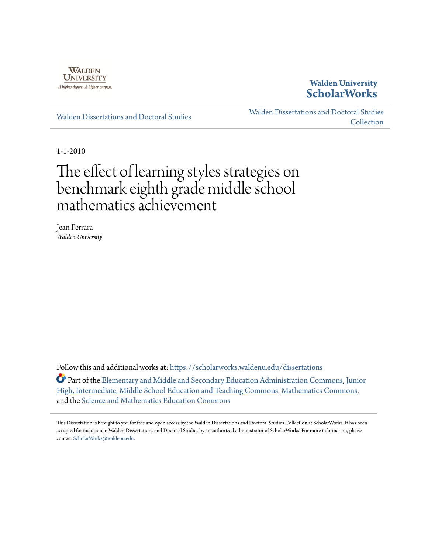

## **Walden University [ScholarWorks](https://scholarworks.waldenu.edu?utm_source=scholarworks.waldenu.edu%2Fdissertations%2F727&utm_medium=PDF&utm_campaign=PDFCoverPages)**

[Walden Dissertations and Doctoral Studies](https://scholarworks.waldenu.edu/dissertations?utm_source=scholarworks.waldenu.edu%2Fdissertations%2F727&utm_medium=PDF&utm_campaign=PDFCoverPages)

[Walden Dissertations and Doctoral Studies](https://scholarworks.waldenu.edu/dissanddoc?utm_source=scholarworks.waldenu.edu%2Fdissertations%2F727&utm_medium=PDF&utm_campaign=PDFCoverPages) [Collection](https://scholarworks.waldenu.edu/dissanddoc?utm_source=scholarworks.waldenu.edu%2Fdissertations%2F727&utm_medium=PDF&utm_campaign=PDFCoverPages)

1-1-2010

# The effect of learning styles strategies on benchmark eighth grade middle school mathematics achievement

Jean Ferrara *Walden University*

Follow this and additional works at: [https://scholarworks.waldenu.edu/dissertations](https://scholarworks.waldenu.edu/dissertations?utm_source=scholarworks.waldenu.edu%2Fdissertations%2F727&utm_medium=PDF&utm_campaign=PDFCoverPages)

Part of the [Elementary and Middle and Secondary Education Administration Commons,](http://network.bepress.com/hgg/discipline/790?utm_source=scholarworks.waldenu.edu%2Fdissertations%2F727&utm_medium=PDF&utm_campaign=PDFCoverPages) [Junior](http://network.bepress.com/hgg/discipline/807?utm_source=scholarworks.waldenu.edu%2Fdissertations%2F727&utm_medium=PDF&utm_campaign=PDFCoverPages) [High, Intermediate, Middle School Education and Teaching Commons,](http://network.bepress.com/hgg/discipline/807?utm_source=scholarworks.waldenu.edu%2Fdissertations%2F727&utm_medium=PDF&utm_campaign=PDFCoverPages) [Mathematics Commons](http://network.bepress.com/hgg/discipline/174?utm_source=scholarworks.waldenu.edu%2Fdissertations%2F727&utm_medium=PDF&utm_campaign=PDFCoverPages), and the [Science and Mathematics Education Commons](http://network.bepress.com/hgg/discipline/800?utm_source=scholarworks.waldenu.edu%2Fdissertations%2F727&utm_medium=PDF&utm_campaign=PDFCoverPages)

This Dissertation is brought to you for free and open access by the Walden Dissertations and Doctoral Studies Collection at ScholarWorks. It has been accepted for inclusion in Walden Dissertations and Doctoral Studies by an authorized administrator of ScholarWorks. For more information, please contact [ScholarWorks@waldenu.edu](mailto:ScholarWorks@waldenu.edu).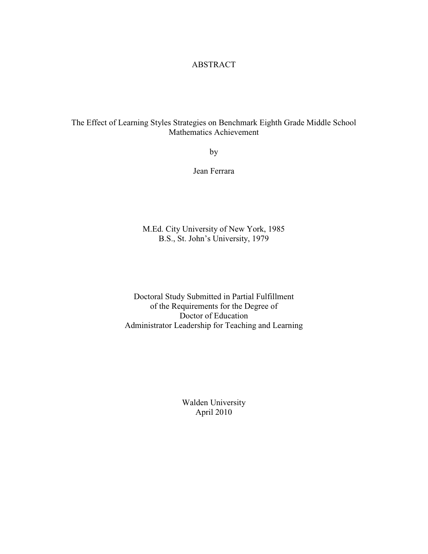#### ABSTRACT

### The Effect of Learning Styles Strategies on Benchmark Eighth Grade Middle School Mathematics Achievement

by

Jean Ferrara

M.Ed. City University of New York, 1985 B.S., St. John's University, 1979

Doctoral Study Submitted in Partial Fulfillment of the Requirements for the Degree of Doctor of Education Administrator Leadership for Teaching and Learning

> Walden University April 2010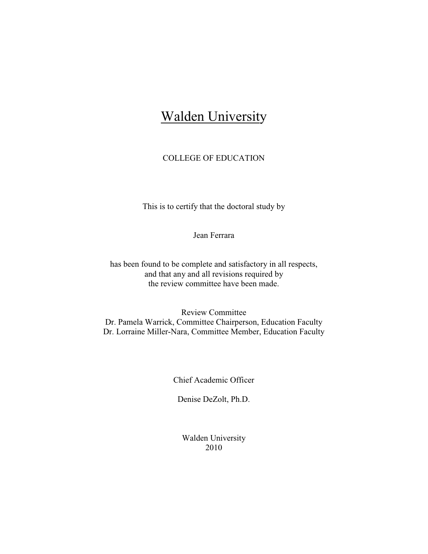## Walden University

## COLLEGE OF EDUCATION

This is to certify that the doctoral study by

Jean Ferrara

has been found to be complete and satisfactory in all respects, and that any and all revisions required by the review committee have been made.

Review Committee Dr. Pamela Warrick, Committee Chairperson, Education Faculty Dr. Lorraine Miller-Nara, Committee Member, Education Faculty

Chief Academic Officer

Denise DeZolt, Ph.D.

Walden University 2010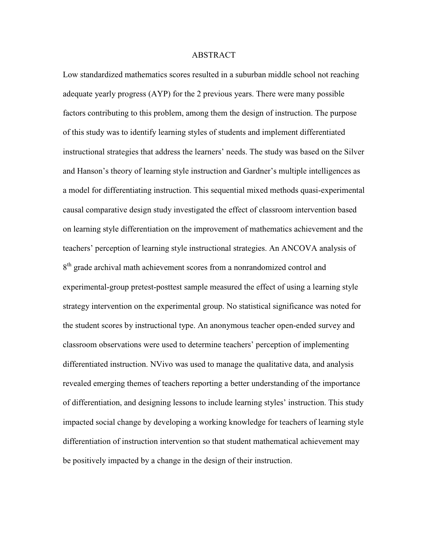#### ABSTRACT

Low standardized mathematics scores resulted in a suburban middle school not reaching adequate yearly progress (AYP) for the 2 previous years. There were many possible factors contributing to this problem, among them the design of instruction. The purpose of this study was to identify learning styles of students and implement differentiated instructional strategies that address the learners' needs. The study was based on the Silver and Hanson's theory of learning style instruction and Gardner's multiple intelligences as a model for differentiating instruction. This sequential mixed methods quasi-experimental causal comparative design study investigated the effect of classroom intervention based on learning style differentiation on the improvement of mathematics achievement and the teachers' perception of learning style instructional strategies. An ANCOVA analysis of 8<sup>th</sup> grade archival math achievement scores from a nonrandomized control and experimental-group pretest-posttest sample measured the effect of using a learning style strategy intervention on the experimental group. No statistical significance was noted for the student scores by instructional type. An anonymous teacher open-ended survey and classroom observations were used to determine teachers' perception of implementing differentiated instruction. NVivo was used to manage the qualitative data, and analysis revealed emerging themes of teachers reporting a better understanding of the importance of differentiation, and designing lessons to include learning styles' instruction. This study impacted social change by developing a working knowledge for teachers of learning style differentiation of instruction intervention so that student mathematical achievement may be positively impacted by a change in the design of their instruction.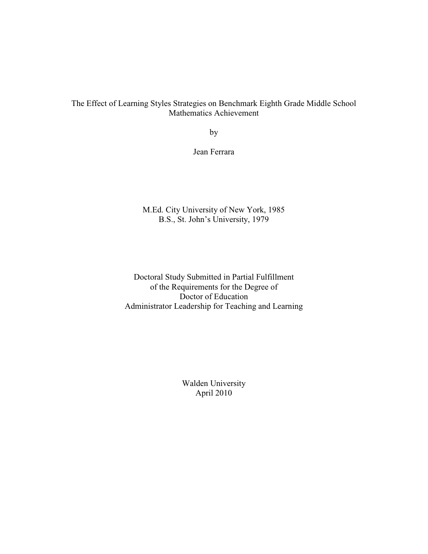The Effect of Learning Styles Strategies on Benchmark Eighth Grade Middle School Mathematics Achievement

by

Jean Ferrara

M.Ed. City University of New York, 1985 B.S., St. John's University, 1979

Doctoral Study Submitted in Partial Fulfillment of the Requirements for the Degree of Doctor of Education Administrator Leadership for Teaching and Learning

> Walden University April 2010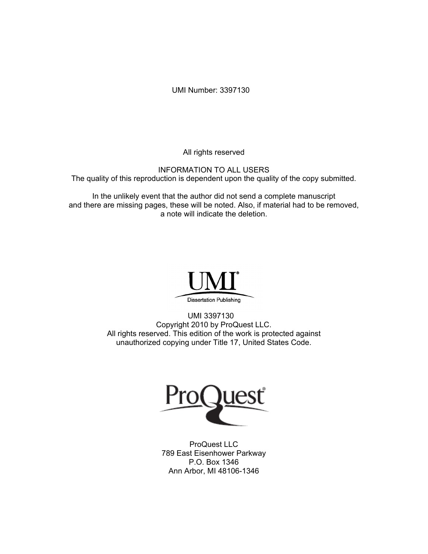UMI Number: 3397130

All rights reserved

INFORMATION TO ALL USERS The quality of this reproduction is dependent upon the quality of the copy submitted.

In the unlikely event that the author did not send a complete manuscript and there are missing pages, these will be noted. Also, if material had to be removed, a note will indicate the deletion.



UMI 3397130 Copyright 2010 by ProQuest LLC. All rights reserved. This edition of the work is protected against unauthorized copying under Title 17, United States Code.



ProQuest LLC 789 East Eisenhower Parkway P.O. Box 1346 Ann Arbor, MI 48106-1346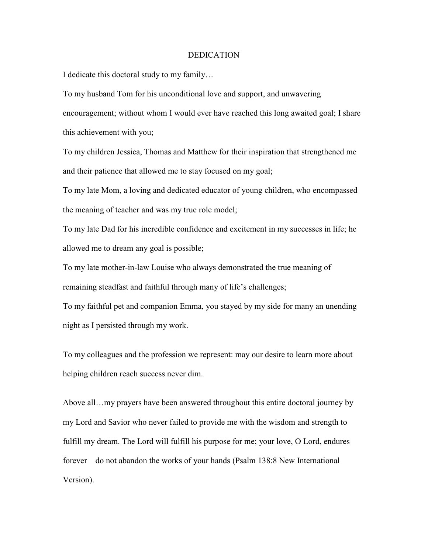#### DEDICATION

I dedicate this doctoral study to my family…

To my husband Tom for his unconditional love and support, and unwavering encouragement; without whom I would ever have reached this long awaited goal; I share this achievement with you;

To my children Jessica, Thomas and Matthew for their inspiration that strengthened me and their patience that allowed me to stay focused on my goal;

To my late Mom, a loving and dedicated educator of young children, who encompassed the meaning of teacher and was my true role model;

To my late Dad for his incredible confidence and excitement in my successes in life; he allowed me to dream any goal is possible;

To my late mother-in-law Louise who always demonstrated the true meaning of remaining steadfast and faithful through many of life's challenges;

To my faithful pet and companion Emma, you stayed by my side for many an unending night as I persisted through my work.

To my colleagues and the profession we represent: may our desire to learn more about helping children reach success never dim.

Above all…my prayers have been answered throughout this entire doctoral journey by my Lord and Savior who never failed to provide me with the wisdom and strength to fulfill my dream. The Lord will fulfill his purpose for me; your love, O Lord, endures forever—do not abandon the works of your hands (Psalm 138:8 New International Version).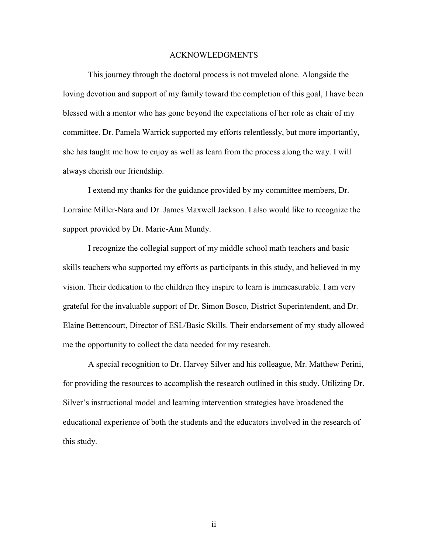#### ACKNOWLEDGMENTS

This journey through the doctoral process is not traveled alone. Alongside the loving devotion and support of my family toward the completion of this goal, I have been blessed with a mentor who has gone beyond the expectations of her role as chair of my committee. Dr. Pamela Warrick supported my efforts relentlessly, but more importantly, she has taught me how to enjoy as well as learn from the process along the way. I will always cherish our friendship.

I extend my thanks for the guidance provided by my committee members, Dr. Lorraine Miller-Nara and Dr. James Maxwell Jackson. I also would like to recognize the support provided by Dr. Marie-Ann Mundy.

I recognize the collegial support of my middle school math teachers and basic skills teachers who supported my efforts as participants in this study, and believed in my vision. Their dedication to the children they inspire to learn is immeasurable. I am very grateful for the invaluable support of Dr. Simon Bosco, District Superintendent, and Dr. Elaine Bettencourt, Director of ESL/Basic Skills. Their endorsement of my study allowed me the opportunity to collect the data needed for my research.

A special recognition to Dr. Harvey Silver and his colleague, Mr. Matthew Perini, for providing the resources to accomplish the research outlined in this study. Utilizing Dr. Silver's instructional model and learning intervention strategies have broadened the educational experience of both the students and the educators involved in the research of this study.

ii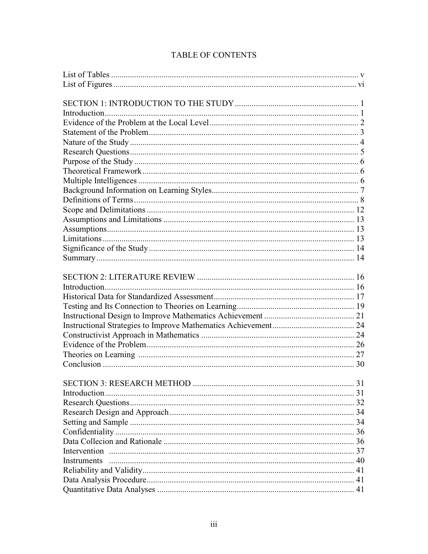| <b>SECTION 3: RESEARCH METHOD</b> | 31 |
|-----------------------------------|----|
|                                   |    |
|                                   |    |
|                                   |    |
|                                   |    |
|                                   |    |
|                                   |    |
|                                   |    |
| <b>Instruments</b>                |    |
|                                   |    |
|                                   |    |
|                                   |    |

## **TABLE OF CONTENTS**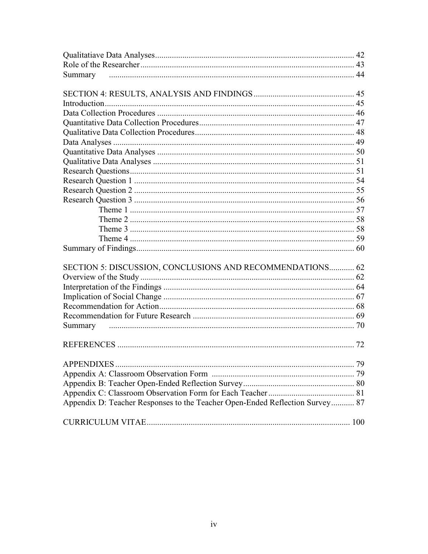| Summary                                                                      |  |
|------------------------------------------------------------------------------|--|
|                                                                              |  |
|                                                                              |  |
|                                                                              |  |
|                                                                              |  |
|                                                                              |  |
|                                                                              |  |
|                                                                              |  |
|                                                                              |  |
|                                                                              |  |
|                                                                              |  |
|                                                                              |  |
|                                                                              |  |
|                                                                              |  |
|                                                                              |  |
|                                                                              |  |
|                                                                              |  |
|                                                                              |  |
|                                                                              |  |
| SECTION 5: DISCUSSION, CONCLUSIONS AND RECOMMENDATIONS 62                    |  |
|                                                                              |  |
|                                                                              |  |
|                                                                              |  |
|                                                                              |  |
|                                                                              |  |
|                                                                              |  |
|                                                                              |  |
|                                                                              |  |
|                                                                              |  |
|                                                                              |  |
|                                                                              |  |
|                                                                              |  |
| Appendix D: Teacher Responses to the Teacher Open-Ended Reflection Survey 87 |  |
|                                                                              |  |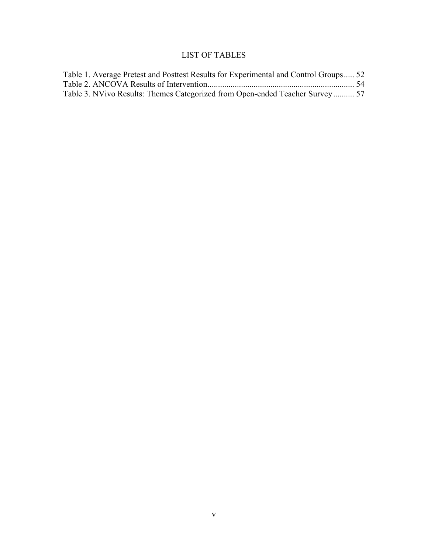## LIST OF TABLES

| Table 1. Average Pretest and Posttest Results for Experimental and Control Groups 52 |  |
|--------------------------------------------------------------------------------------|--|
|                                                                                      |  |
| Table 3. NVivo Results: Themes Categorized from Open-ended Teacher Survey 57         |  |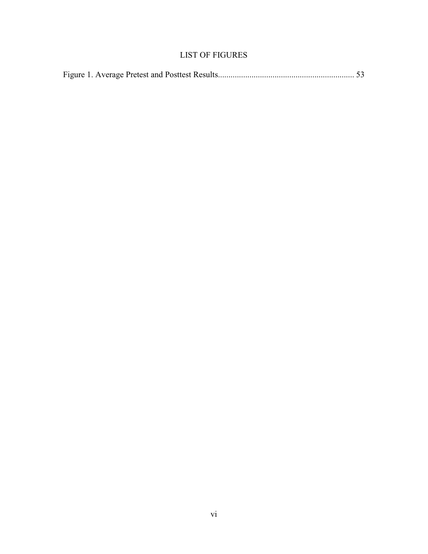## LIST OF FIGURES

|--|--|--|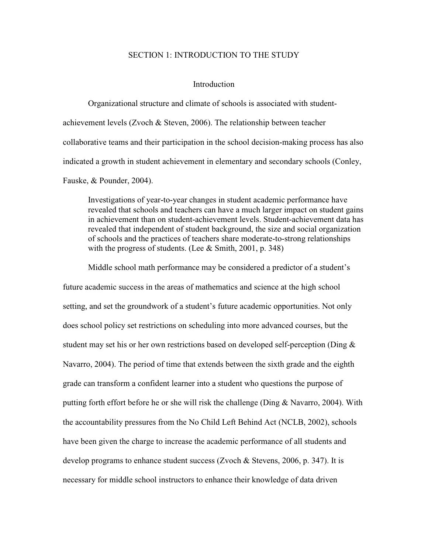#### SECTION 1: INTRODUCTION TO THE STUDY

#### Introduction

Organizational structure and climate of schools is associated with studentachievement levels (Zvoch & Steven, 2006). The relationship between teacher collaborative teams and their participation in the school decision-making process has also indicated a growth in student achievement in elementary and secondary schools (Conley, Fauske, & Pounder, 2004).

Investigations of year-to-year changes in student academic performance have revealed that schools and teachers can have a much larger impact on student gains in achievement than on student-achievement levels. Student-achievement data has revealed that independent of student background, the size and social organization of schools and the practices of teachers share moderate-to-strong relationships with the progress of students. (Lee & Smith, 2001, p. 348)

Middle school math performance may be considered a predictor of a student's future academic success in the areas of mathematics and science at the high school setting, and set the groundwork of a student's future academic opportunities. Not only does school policy set restrictions on scheduling into more advanced courses, but the student may set his or her own restrictions based on developed self-perception (Ding  $\&$ Navarro, 2004). The period of time that extends between the sixth grade and the eighth grade can transform a confident learner into a student who questions the purpose of putting forth effort before he or she will risk the challenge (Ding & Navarro, 2004). With the accountability pressures from the No Child Left Behind Act (NCLB, 2002), schools have been given the charge to increase the academic performance of all students and develop programs to enhance student success (Zvoch & Stevens, 2006, p. 347). It is necessary for middle school instructors to enhance their knowledge of data driven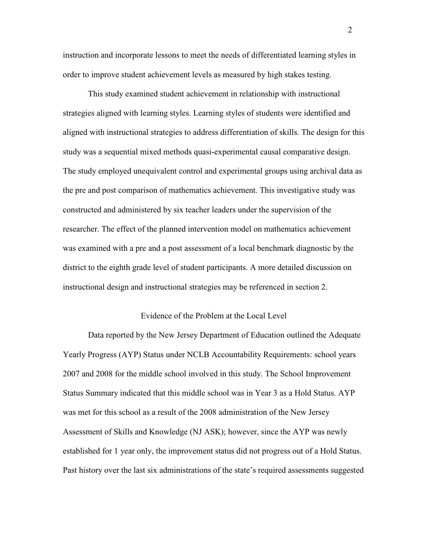instruction and incorporate lessons to meet the needs of differentiated learning styles in order to improve student achievement levels as measured by high stakes testing.

This study examined student achievement in relationship with instructional strategies aligned with learning styles. Learning styles of students were identified and aligned with instructional strategies to address differentiation of skills. The design for this study was a sequential mixed methods quasi-experimental causal comparative design. The study employed unequivalent control and experimental groups using archival data as the pre and post comparison of mathematics achievement. This investigative study was constructed and administered by six teacher leaders under the supervision of the researcher. The effect of the planned intervention model on mathematics achievement was examined with a pre and a post assessment of a local benchmark diagnostic by the district to the eighth grade level of student participants. A more detailed discussion on instructional design and instructional strategies may be referenced in section 2.

#### Evidence of the Problem at the Local Level

Data reported by the New Jersey Department of Education outlined the Adequate Yearly Progress (AYP) Status under NCLB Accountability Requirements: school years 2007 and 2008 for the middle school involved in this study. The School Improvement Status Summary indicated that this middle school was in Year 3 as a Hold Status. AYP was met for this school as a result of the 2008 administration of the New Jersey Assessment of Skills and Knowledge (NJ ASK); however, since the AYP was newly established for 1 year only, the improvement status did not progress out of a Hold Status. Past history over the last six administrations of the state's required assessments suggested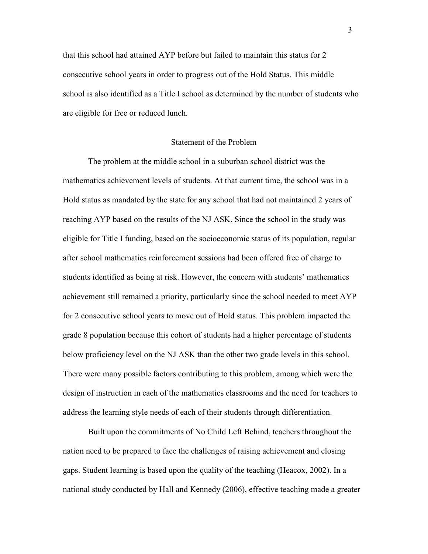that this school had attained AYP before but failed to maintain this status for 2 consecutive school years in order to progress out of the Hold Status. This middle school is also identified as a Title I school as determined by the number of students who are eligible for free or reduced lunch.

#### Statement of the Problem

 The problem at the middle school in a suburban school district was the mathematics achievement levels of students. At that current time, the school was in a Hold status as mandated by the state for any school that had not maintained 2 years of reaching AYP based on the results of the NJ ASK. Since the school in the study was eligible for Title I funding, based on the socioeconomic status of its population, regular after school mathematics reinforcement sessions had been offered free of charge to students identified as being at risk. However, the concern with students' mathematics achievement still remained a priority, particularly since the school needed to meet AYP for 2 consecutive school years to move out of Hold status. This problem impacted the grade 8 population because this cohort of students had a higher percentage of students below proficiency level on the NJ ASK than the other two grade levels in this school. There were many possible factors contributing to this problem, among which were the design of instruction in each of the mathematics classrooms and the need for teachers to address the learning style needs of each of their students through differentiation.

 Built upon the commitments of No Child Left Behind, teachers throughout the nation need to be prepared to face the challenges of raising achievement and closing gaps. Student learning is based upon the quality of the teaching (Heacox, 2002). In a national study conducted by Hall and Kennedy (2006), effective teaching made a greater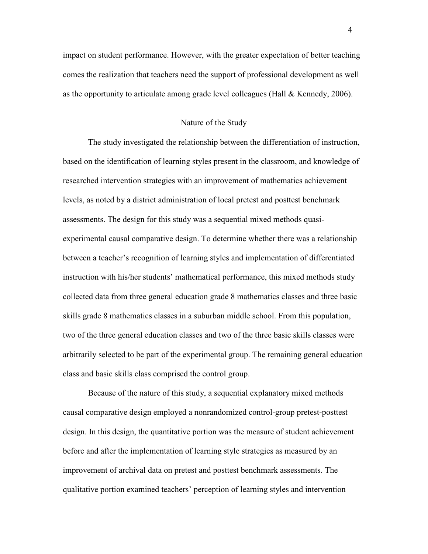impact on student performance. However, with the greater expectation of better teaching comes the realization that teachers need the support of professional development as well as the opportunity to articulate among grade level colleagues (Hall  $&$  Kennedy, 2006).

#### Nature of the Study

 The study investigated the relationship between the differentiation of instruction, based on the identification of learning styles present in the classroom, and knowledge of researched intervention strategies with an improvement of mathematics achievement levels, as noted by a district administration of local pretest and posttest benchmark assessments. The design for this study was a sequential mixed methods quasiexperimental causal comparative design. To determine whether there was a relationship between a teacher's recognition of learning styles and implementation of differentiated instruction with his/her students' mathematical performance, this mixed methods study collected data from three general education grade 8 mathematics classes and three basic skills grade 8 mathematics classes in a suburban middle school. From this population, two of the three general education classes and two of the three basic skills classes were arbitrarily selected to be part of the experimental group. The remaining general education class and basic skills class comprised the control group.

 Because of the nature of this study, a sequential explanatory mixed methods causal comparative design employed a nonrandomized control-group pretest-posttest design. In this design, the quantitative portion was the measure of student achievement before and after the implementation of learning style strategies as measured by an improvement of archival data on pretest and posttest benchmark assessments. The qualitative portion examined teachers' perception of learning styles and intervention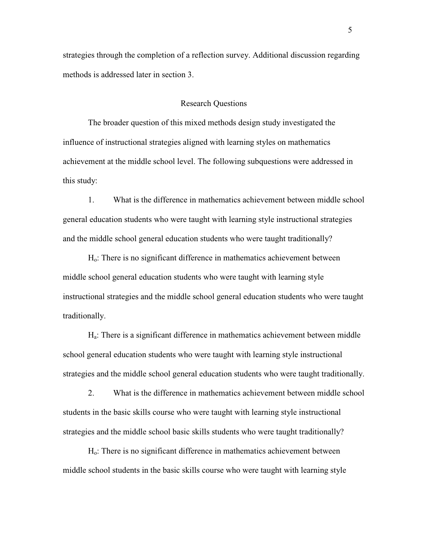strategies through the completion of a reflection survey. Additional discussion regarding methods is addressed later in section 3.

#### Research Questions

The broader question of this mixed methods design study investigated the influence of instructional strategies aligned with learning styles on mathematics achievement at the middle school level. The following subquestions were addressed in this study:

1. What is the difference in mathematics achievement between middle school general education students who were taught with learning style instructional strategies and the middle school general education students who were taught traditionally?

Ho: There is no significant difference in mathematics achievement between middle school general education students who were taught with learning style instructional strategies and the middle school general education students who were taught traditionally.

Ha: There is a significant difference in mathematics achievement between middle school general education students who were taught with learning style instructional strategies and the middle school general education students who were taught traditionally.

2. What is the difference in mathematics achievement between middle school students in the basic skills course who were taught with learning style instructional strategies and the middle school basic skills students who were taught traditionally?

Ho: There is no significant difference in mathematics achievement between middle school students in the basic skills course who were taught with learning style

5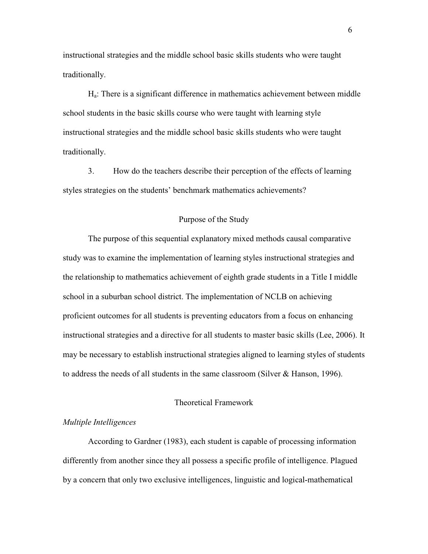instructional strategies and the middle school basic skills students who were taught traditionally.

Ha: There is a significant difference in mathematics achievement between middle school students in the basic skills course who were taught with learning style instructional strategies and the middle school basic skills students who were taught traditionally.

3. How do the teachers describe their perception of the effects of learning styles strategies on the students' benchmark mathematics achievements?

#### Purpose of the Study

 The purpose of this sequential explanatory mixed methods causal comparative study was to examine the implementation of learning styles instructional strategies and the relationship to mathematics achievement of eighth grade students in a Title I middle school in a suburban school district. The implementation of NCLB on achieving proficient outcomes for all students is preventing educators from a focus on enhancing instructional strategies and a directive for all students to master basic skills (Lee, 2006). It may be necessary to establish instructional strategies aligned to learning styles of students to address the needs of all students in the same classroom (Silver & Hanson, 1996).

#### Theoretical Framework

#### *Multiple Intelligences*

According to Gardner (1983), each student is capable of processing information differently from another since they all possess a specific profile of intelligence. Plagued by a concern that only two exclusive intelligences, linguistic and logical-mathematical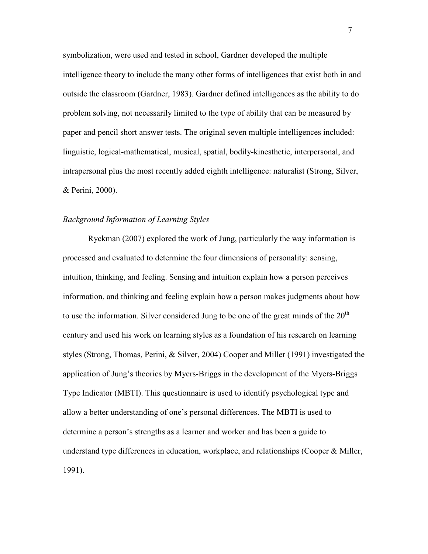symbolization, were used and tested in school, Gardner developed the multiple intelligence theory to include the many other forms of intelligences that exist both in and outside the classroom (Gardner, 1983). Gardner defined intelligences as the ability to do problem solving, not necessarily limited to the type of ability that can be measured by paper and pencil short answer tests. The original seven multiple intelligences included: linguistic, logical-mathematical, musical, spatial, bodily-kinesthetic, interpersonal, and intrapersonal plus the most recently added eighth intelligence: naturalist (Strong, Silver, & Perini, 2000).

#### *Background Information of Learning Styles*

Ryckman (2007) explored the work of Jung, particularly the way information is processed and evaluated to determine the four dimensions of personality: sensing, intuition, thinking, and feeling. Sensing and intuition explain how a person perceives information, and thinking and feeling explain how a person makes judgments about how to use the information. Silver considered Jung to be one of the great minds of the  $20<sup>th</sup>$ century and used his work on learning styles as a foundation of his research on learning styles (Strong, Thomas, Perini, & Silver, 2004) Cooper and Miller (1991) investigated the application of Jung's theories by Myers-Briggs in the development of the Myers-Briggs Type Indicator (MBTI). This questionnaire is used to identify psychological type and allow a better understanding of one's personal differences. The MBTI is used to determine a person's strengths as a learner and worker and has been a guide to understand type differences in education, workplace, and relationships (Cooper & Miller, 1991).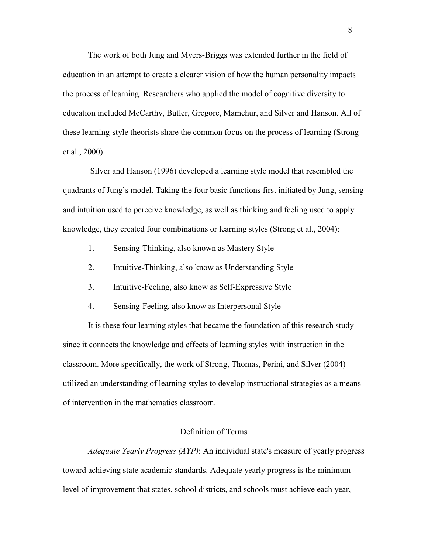The work of both Jung and Myers-Briggs was extended further in the field of education in an attempt to create a clearer vision of how the human personality impacts the process of learning. Researchers who applied the model of cognitive diversity to education included McCarthy, Butler, Gregorc, Mamchur, and Silver and Hanson. All of these learning-style theorists share the common focus on the process of learning (Strong et al., 2000).

 Silver and Hanson (1996) developed a learning style model that resembled the quadrants of Jung's model. Taking the four basic functions first initiated by Jung, sensing and intuition used to perceive knowledge, as well as thinking and feeling used to apply knowledge, they created four combinations or learning styles (Strong et al., 2004):

- 1. Sensing-Thinking, also known as Mastery Style
- 2. Intuitive-Thinking, also know as Understanding Style
- 3. Intuitive-Feeling, also know as Self-Expressive Style
- 4. Sensing-Feeling, also know as Interpersonal Style

It is these four learning styles that became the foundation of this research study since it connects the knowledge and effects of learning styles with instruction in the classroom. More specifically, the work of Strong, Thomas, Perini, and Silver (2004) utilized an understanding of learning styles to develop instructional strategies as a means of intervention in the mathematics classroom.

#### Definition of Terms

*Adequate Yearly Progress (AYP)*: An individual state's measure of yearly progress toward achieving state academic standards. Adequate yearly progress is the minimum level of improvement that states, school districts, and schools must achieve each year,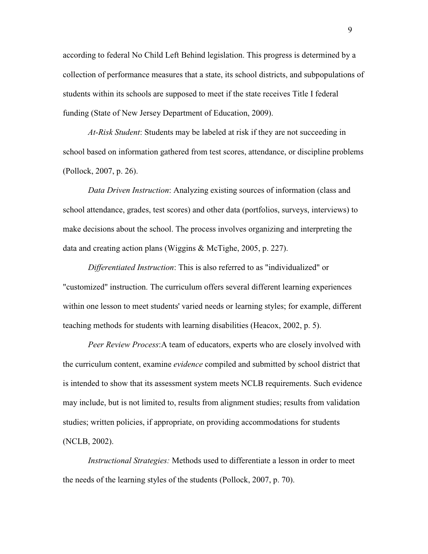according to federal No Child Left Behind legislation. This progress is determined by a collection of performance measures that a state, its school districts, and subpopulations of students within its schools are supposed to meet if the state receives Title I federal funding (State of New Jersey Department of Education, 2009).

*At-Risk Student*: Students may be labeled at risk if they are not succeeding in school based on information gathered from test scores, attendance, or discipline problems (Pollock, 2007, p. 26).

*Data Driven Instruction*: Analyzing existing sources of information (class and school attendance, grades, test scores) and other data (portfolios, surveys, interviews) to make decisions about the school. The process involves organizing and interpreting the data and creating action plans (Wiggins & McTighe, 2005, p. 227).

*Differentiated Instruction*: This is also referred to as "individualized" or "customized" instruction. The curriculum offers several different learning experiences within one lesson to meet students' varied needs or learning styles; for example, different teaching methods for students with learning disabilities (Heacox, 2002, p. 5).

*Peer Review Process*:A team of educators, experts who are closely involved with the curriculum content, examine *evidence* compiled and submitted by school district that is intended to show that its assessment system meets NCLB requirements. Such evidence may include, but is not limited to, results from alignment studies; results from validation studies; written policies, if appropriate, on providing accommodations for students (NCLB, 2002).

*Instructional Strategies:* Methods used to differentiate a lesson in order to meet the needs of the learning styles of the students (Pollock, 2007, p. 70).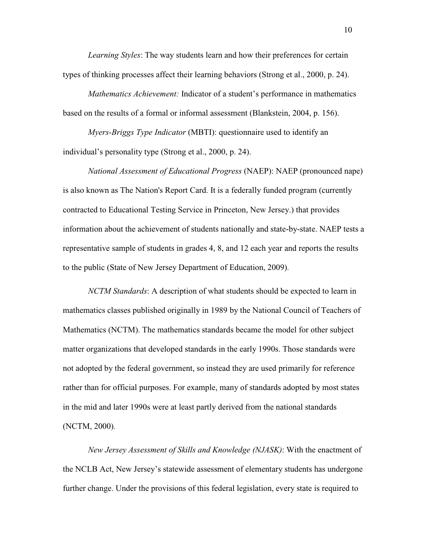*Learning Styles*: The way students learn and how their preferences for certain types of thinking processes affect their learning behaviors (Strong et al., 2000, p. 24).

*Mathematics Achievement:* Indicator of a student's performance in mathematics based on the results of a formal or informal assessment (Blankstein, 2004, p. 156).

*Myers-Briggs Type Indicator* (MBTI): questionnaire used to identify an individual's personality type (Strong et al., 2000, p. 24).

*National Assessment of Educational Progress* (NAEP): NAEP (pronounced nape) is also known as The Nation's Report Card. It is a federally funded program (currently contracted to Educational Testing Service in Princeton, New Jersey.) that provides information about the achievement of students nationally and state-by-state. NAEP tests a representative sample of students in grades 4, 8, and 12 each year and reports the results to the public (State of New Jersey Department of Education, 2009).

*NCTM Standards*: A description of what students should be expected to learn in mathematics classes published originally in 1989 by the National Council of Teachers of Mathematics (NCTM). The mathematics standards became the model for other subject matter organizations that developed standards in the early 1990s. Those standards were not adopted by the federal government, so instead they are used primarily for reference rather than for official purposes. For example, many of standards adopted by most states in the mid and later 1990s were at least partly derived from the national standards (NCTM, 2000).

*New Jersey Assessment of Skills and Knowledge (NJASK)*: With the enactment of the NCLB Act, New Jersey's statewide assessment of elementary students has undergone further change. Under the provisions of this federal legislation, every state is required to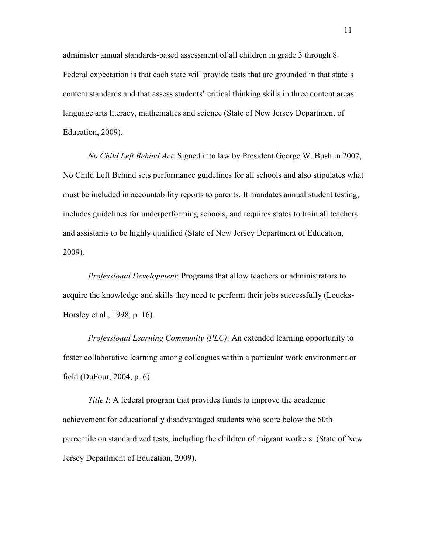administer annual standards-based assessment of all children in grade 3 through 8. Federal expectation is that each state will provide tests that are grounded in that state's content standards and that assess students' critical thinking skills in three content areas: language arts literacy, mathematics and science (State of New Jersey Department of Education, 2009).

*No Child Left Behind Act*: Signed into law by President George W. Bush in 2002, No Child Left Behind sets performance guidelines for all schools and also stipulates what must be included in accountability reports to parents. It mandates annual student testing, includes guidelines for underperforming schools, and requires states to train all teachers and assistants to be highly qualified (State of New Jersey Department of Education, 2009).

*Professional Development*: Programs that allow teachers or administrators to acquire the knowledge and skills they need to perform their jobs successfully (Loucks-Horsley et al., 1998, p. 16).

*Professional Learning Community (PLC)*: An extended learning opportunity to foster collaborative learning among colleagues within a particular work environment or field (DuFour, 2004, p. 6).

*Title I*: A federal program that provides funds to improve the academic achievement for educationally disadvantaged students who score below the 50th percentile on standardized tests, including the children of migrant workers. (State of New Jersey Department of Education, 2009).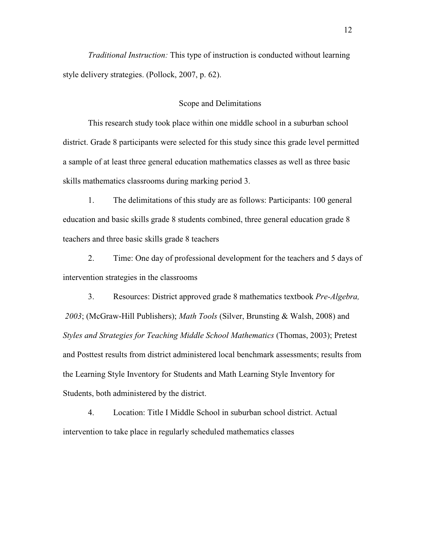*Traditional Instruction:* This type of instruction is conducted without learning style delivery strategies. (Pollock, 2007, p. 62).

#### Scope and Delimitations

 This research study took place within one middle school in a suburban school district. Grade 8 participants were selected for this study since this grade level permitted a sample of at least three general education mathematics classes as well as three basic skills mathematics classrooms during marking period 3.

1. The delimitations of this study are as follows: Participants: 100 general education and basic skills grade 8 students combined, three general education grade 8 teachers and three basic skills grade 8 teachers

2. Time: One day of professional development for the teachers and 5 days of intervention strategies in the classrooms

3. Resources: District approved grade 8 mathematics textbook *Pre-Algebra, 2003*; (McGraw-Hill Publishers); *Math Tools* (Silver, Brunsting & Walsh, 2008) and *Styles and Strategies for Teaching Middle School Mathematics* (Thomas, 2003); Pretest and Posttest results from district administered local benchmark assessments; results from the Learning Style Inventory for Students and Math Learning Style Inventory for Students, both administered by the district.

4. Location: Title I Middle School in suburban school district. Actual intervention to take place in regularly scheduled mathematics classes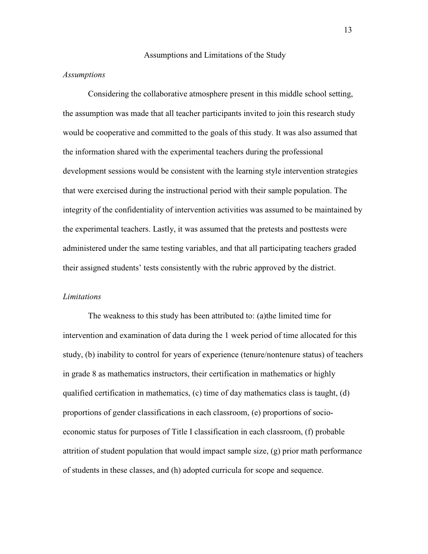#### Assumptions and Limitations of the Study

#### *Assumptions*

Considering the collaborative atmosphere present in this middle school setting, the assumption was made that all teacher participants invited to join this research study would be cooperative and committed to the goals of this study. It was also assumed that the information shared with the experimental teachers during the professional development sessions would be consistent with the learning style intervention strategies that were exercised during the instructional period with their sample population. The integrity of the confidentiality of intervention activities was assumed to be maintained by the experimental teachers. Lastly, it was assumed that the pretests and posttests were administered under the same testing variables, and that all participating teachers graded their assigned students' tests consistently with the rubric approved by the district.

#### *Limitations*

The weakness to this study has been attributed to: (a)the limited time for intervention and examination of data during the 1 week period of time allocated for this study, (b) inability to control for years of experience (tenure/nontenure status) of teachers in grade 8 as mathematics instructors, their certification in mathematics or highly qualified certification in mathematics,  $(c)$  time of day mathematics class is taught,  $(d)$ proportions of gender classifications in each classroom, (e) proportions of socioeconomic status for purposes of Title I classification in each classroom, (f) probable attrition of student population that would impact sample size, (g) prior math performance of students in these classes, and (h) adopted curricula for scope and sequence.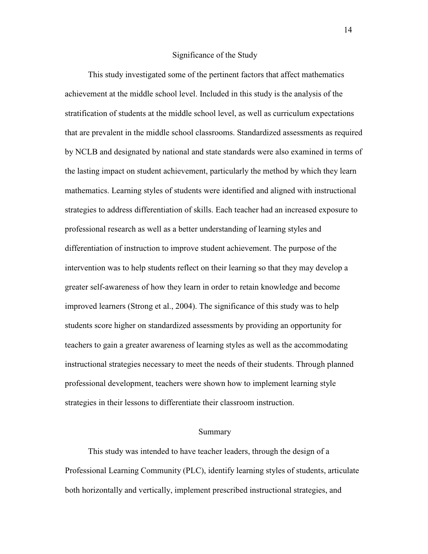#### Significance of the Study

 This study investigated some of the pertinent factors that affect mathematics achievement at the middle school level. Included in this study is the analysis of the stratification of students at the middle school level, as well as curriculum expectations that are prevalent in the middle school classrooms. Standardized assessments as required by NCLB and designated by national and state standards were also examined in terms of the lasting impact on student achievement, particularly the method by which they learn mathematics. Learning styles of students were identified and aligned with instructional strategies to address differentiation of skills. Each teacher had an increased exposure to professional research as well as a better understanding of learning styles and differentiation of instruction to improve student achievement. The purpose of the intervention was to help students reflect on their learning so that they may develop a greater self-awareness of how they learn in order to retain knowledge and become improved learners (Strong et al., 2004). The significance of this study was to help students score higher on standardized assessments by providing an opportunity for teachers to gain a greater awareness of learning styles as well as the accommodating instructional strategies necessary to meet the needs of their students. Through planned professional development, teachers were shown how to implement learning style strategies in their lessons to differentiate their classroom instruction.

#### Summary

 This study was intended to have teacher leaders, through the design of a Professional Learning Community (PLC), identify learning styles of students, articulate both horizontally and vertically, implement prescribed instructional strategies, and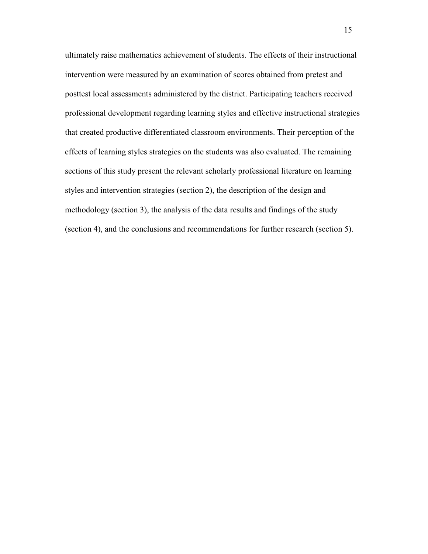ultimately raise mathematics achievement of students. The effects of their instructional intervention were measured by an examination of scores obtained from pretest and posttest local assessments administered by the district. Participating teachers received professional development regarding learning styles and effective instructional strategies that created productive differentiated classroom environments. Their perception of the effects of learning styles strategies on the students was also evaluated. The remaining sections of this study present the relevant scholarly professional literature on learning styles and intervention strategies (section 2), the description of the design and methodology (section 3), the analysis of the data results and findings of the study (section 4), and the conclusions and recommendations for further research (section 5).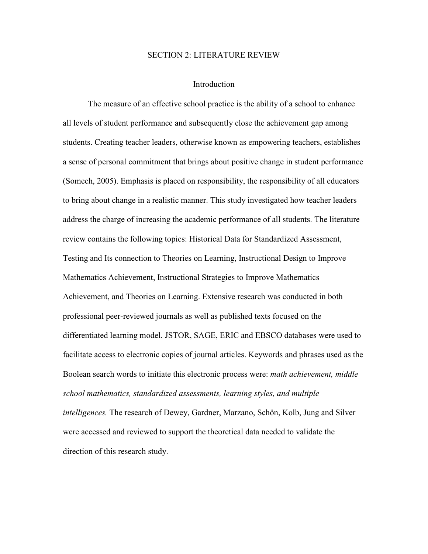#### SECTION 2: LITERATURE REVIEW

#### Introduction

 The measure of an effective school practice is the ability of a school to enhance all levels of student performance and subsequently close the achievement gap among students. Creating teacher leaders, otherwise known as empowering teachers, establishes a sense of personal commitment that brings about positive change in student performance (Somech, 2005). Emphasis is placed on responsibility, the responsibility of all educators to bring about change in a realistic manner. This study investigated how teacher leaders address the charge of increasing the academic performance of all students. The literature review contains the following topics: Historical Data for Standardized Assessment, Testing and Its connection to Theories on Learning, Instructional Design to Improve Mathematics Achievement, Instructional Strategies to Improve Mathematics Achievement, and Theories on Learning. Extensive research was conducted in both professional peer-reviewed journals as well as published texts focused on the differentiated learning model. JSTOR, SAGE, ERIC and EBSCO databases were used to facilitate access to electronic copies of journal articles. Keywords and phrases used as the Boolean search words to initiate this electronic process were: *math achievement, middle school mathematics, standardized assessments, learning styles, and multiple intelligences.* The research of Dewey, Gardner, Marzano, Schön, Kolb, Jung and Silver were accessed and reviewed to support the theoretical data needed to validate the direction of this research study.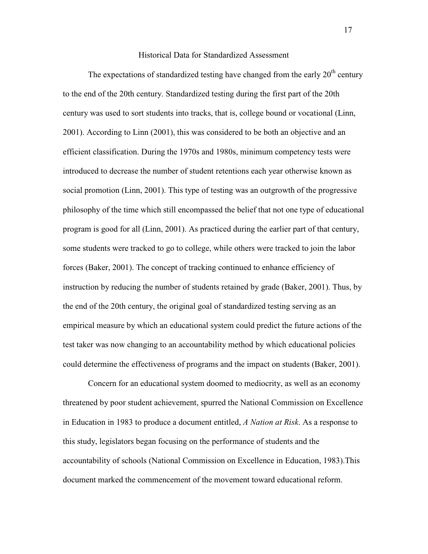#### Historical Data for Standardized Assessment

The expectations of standardized testing have changed from the early  $20<sup>th</sup>$  century to the end of the 20th century. Standardized testing during the first part of the 20th century was used to sort students into tracks, that is, college bound or vocational (Linn, 2001). According to Linn (2001), this was considered to be both an objective and an efficient classification. During the 1970s and 1980s, minimum competency tests were introduced to decrease the number of student retentions each year otherwise known as social promotion (Linn, 2001). This type of testing was an outgrowth of the progressive philosophy of the time which still encompassed the belief that not one type of educational program is good for all (Linn, 2001). As practiced during the earlier part of that century, some students were tracked to go to college, while others were tracked to join the labor forces (Baker, 2001). The concept of tracking continued to enhance efficiency of instruction by reducing the number of students retained by grade (Baker, 2001). Thus, by the end of the 20th century, the original goal of standardized testing serving as an empirical measure by which an educational system could predict the future actions of the test taker was now changing to an accountability method by which educational policies could determine the effectiveness of programs and the impact on students (Baker, 2001).

 Concern for an educational system doomed to mediocrity, as well as an economy threatened by poor student achievement, spurred the National Commission on Excellence in Education in 1983 to produce a document entitled, *A Nation at Risk*. As a response to this study, legislators began focusing on the performance of students and the accountability of schools (National Commission on Excellence in Education, 1983).This document marked the commencement of the movement toward educational reform.

17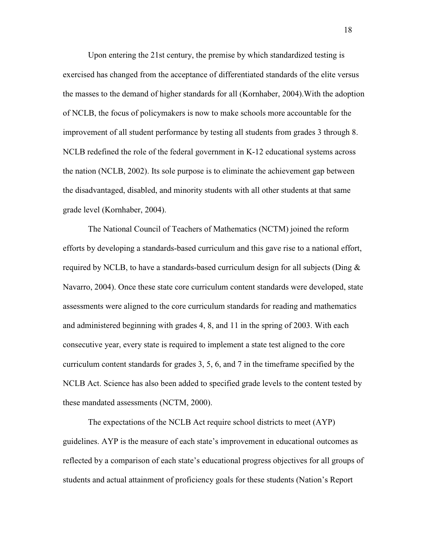Upon entering the 21st century, the premise by which standardized testing is exercised has changed from the acceptance of differentiated standards of the elite versus the masses to the demand of higher standards for all (Kornhaber, 2004).With the adoption of NCLB, the focus of policymakers is now to make schools more accountable for the improvement of all student performance by testing all students from grades 3 through 8. NCLB redefined the role of the federal government in K-12 educational systems across the nation (NCLB, 2002). Its sole purpose is to eliminate the achievement gap between the disadvantaged, disabled, and minority students with all other students at that same grade level (Kornhaber, 2004).

The National Council of Teachers of Mathematics (NCTM) joined the reform efforts by developing a standards-based curriculum and this gave rise to a national effort, required by NCLB, to have a standards-based curriculum design for all subjects (Ding  $\&$ Navarro, 2004). Once these state core curriculum content standards were developed, state assessments were aligned to the core curriculum standards for reading and mathematics and administered beginning with grades 4, 8, and 11 in the spring of 2003. With each consecutive year, every state is required to implement a state test aligned to the core curriculum content standards for grades 3, 5, 6, and 7 in the timeframe specified by the NCLB Act. Science has also been added to specified grade levels to the content tested by these mandated assessments (NCTM, 2000).

The expectations of the NCLB Act require school districts to meet (AYP) guidelines. AYP is the measure of each state's improvement in educational outcomes as reflected by a comparison of each state's educational progress objectives for all groups of students and actual attainment of proficiency goals for these students (Nation's Report

18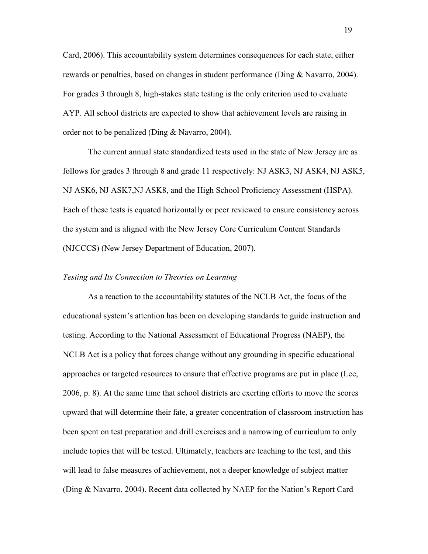Card, 2006). This accountability system determines consequences for each state, either rewards or penalties, based on changes in student performance (Ding & Navarro, 2004). For grades 3 through 8, high-stakes state testing is the only criterion used to evaluate AYP. All school districts are expected to show that achievement levels are raising in order not to be penalized (Ding & Navarro, 2004).

The current annual state standardized tests used in the state of New Jersey are as follows for grades 3 through 8 and grade 11 respectively: NJ ASK3, NJ ASK4, NJ ASK5, NJ ASK6, NJ ASK7,NJ ASK8, and the High School Proficiency Assessment (HSPA). Each of these tests is equated horizontally or peer reviewed to ensure consistency across the system and is aligned with the New Jersey Core Curriculum Content Standards (NJCCCS) (New Jersey Department of Education, 2007).

#### *Testing and Its Connection to Theories on Learning*

As a reaction to the accountability statutes of the NCLB Act, the focus of the educational system's attention has been on developing standards to guide instruction and testing. According to the National Assessment of Educational Progress (NAEP), the NCLB Act is a policy that forces change without any grounding in specific educational approaches or targeted resources to ensure that effective programs are put in place (Lee, 2006, p. 8). At the same time that school districts are exerting efforts to move the scores upward that will determine their fate, a greater concentration of classroom instruction has been spent on test preparation and drill exercises and a narrowing of curriculum to only include topics that will be tested. Ultimately, teachers are teaching to the test, and this will lead to false measures of achievement, not a deeper knowledge of subject matter (Ding & Navarro, 2004). Recent data collected by NAEP for the Nation's Report Card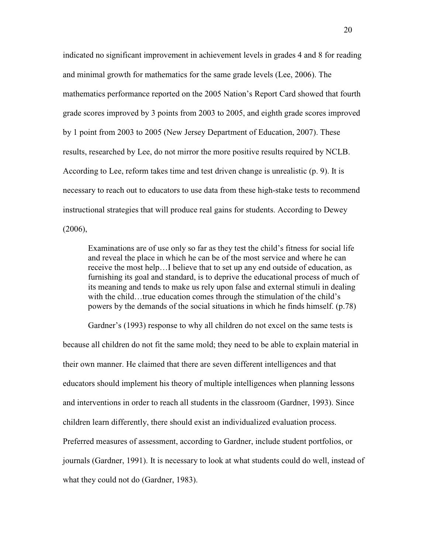indicated no significant improvement in achievement levels in grades 4 and 8 for reading and minimal growth for mathematics for the same grade levels (Lee, 2006). The mathematics performance reported on the 2005 Nation's Report Card showed that fourth grade scores improved by 3 points from 2003 to 2005, and eighth grade scores improved by 1 point from 2003 to 2005 (New Jersey Department of Education, 2007). These results, researched by Lee, do not mirror the more positive results required by NCLB. According to Lee, reform takes time and test driven change is unrealistic (p. 9). It is necessary to reach out to educators to use data from these high-stake tests to recommend instructional strategies that will produce real gains for students. According to Dewey (2006),

Examinations are of use only so far as they test the child's fitness for social life and reveal the place in which he can be of the most service and where he can receive the most help…I believe that to set up any end outside of education, as furnishing its goal and standard, is to deprive the educational process of much of its meaning and tends to make us rely upon false and external stimuli in dealing with the child…true education comes through the stimulation of the child's powers by the demands of the social situations in which he finds himself. (p.78)

Gardner's (1993) response to why all children do not excel on the same tests is because all children do not fit the same mold; they need to be able to explain material in their own manner. He claimed that there are seven different intelligences and that educators should implement his theory of multiple intelligences when planning lessons and interventions in order to reach all students in the classroom (Gardner, 1993). Since children learn differently, there should exist an individualized evaluation process. Preferred measures of assessment, according to Gardner, include student portfolios, or journals (Gardner, 1991). It is necessary to look at what students could do well, instead of what they could not do (Gardner, 1983).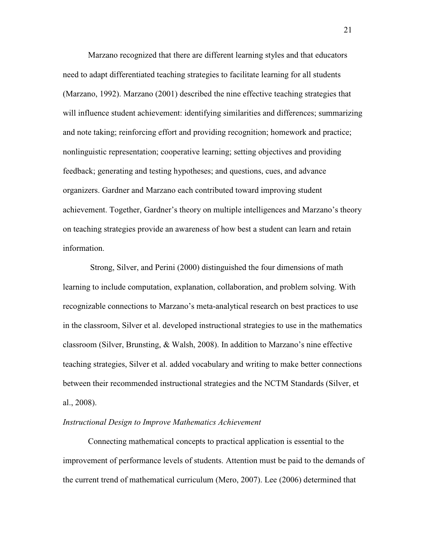Marzano recognized that there are different learning styles and that educators need to adapt differentiated teaching strategies to facilitate learning for all students (Marzano, 1992). Marzano (2001) described the nine effective teaching strategies that will influence student achievement: identifying similarities and differences; summarizing and note taking; reinforcing effort and providing recognition; homework and practice; nonlinguistic representation; cooperative learning; setting objectives and providing feedback; generating and testing hypotheses; and questions, cues, and advance organizers. Gardner and Marzano each contributed toward improving student achievement. Together, Gardner's theory on multiple intelligences and Marzano's theory on teaching strategies provide an awareness of how best a student can learn and retain information.

 Strong, Silver, and Perini (2000) distinguished the four dimensions of math learning to include computation, explanation, collaboration, and problem solving. With recognizable connections to Marzano's meta-analytical research on best practices to use in the classroom, Silver et al. developed instructional strategies to use in the mathematics classroom (Silver, Brunsting, & Walsh, 2008). In addition to Marzano's nine effective teaching strategies, Silver et al. added vocabulary and writing to make better connections between their recommended instructional strategies and the NCTM Standards (Silver, et al., 2008).

#### *Instructional Design to Improve Mathematics Achievement*

Connecting mathematical concepts to practical application is essential to the improvement of performance levels of students. Attention must be paid to the demands of the current trend of mathematical curriculum (Mero, 2007). Lee (2006) determined that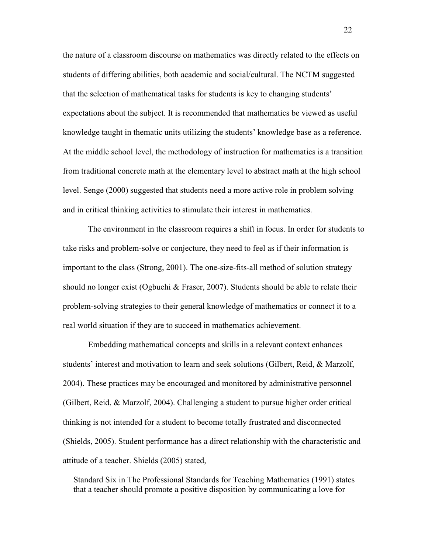the nature of a classroom discourse on mathematics was directly related to the effects on students of differing abilities, both academic and social/cultural. The NCTM suggested that the selection of mathematical tasks for students is key to changing students' expectations about the subject. It is recommended that mathematics be viewed as useful knowledge taught in thematic units utilizing the students' knowledge base as a reference. At the middle school level, the methodology of instruction for mathematics is a transition from traditional concrete math at the elementary level to abstract math at the high school level. Senge (2000) suggested that students need a more active role in problem solving and in critical thinking activities to stimulate their interest in mathematics.

The environment in the classroom requires a shift in focus. In order for students to take risks and problem-solve or conjecture, they need to feel as if their information is important to the class (Strong, 2001). The one-size-fits-all method of solution strategy should no longer exist (Ogbuehi & Fraser, 2007). Students should be able to relate their problem-solving strategies to their general knowledge of mathematics or connect it to a real world situation if they are to succeed in mathematics achievement.

Embedding mathematical concepts and skills in a relevant context enhances students' interest and motivation to learn and seek solutions (Gilbert, Reid, & Marzolf, 2004). These practices may be encouraged and monitored by administrative personnel (Gilbert, Reid, & Marzolf, 2004). Challenging a student to pursue higher order critical thinking is not intended for a student to become totally frustrated and disconnected (Shields, 2005). Student performance has a direct relationship with the characteristic and attitude of a teacher. Shields (2005) stated,

Standard Six in The Professional Standards for Teaching Mathematics (1991) states that a teacher should promote a positive disposition by communicating a love for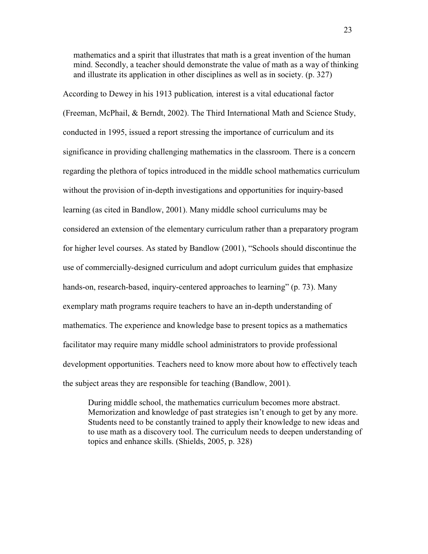mathematics and a spirit that illustrates that math is a great invention of the human mind. Secondly, a teacher should demonstrate the value of math as a way of thinking and illustrate its application in other disciplines as well as in society. (p. 327)

According to Dewey in his 1913 publication*,* interest is a vital educational factor (Freeman, McPhail, & Berndt, 2002). The Third International Math and Science Study, conducted in 1995, issued a report stressing the importance of curriculum and its significance in providing challenging mathematics in the classroom. There is a concern regarding the plethora of topics introduced in the middle school mathematics curriculum without the provision of in-depth investigations and opportunities for inquiry-based learning (as cited in Bandlow, 2001). Many middle school curriculums may be considered an extension of the elementary curriculum rather than a preparatory program for higher level courses. As stated by Bandlow (2001), "Schools should discontinue the use of commercially-designed curriculum and adopt curriculum guides that emphasize hands-on, research-based, inquiry-centered approaches to learning" (p. 73). Many exemplary math programs require teachers to have an in-depth understanding of mathematics. The experience and knowledge base to present topics as a mathematics facilitator may require many middle school administrators to provide professional development opportunities. Teachers need to know more about how to effectively teach the subject areas they are responsible for teaching (Bandlow, 2001).

During middle school, the mathematics curriculum becomes more abstract. Memorization and knowledge of past strategies isn't enough to get by any more. Students need to be constantly trained to apply their knowledge to new ideas and to use math as a discovery tool. The curriculum needs to deepen understanding of topics and enhance skills. (Shields, 2005, p. 328)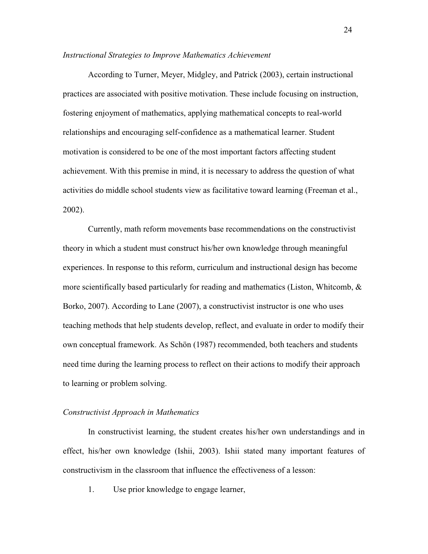#### *Instructional Strategies to Improve Mathematics Achievement*

According to Turner, Meyer, Midgley, and Patrick (2003), certain instructional practices are associated with positive motivation. These include focusing on instruction, fostering enjoyment of mathematics, applying mathematical concepts to real-world relationships and encouraging self-confidence as a mathematical learner. Student motivation is considered to be one of the most important factors affecting student achievement. With this premise in mind, it is necessary to address the question of what activities do middle school students view as facilitative toward learning (Freeman et al., 2002).

Currently, math reform movements base recommendations on the constructivist theory in which a student must construct his/her own knowledge through meaningful experiences. In response to this reform, curriculum and instructional design has become more scientifically based particularly for reading and mathematics (Liston, Whitcomb, & Borko, 2007). According to Lane (2007), a constructivist instructor is one who uses teaching methods that help students develop, reflect, and evaluate in order to modify their own conceptual framework. As Schön (1987) recommended, both teachers and students need time during the learning process to reflect on their actions to modify their approach to learning or problem solving.

# *Constructivist Approach in Mathematics*

In constructivist learning, the student creates his/her own understandings and in effect, his/her own knowledge (Ishii, 2003). Ishii stated many important features of constructivism in the classroom that influence the effectiveness of a lesson:

1. Use prior knowledge to engage learner,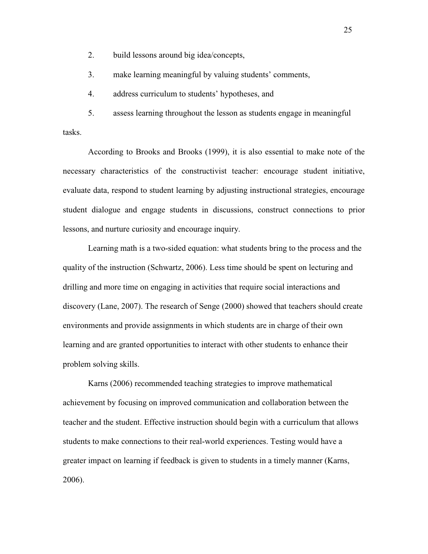2. build lessons around big idea/concepts,

3. make learning meaningful by valuing students' comments,

4. address curriculum to students' hypotheses, and

5. assess learning throughout the lesson as students engage in meaningful tasks.

According to Brooks and Brooks (1999), it is also essential to make note of the necessary characteristics of the constructivist teacher: encourage student initiative, evaluate data, respond to student learning by adjusting instructional strategies, encourage student dialogue and engage students in discussions, construct connections to prior lessons, and nurture curiosity and encourage inquiry.

Learning math is a two-sided equation: what students bring to the process and the quality of the instruction (Schwartz, 2006). Less time should be spent on lecturing and drilling and more time on engaging in activities that require social interactions and discovery (Lane, 2007). The research of Senge (2000) showed that teachers should create environments and provide assignments in which students are in charge of their own learning and are granted opportunities to interact with other students to enhance their problem solving skills.

Karns (2006) recommended teaching strategies to improve mathematical achievement by focusing on improved communication and collaboration between the teacher and the student. Effective instruction should begin with a curriculum that allows students to make connections to their real-world experiences. Testing would have a greater impact on learning if feedback is given to students in a timely manner (Karns, 2006).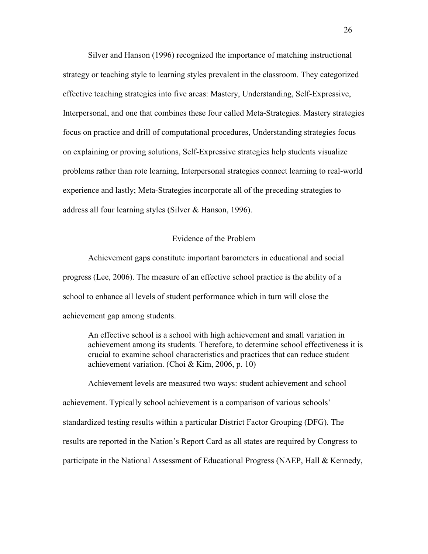Silver and Hanson (1996) recognized the importance of matching instructional strategy or teaching style to learning styles prevalent in the classroom. They categorized effective teaching strategies into five areas: Mastery, Understanding, Self-Expressive, Interpersonal, and one that combines these four called Meta-Strategies. Mastery strategies focus on practice and drill of computational procedures, Understanding strategies focus on explaining or proving solutions, Self-Expressive strategies help students visualize problems rather than rote learning, Interpersonal strategies connect learning to real-world experience and lastly; Meta-Strategies incorporate all of the preceding strategies to address all four learning styles (Silver & Hanson, 1996).

# Evidence of the Problem

Achievement gaps constitute important barometers in educational and social progress (Lee, 2006). The measure of an effective school practice is the ability of a school to enhance all levels of student performance which in turn will close the achievement gap among students.

An effective school is a school with high achievement and small variation in achievement among its students. Therefore, to determine school effectiveness it is crucial to examine school characteristics and practices that can reduce student achievement variation. (Choi & Kim, 2006, p. 10)

Achievement levels are measured two ways: student achievement and school achievement. Typically school achievement is a comparison of various schools' standardized testing results within a particular District Factor Grouping (DFG). The results are reported in the Nation's Report Card as all states are required by Congress to participate in the National Assessment of Educational Progress (NAEP, Hall & Kennedy,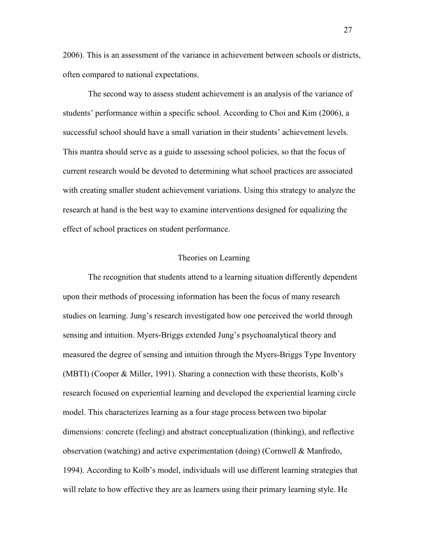2006). This is an assessment of the variance in achievement between schools or districts, often compared to national expectations.

The second way to assess student achievement is an analysis of the variance of students' performance within a specific school. According to Choi and Kim (2006), a successful school should have a small variation in their students' achievement levels. This mantra should serve as a guide to assessing school policies, so that the focus of current research would be devoted to determining what school practices are associated with creating smaller student achievement variations. Using this strategy to analyze the research at hand is the best way to examine interventions designed for equalizing the effect of school practices on student performance.

## Theories on Learning

 The recognition that students attend to a learning situation differently dependent upon their methods of processing information has been the focus of many research studies on learning. Jung's research investigated how one perceived the world through sensing and intuition. Myers-Briggs extended Jung's psychoanalytical theory and measured the degree of sensing and intuition through the Myers-Briggs Type Inventory (MBTI) (Cooper & Miller, 1991). Sharing a connection with these theorists, Kolb's research focused on experiential learning and developed the experiential learning circle model. This characterizes learning as a four stage process between two bipolar dimensions: concrete (feeling) and abstract conceptualization (thinking), and reflective observation (watching) and active experimentation (doing) (Cornwell & Manfredo, 1994). According to Kolb's model, individuals will use different learning strategies that will relate to how effective they are as learners using their primary learning style. He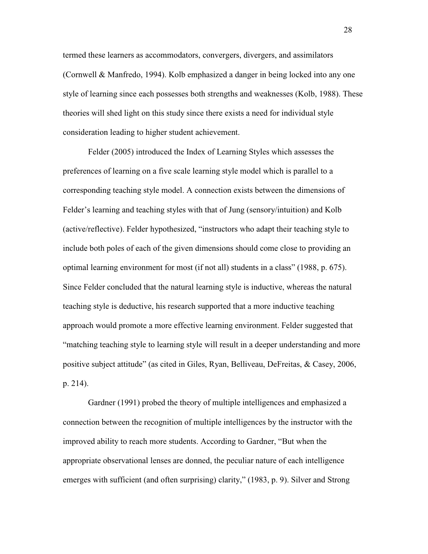termed these learners as accommodators, convergers, divergers, and assimilators (Cornwell & Manfredo, 1994). Kolb emphasized a danger in being locked into any one style of learning since each possesses both strengths and weaknesses (Kolb, 1988). These theories will shed light on this study since there exists a need for individual style consideration leading to higher student achievement.

 Felder (2005) introduced the Index of Learning Styles which assesses the preferences of learning on a five scale learning style model which is parallel to a corresponding teaching style model. A connection exists between the dimensions of Felder's learning and teaching styles with that of Jung (sensory/intuition) and Kolb (active/reflective). Felder hypothesized, "instructors who adapt their teaching style to include both poles of each of the given dimensions should come close to providing an optimal learning environment for most (if not all) students in a class" (1988, p. 675). Since Felder concluded that the natural learning style is inductive, whereas the natural teaching style is deductive, his research supported that a more inductive teaching approach would promote a more effective learning environment. Felder suggested that "matching teaching style to learning style will result in a deeper understanding and more positive subject attitude" (as cited in Giles, Ryan, Belliveau, DeFreitas, & Casey, 2006, p. 214).

 Gardner (1991) probed the theory of multiple intelligences and emphasized a connection between the recognition of multiple intelligences by the instructor with the improved ability to reach more students. According to Gardner, "But when the appropriate observational lenses are donned, the peculiar nature of each intelligence emerges with sufficient (and often surprising) clarity," (1983, p. 9). Silver and Strong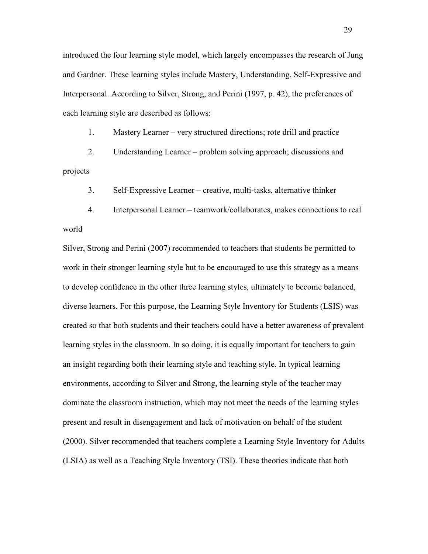introduced the four learning style model, which largely encompasses the research of Jung and Gardner. These learning styles include Mastery, Understanding, Self-Expressive and Interpersonal. According to Silver, Strong, and Perini (1997, p. 42), the preferences of each learning style are described as follows:

1. Mastery Learner – very structured directions; rote drill and practice

2. Understanding Learner – problem solving approach; discussions and projects

3. Self-Expressive Learner – creative, multi-tasks, alternative thinker

4. Interpersonal Learner – teamwork/collaborates, makes connections to real world

Silver, Strong and Perini (2007) recommended to teachers that students be permitted to work in their stronger learning style but to be encouraged to use this strategy as a means to develop confidence in the other three learning styles, ultimately to become balanced, diverse learners. For this purpose, the Learning Style Inventory for Students (LSIS) was created so that both students and their teachers could have a better awareness of prevalent learning styles in the classroom. In so doing, it is equally important for teachers to gain an insight regarding both their learning style and teaching style. In typical learning environments, according to Silver and Strong, the learning style of the teacher may dominate the classroom instruction, which may not meet the needs of the learning styles present and result in disengagement and lack of motivation on behalf of the student (2000). Silver recommended that teachers complete a Learning Style Inventory for Adults (LSIA) as well as a Teaching Style Inventory (TSI). These theories indicate that both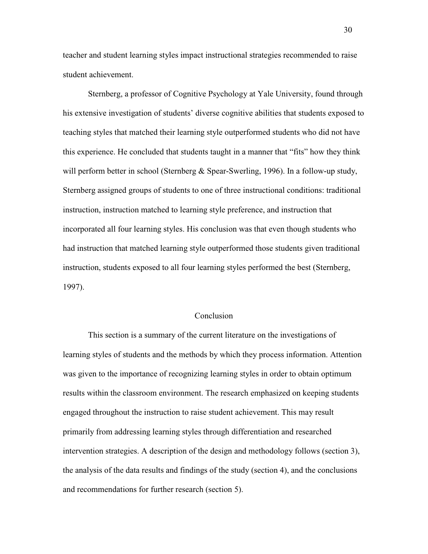teacher and student learning styles impact instructional strategies recommended to raise student achievement.

Sternberg, a professor of Cognitive Psychology at Yale University, found through his extensive investigation of students' diverse cognitive abilities that students exposed to teaching styles that matched their learning style outperformed students who did not have this experience. He concluded that students taught in a manner that "fits" how they think will perform better in school (Sternberg & Spear-Swerling, 1996). In a follow-up study, Sternberg assigned groups of students to one of three instructional conditions: traditional instruction, instruction matched to learning style preference, and instruction that incorporated all four learning styles. His conclusion was that even though students who had instruction that matched learning style outperformed those students given traditional instruction, students exposed to all four learning styles performed the best (Sternberg, 1997).

# Conclusion

 This section is a summary of the current literature on the investigations of learning styles of students and the methods by which they process information. Attention was given to the importance of recognizing learning styles in order to obtain optimum results within the classroom environment. The research emphasized on keeping students engaged throughout the instruction to raise student achievement. This may result primarily from addressing learning styles through differentiation and researched intervention strategies. A description of the design and methodology follows (section 3), the analysis of the data results and findings of the study (section 4), and the conclusions and recommendations for further research (section 5).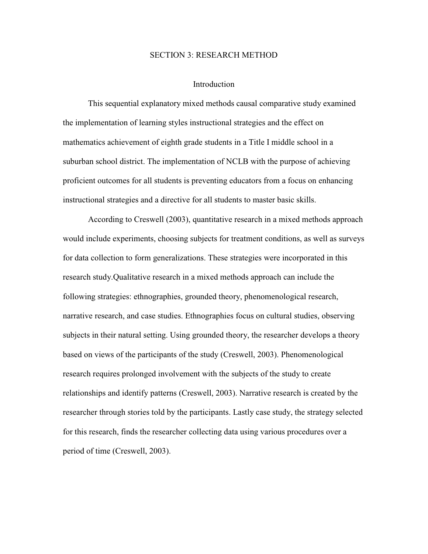#### SECTION 3: RESEARCH METHOD

#### Introduction

 This sequential explanatory mixed methods causal comparative study examined the implementation of learning styles instructional strategies and the effect on mathematics achievement of eighth grade students in a Title I middle school in a suburban school district. The implementation of NCLB with the purpose of achieving proficient outcomes for all students is preventing educators from a focus on enhancing instructional strategies and a directive for all students to master basic skills.

According to Creswell (2003), quantitative research in a mixed methods approach would include experiments, choosing subjects for treatment conditions, as well as surveys for data collection to form generalizations. These strategies were incorporated in this research study.Qualitative research in a mixed methods approach can include the following strategies: ethnographies, grounded theory, phenomenological research, narrative research, and case studies. Ethnographies focus on cultural studies, observing subjects in their natural setting. Using grounded theory, the researcher develops a theory based on views of the participants of the study (Creswell, 2003). Phenomenological research requires prolonged involvement with the subjects of the study to create relationships and identify patterns (Creswell, 2003). Narrative research is created by the researcher through stories told by the participants. Lastly case study, the strategy selected for this research, finds the researcher collecting data using various procedures over a period of time (Creswell, 2003).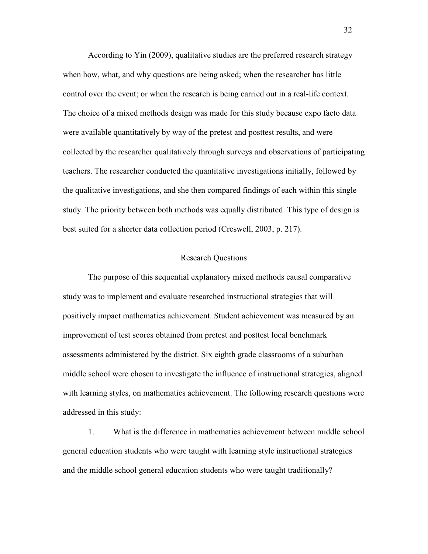According to Yin (2009), qualitative studies are the preferred research strategy when how, what, and why questions are being asked; when the researcher has little control over the event; or when the research is being carried out in a real-life context. The choice of a mixed methods design was made for this study because expo facto data were available quantitatively by way of the pretest and posttest results, and were collected by the researcher qualitatively through surveys and observations of participating teachers. The researcher conducted the quantitative investigations initially, followed by the qualitative investigations, and she then compared findings of each within this single study. The priority between both methods was equally distributed. This type of design is best suited for a shorter data collection period (Creswell, 2003, p. 217).

### Research Questions

The purpose of this sequential explanatory mixed methods causal comparative study was to implement and evaluate researched instructional strategies that will positively impact mathematics achievement. Student achievement was measured by an improvement of test scores obtained from pretest and posttest local benchmark assessments administered by the district. Six eighth grade classrooms of a suburban middle school were chosen to investigate the influence of instructional strategies, aligned with learning styles, on mathematics achievement. The following research questions were addressed in this study:

1. What is the difference in mathematics achievement between middle school general education students who were taught with learning style instructional strategies and the middle school general education students who were taught traditionally?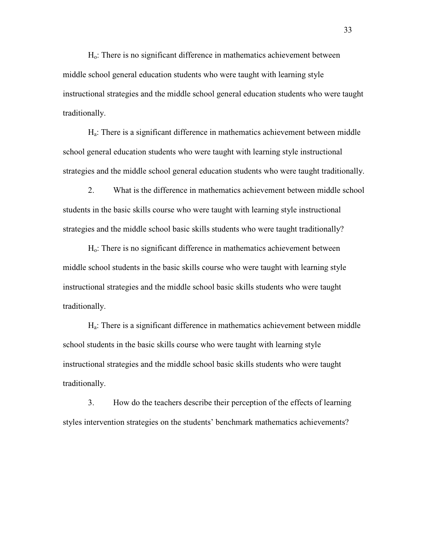Ho: There is no significant difference in mathematics achievement between middle school general education students who were taught with learning style instructional strategies and the middle school general education students who were taught traditionally.

Ha: There is a significant difference in mathematics achievement between middle school general education students who were taught with learning style instructional strategies and the middle school general education students who were taught traditionally.

2. What is the difference in mathematics achievement between middle school students in the basic skills course who were taught with learning style instructional strategies and the middle school basic skills students who were taught traditionally?

Ho: There is no significant difference in mathematics achievement between middle school students in the basic skills course who were taught with learning style instructional strategies and the middle school basic skills students who were taught traditionally.

Ha: There is a significant difference in mathematics achievement between middle school students in the basic skills course who were taught with learning style instructional strategies and the middle school basic skills students who were taught traditionally.

3. How do the teachers describe their perception of the effects of learning styles intervention strategies on the students' benchmark mathematics achievements?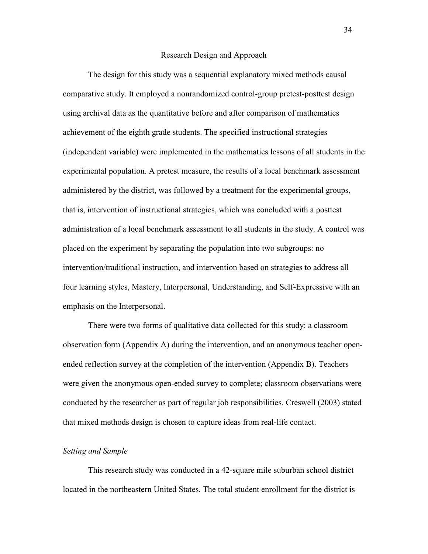#### Research Design and Approach

 The design for this study was a sequential explanatory mixed methods causal comparative study. It employed a nonrandomized control-group pretest-posttest design using archival data as the quantitative before and after comparison of mathematics achievement of the eighth grade students. The specified instructional strategies (independent variable) were implemented in the mathematics lessons of all students in the experimental population. A pretest measure, the results of a local benchmark assessment administered by the district, was followed by a treatment for the experimental groups, that is, intervention of instructional strategies, which was concluded with a posttest administration of a local benchmark assessment to all students in the study. A control was placed on the experiment by separating the population into two subgroups: no intervention/traditional instruction, and intervention based on strategies to address all four learning styles, Mastery, Interpersonal, Understanding, and Self-Expressive with an emphasis on the Interpersonal.

There were two forms of qualitative data collected for this study: a classroom observation form (Appendix A) during the intervention, and an anonymous teacher openended reflection survey at the completion of the intervention (Appendix B). Teachers were given the anonymous open-ended survey to complete; classroom observations were conducted by the researcher as part of regular job responsibilities. Creswell (2003) stated that mixed methods design is chosen to capture ideas from real-life contact.

## *Setting and Sample*

 This research study was conducted in a 42-square mile suburban school district located in the northeastern United States. The total student enrollment for the district is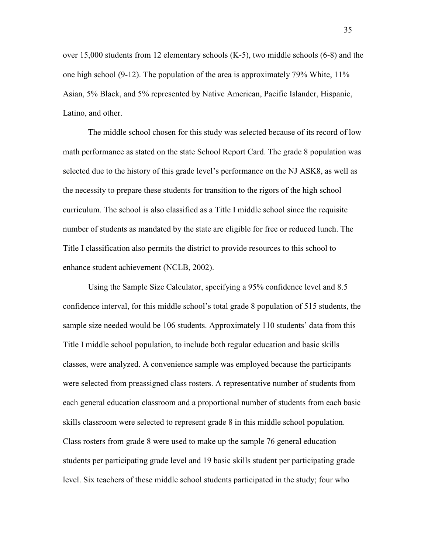over 15,000 students from 12 elementary schools (K-5), two middle schools (6-8) and the one high school (9-12). The population of the area is approximately 79% White,  $11\%$ Asian, 5% Black, and 5% represented by Native American, Pacific Islander, Hispanic, Latino, and other.

The middle school chosen for this study was selected because of its record of low math performance as stated on the state School Report Card. The grade 8 population was selected due to the history of this grade level's performance on the NJ ASK8, as well as the necessity to prepare these students for transition to the rigors of the high school curriculum. The school is also classified as a Title I middle school since the requisite number of students as mandated by the state are eligible for free or reduced lunch. The Title I classification also permits the district to provide resources to this school to enhance student achievement (NCLB, 2002).

Using the Sample Size Calculator, specifying a 95% confidence level and 8.5 confidence interval, for this middle school's total grade 8 population of 515 students, the sample size needed would be 106 students. Approximately 110 students' data from this Title I middle school population, to include both regular education and basic skills classes, were analyzed. A convenience sample was employed because the participants were selected from preassigned class rosters. A representative number of students from each general education classroom and a proportional number of students from each basic skills classroom were selected to represent grade 8 in this middle school population. Class rosters from grade 8 were used to make up the sample 76 general education students per participating grade level and 19 basic skills student per participating grade level. Six teachers of these middle school students participated in the study; four who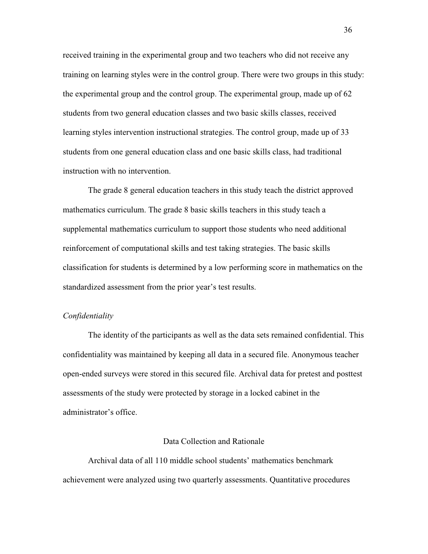received training in the experimental group and two teachers who did not receive any training on learning styles were in the control group. There were two groups in this study: the experimental group and the control group. The experimental group, made up of 62 students from two general education classes and two basic skills classes, received learning styles intervention instructional strategies. The control group, made up of 33 students from one general education class and one basic skills class, had traditional instruction with no intervention.

The grade 8 general education teachers in this study teach the district approved mathematics curriculum. The grade 8 basic skills teachers in this study teach a supplemental mathematics curriculum to support those students who need additional reinforcement of computational skills and test taking strategies. The basic skills classification for students is determined by a low performing score in mathematics on the standardized assessment from the prior year's test results.

# *Confidentiality*

 The identity of the participants as well as the data sets remained confidential. This confidentiality was maintained by keeping all data in a secured file. Anonymous teacher open-ended surveys were stored in this secured file. Archival data for pretest and posttest assessments of the study were protected by storage in a locked cabinet in the administrator's office.

#### Data Collection and Rationale

Archival data of all 110 middle school students' mathematics benchmark achievement were analyzed using two quarterly assessments. Quantitative procedures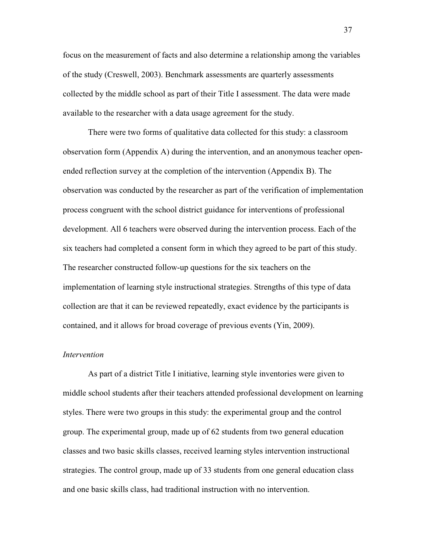focus on the measurement of facts and also determine a relationship among the variables of the study (Creswell, 2003). Benchmark assessments are quarterly assessments collected by the middle school as part of their Title I assessment. The data were made available to the researcher with a data usage agreement for the study.

There were two forms of qualitative data collected for this study: a classroom observation form (Appendix A) during the intervention, and an anonymous teacher openended reflection survey at the completion of the intervention (Appendix B). The observation was conducted by the researcher as part of the verification of implementation process congruent with the school district guidance for interventions of professional development. All 6 teachers were observed during the intervention process. Each of the six teachers had completed a consent form in which they agreed to be part of this study. The researcher constructed follow-up questions for the six teachers on the implementation of learning style instructional strategies. Strengths of this type of data collection are that it can be reviewed repeatedly, exact evidence by the participants is contained, and it allows for broad coverage of previous events (Yin, 2009).

#### *Intervention*

As part of a district Title I initiative, learning style inventories were given to middle school students after their teachers attended professional development on learning styles. There were two groups in this study: the experimental group and the control group. The experimental group, made up of 62 students from two general education classes and two basic skills classes, received learning styles intervention instructional strategies. The control group, made up of 33 students from one general education class and one basic skills class, had traditional instruction with no intervention.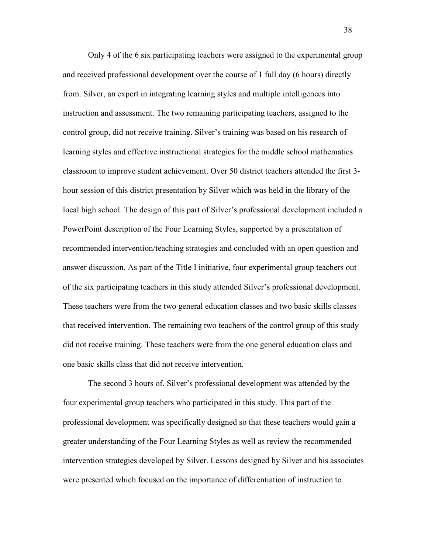Only 4 of the 6 six participating teachers were assigned to the experimental group and received professional development over the course of 1 full day (6 hours) directly from. Silver, an expert in integrating learning styles and multiple intelligences into instruction and assessment. The two remaining participating teachers, assigned to the control group, did not receive training. Silver's training was based on his research of learning styles and effective instructional strategies for the middle school mathematics classroom to improve student achievement. Over 50 district teachers attended the first 3 hour session of this district presentation by Silver which was held in the library of the local high school. The design of this part of Silver's professional development included a PowerPoint description of the Four Learning Styles, supported by a presentation of recommended intervention/teaching strategies and concluded with an open question and answer discussion. As part of the Title I initiative, four experimental group teachers out of the six participating teachers in this study attended Silver's professional development. These teachers were from the two general education classes and two basic skills classes that received intervention. The remaining two teachers of the control group of this study did not receive training. These teachers were from the one general education class and one basic skills class that did not receive intervention.

The second 3 hours of. Silver's professional development was attended by the four experimental group teachers who participated in this study. This part of the professional development was specifically designed so that these teachers would gain a greater understanding of the Four Learning Styles as well as review the recommended intervention strategies developed by Silver. Lessons designed by Silver and his associates were presented which focused on the importance of differentiation of instruction to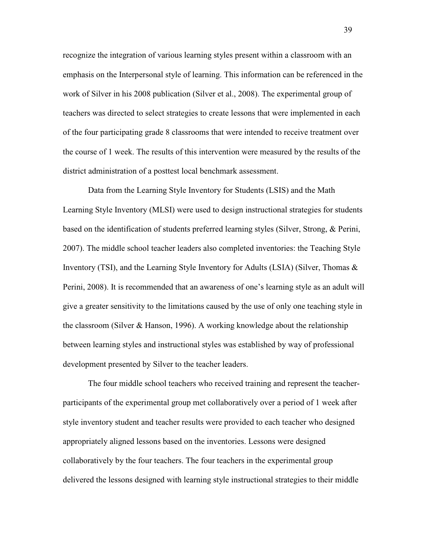recognize the integration of various learning styles present within a classroom with an emphasis on the Interpersonal style of learning. This information can be referenced in the work of Silver in his 2008 publication (Silver et al., 2008). The experimental group of teachers was directed to select strategies to create lessons that were implemented in each of the four participating grade 8 classrooms that were intended to receive treatment over the course of 1 week. The results of this intervention were measured by the results of the district administration of a posttest local benchmark assessment.

Data from the Learning Style Inventory for Students (LSIS) and the Math Learning Style Inventory (MLSI) were used to design instructional strategies for students based on the identification of students preferred learning styles (Silver, Strong, & Perini, 2007). The middle school teacher leaders also completed inventories: the Teaching Style Inventory (TSI), and the Learning Style Inventory for Adults (LSIA) (Silver, Thomas & Perini, 2008). It is recommended that an awareness of one's learning style as an adult will give a greater sensitivity to the limitations caused by the use of only one teaching style in the classroom (Silver & Hanson, 1996). A working knowledge about the relationship between learning styles and instructional styles was established by way of professional development presented by Silver to the teacher leaders.

The four middle school teachers who received training and represent the teacherparticipants of the experimental group met collaboratively over a period of 1 week after style inventory student and teacher results were provided to each teacher who designed appropriately aligned lessons based on the inventories. Lessons were designed collaboratively by the four teachers. The four teachers in the experimental group delivered the lessons designed with learning style instructional strategies to their middle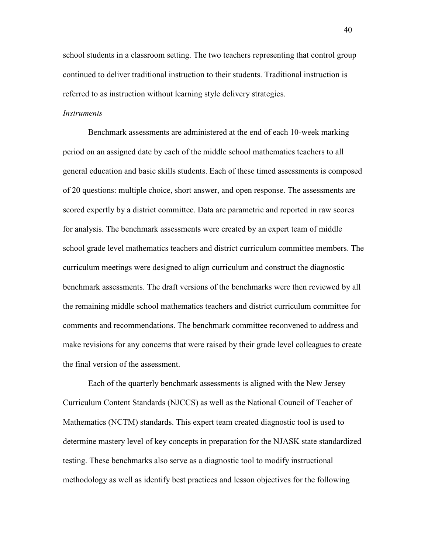school students in a classroom setting. The two teachers representing that control group continued to deliver traditional instruction to their students. Traditional instruction is referred to as instruction without learning style delivery strategies.

## *Instruments*

 Benchmark assessments are administered at the end of each 10-week marking period on an assigned date by each of the middle school mathematics teachers to all general education and basic skills students. Each of these timed assessments is composed of 20 questions: multiple choice, short answer, and open response. The assessments are scored expertly by a district committee. Data are parametric and reported in raw scores for analysis. The benchmark assessments were created by an expert team of middle school grade level mathematics teachers and district curriculum committee members. The curriculum meetings were designed to align curriculum and construct the diagnostic benchmark assessments. The draft versions of the benchmarks were then reviewed by all the remaining middle school mathematics teachers and district curriculum committee for comments and recommendations. The benchmark committee reconvened to address and make revisions for any concerns that were raised by their grade level colleagues to create the final version of the assessment.

 Each of the quarterly benchmark assessments is aligned with the New Jersey Curriculum Content Standards (NJCCS) as well as the National Council of Teacher of Mathematics (NCTM) standards. This expert team created diagnostic tool is used to determine mastery level of key concepts in preparation for the NJASK state standardized testing. These benchmarks also serve as a diagnostic tool to modify instructional methodology as well as identify best practices and lesson objectives for the following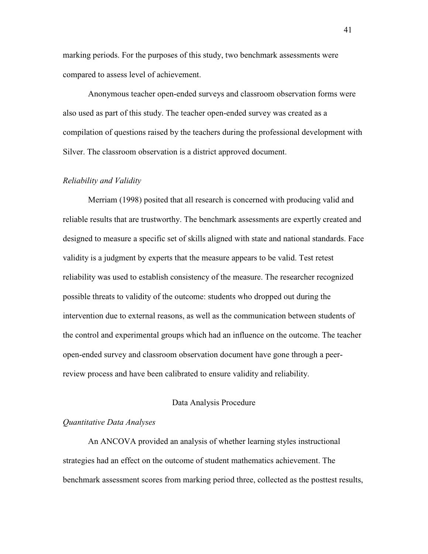marking periods. For the purposes of this study, two benchmark assessments were compared to assess level of achievement.

 Anonymous teacher open-ended surveys and classroom observation forms were also used as part of this study. The teacher open-ended survey was created as a compilation of questions raised by the teachers during the professional development with Silver. The classroom observation is a district approved document.

## *Reliability and Validity*

Merriam (1998) posited that all research is concerned with producing valid and reliable results that are trustworthy. The benchmark assessments are expertly created and designed to measure a specific set of skills aligned with state and national standards. Face validity is a judgment by experts that the measure appears to be valid. Test retest reliability was used to establish consistency of the measure. The researcher recognized possible threats to validity of the outcome: students who dropped out during the intervention due to external reasons, as well as the communication between students of the control and experimental groups which had an influence on the outcome. The teacher open-ended survey and classroom observation document have gone through a peerreview process and have been calibrated to ensure validity and reliability.

#### Data Analysis Procedure

#### *Quantitative Data Analyses*

 An ANCOVA provided an analysis of whether learning styles instructional strategies had an effect on the outcome of student mathematics achievement. The benchmark assessment scores from marking period three, collected as the posttest results,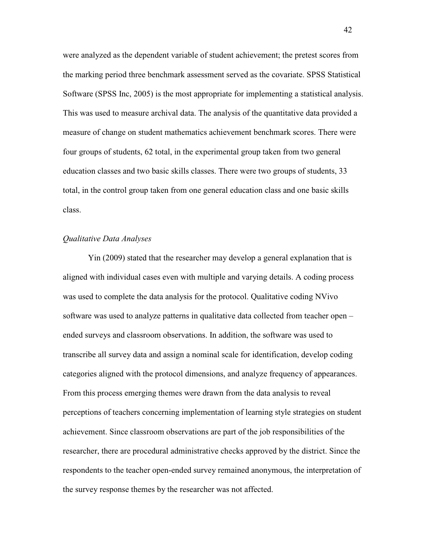were analyzed as the dependent variable of student achievement; the pretest scores from the marking period three benchmark assessment served as the covariate. SPSS Statistical Software (SPSS Inc, 2005) is the most appropriate for implementing a statistical analysis. This was used to measure archival data. The analysis of the quantitative data provided a measure of change on student mathematics achievement benchmark scores. There were four groups of students, 62 total, in the experimental group taken from two general education classes and two basic skills classes. There were two groups of students, 33 total, in the control group taken from one general education class and one basic skills class.

# *Qualitative Data Analyses*

 Yin (2009) stated that the researcher may develop a general explanation that is aligned with individual cases even with multiple and varying details. A coding process was used to complete the data analysis for the protocol. Qualitative coding NVivo software was used to analyze patterns in qualitative data collected from teacher open – ended surveys and classroom observations. In addition, the software was used to transcribe all survey data and assign a nominal scale for identification, develop coding categories aligned with the protocol dimensions, and analyze frequency of appearances. From this process emerging themes were drawn from the data analysis to reveal perceptions of teachers concerning implementation of learning style strategies on student achievement. Since classroom observations are part of the job responsibilities of the researcher, there are procedural administrative checks approved by the district. Since the respondents to the teacher open-ended survey remained anonymous, the interpretation of the survey response themes by the researcher was not affected.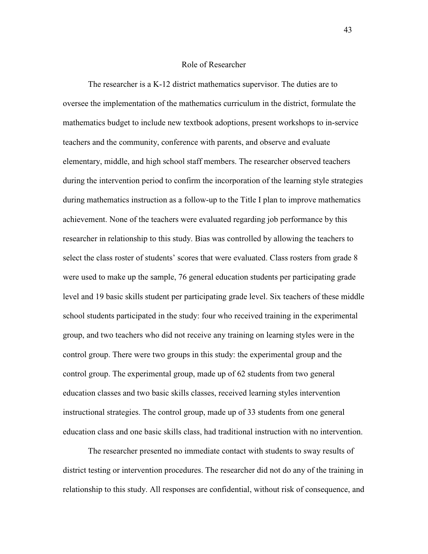### Role of Researcher

The researcher is a K-12 district mathematics supervisor. The duties are to oversee the implementation of the mathematics curriculum in the district, formulate the mathematics budget to include new textbook adoptions, present workshops to in-service teachers and the community, conference with parents, and observe and evaluate elementary, middle, and high school staff members. The researcher observed teachers during the intervention period to confirm the incorporation of the learning style strategies during mathematics instruction as a follow-up to the Title I plan to improve mathematics achievement. None of the teachers were evaluated regarding job performance by this researcher in relationship to this study. Bias was controlled by allowing the teachers to select the class roster of students' scores that were evaluated. Class rosters from grade 8 were used to make up the sample, 76 general education students per participating grade level and 19 basic skills student per participating grade level. Six teachers of these middle school students participated in the study: four who received training in the experimental group, and two teachers who did not receive any training on learning styles were in the control group. There were two groups in this study: the experimental group and the control group. The experimental group, made up of 62 students from two general education classes and two basic skills classes, received learning styles intervention instructional strategies. The control group, made up of 33 students from one general education class and one basic skills class, had traditional instruction with no intervention.

The researcher presented no immediate contact with students to sway results of district testing or intervention procedures. The researcher did not do any of the training in relationship to this study. All responses are confidential, without risk of consequence, and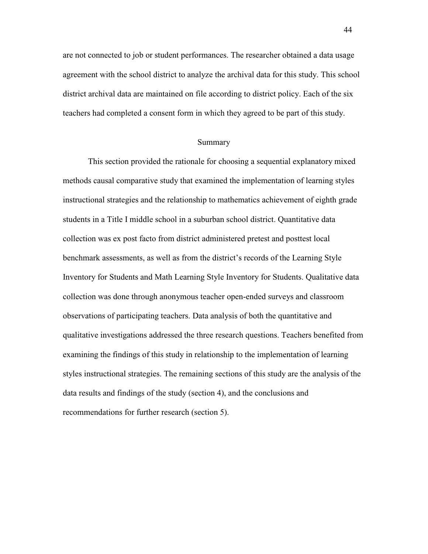are not connected to job or student performances. The researcher obtained a data usage agreement with the school district to analyze the archival data for this study. This school district archival data are maintained on file according to district policy. Each of the six teachers had completed a consent form in which they agreed to be part of this study.

### Summary

 This section provided the rationale for choosing a sequential explanatory mixed methods causal comparative study that examined the implementation of learning styles instructional strategies and the relationship to mathematics achievement of eighth grade students in a Title I middle school in a suburban school district. Quantitative data collection was ex post facto from district administered pretest and posttest local benchmark assessments, as well as from the district's records of the Learning Style Inventory for Students and Math Learning Style Inventory for Students. Qualitative data collection was done through anonymous teacher open-ended surveys and classroom observations of participating teachers. Data analysis of both the quantitative and qualitative investigations addressed the three research questions. Teachers benefited from examining the findings of this study in relationship to the implementation of learning styles instructional strategies. The remaining sections of this study are the analysis of the data results and findings of the study (section 4), and the conclusions and recommendations for further research (section 5).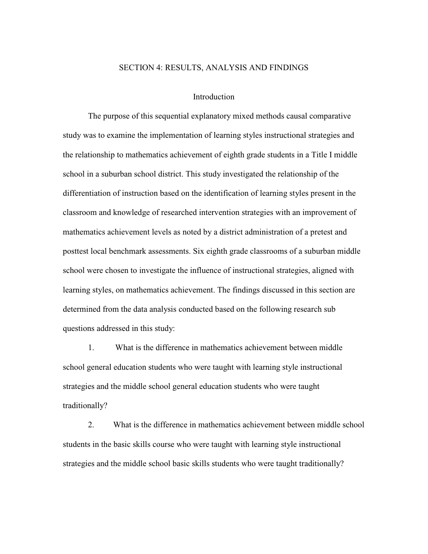#### SECTION 4: RESULTS, ANALYSIS AND FINDINGS

# Introduction

The purpose of this sequential explanatory mixed methods causal comparative study was to examine the implementation of learning styles instructional strategies and the relationship to mathematics achievement of eighth grade students in a Title I middle school in a suburban school district. This study investigated the relationship of the differentiation of instruction based on the identification of learning styles present in the classroom and knowledge of researched intervention strategies with an improvement of mathematics achievement levels as noted by a district administration of a pretest and posttest local benchmark assessments. Six eighth grade classrooms of a suburban middle school were chosen to investigate the influence of instructional strategies, aligned with learning styles, on mathematics achievement. The findings discussed in this section are determined from the data analysis conducted based on the following research sub questions addressed in this study:

1. What is the difference in mathematics achievement between middle school general education students who were taught with learning style instructional strategies and the middle school general education students who were taught traditionally?

2. What is the difference in mathematics achievement between middle school students in the basic skills course who were taught with learning style instructional strategies and the middle school basic skills students who were taught traditionally?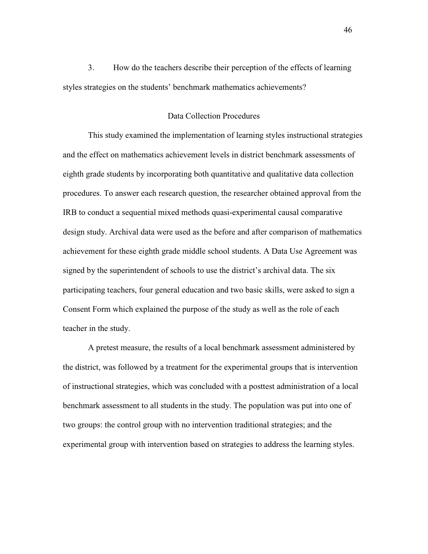3. How do the teachers describe their perception of the effects of learning styles strategies on the students' benchmark mathematics achievements?

# Data Collection Procedures

This study examined the implementation of learning styles instructional strategies and the effect on mathematics achievement levels in district benchmark assessments of eighth grade students by incorporating both quantitative and qualitative data collection procedures. To answer each research question, the researcher obtained approval from the IRB to conduct a sequential mixed methods quasi-experimental causal comparative design study. Archival data were used as the before and after comparison of mathematics achievement for these eighth grade middle school students. A Data Use Agreement was signed by the superintendent of schools to use the district's archival data. The six participating teachers, four general education and two basic skills, were asked to sign a Consent Form which explained the purpose of the study as well as the role of each teacher in the study.

A pretest measure, the results of a local benchmark assessment administered by the district, was followed by a treatment for the experimental groups that is intervention of instructional strategies, which was concluded with a posttest administration of a local benchmark assessment to all students in the study. The population was put into one of two groups: the control group with no intervention traditional strategies; and the experimental group with intervention based on strategies to address the learning styles.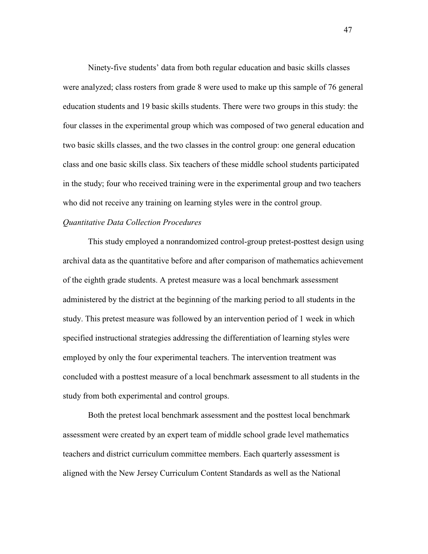Ninety-five students' data from both regular education and basic skills classes were analyzed; class rosters from grade 8 were used to make up this sample of 76 general education students and 19 basic skills students. There were two groups in this study: the four classes in the experimental group which was composed of two general education and two basic skills classes, and the two classes in the control group: one general education class and one basic skills class. Six teachers of these middle school students participated in the study; four who received training were in the experimental group and two teachers who did not receive any training on learning styles were in the control group.

# *Quantitative Data Collection Procedures*

This study employed a nonrandomized control-group pretest-posttest design using archival data as the quantitative before and after comparison of mathematics achievement of the eighth grade students. A pretest measure was a local benchmark assessment administered by the district at the beginning of the marking period to all students in the study. This pretest measure was followed by an intervention period of 1 week in which specified instructional strategies addressing the differentiation of learning styles were employed by only the four experimental teachers. The intervention treatment was concluded with a posttest measure of a local benchmark assessment to all students in the study from both experimental and control groups.

 Both the pretest local benchmark assessment and the posttest local benchmark assessment were created by an expert team of middle school grade level mathematics teachers and district curriculum committee members. Each quarterly assessment is aligned with the New Jersey Curriculum Content Standards as well as the National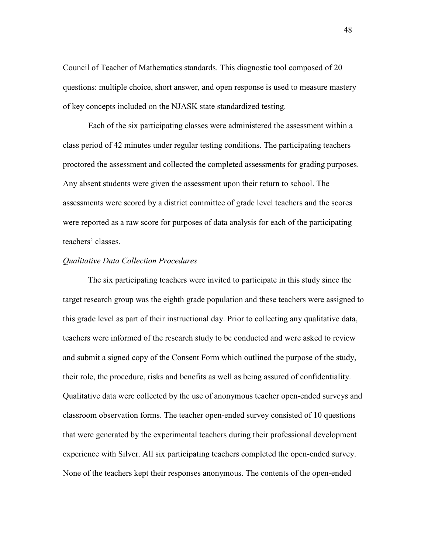Council of Teacher of Mathematics standards. This diagnostic tool composed of 20 questions: multiple choice, short answer, and open response is used to measure mastery of key concepts included on the NJASK state standardized testing.

Each of the six participating classes were administered the assessment within a class period of 42 minutes under regular testing conditions. The participating teachers proctored the assessment and collected the completed assessments for grading purposes. Any absent students were given the assessment upon their return to school. The assessments were scored by a district committee of grade level teachers and the scores were reported as a raw score for purposes of data analysis for each of the participating teachers' classes.

#### *Qualitative Data Collection Procedures*

The six participating teachers were invited to participate in this study since the target research group was the eighth grade population and these teachers were assigned to this grade level as part of their instructional day. Prior to collecting any qualitative data, teachers were informed of the research study to be conducted and were asked to review and submit a signed copy of the Consent Form which outlined the purpose of the study, their role, the procedure, risks and benefits as well as being assured of confidentiality. Qualitative data were collected by the use of anonymous teacher open-ended surveys and classroom observation forms. The teacher open-ended survey consisted of 10 questions that were generated by the experimental teachers during their professional development experience with Silver. All six participating teachers completed the open-ended survey. None of the teachers kept their responses anonymous. The contents of the open-ended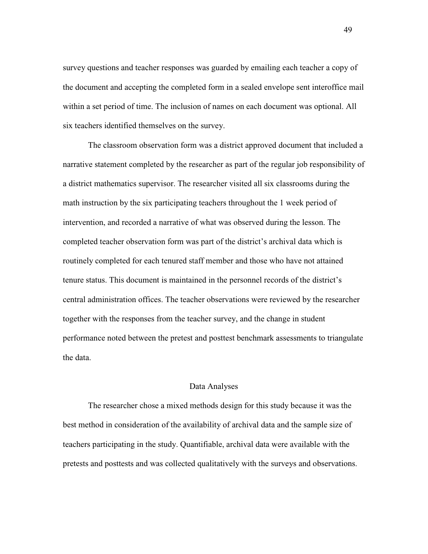survey questions and teacher responses was guarded by emailing each teacher a copy of the document and accepting the completed form in a sealed envelope sent interoffice mail within a set period of time. The inclusion of names on each document was optional. All six teachers identified themselves on the survey.

The classroom observation form was a district approved document that included a narrative statement completed by the researcher as part of the regular job responsibility of a district mathematics supervisor. The researcher visited all six classrooms during the math instruction by the six participating teachers throughout the 1 week period of intervention, and recorded a narrative of what was observed during the lesson. The completed teacher observation form was part of the district's archival data which is routinely completed for each tenured staff member and those who have not attained tenure status. This document is maintained in the personnel records of the district's central administration offices. The teacher observations were reviewed by the researcher together with the responses from the teacher survey, and the change in student performance noted between the pretest and posttest benchmark assessments to triangulate the data.

#### Data Analyses

 The researcher chose a mixed methods design for this study because it was the best method in consideration of the availability of archival data and the sample size of teachers participating in the study. Quantifiable, archival data were available with the pretests and posttests and was collected qualitatively with the surveys and observations.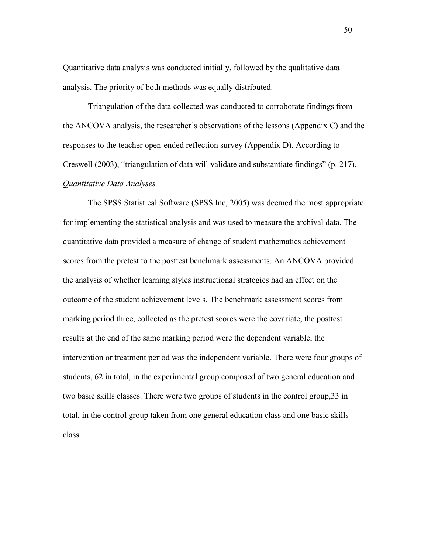Quantitative data analysis was conducted initially, followed by the qualitative data analysis. The priority of both methods was equally distributed.

 Triangulation of the data collected was conducted to corroborate findings from the ANCOVA analysis, the researcher's observations of the lessons (Appendix C) and the responses to the teacher open-ended reflection survey (Appendix D). According to Creswell (2003), "triangulation of data will validate and substantiate findings" (p. 217). *Quantitative Data Analyses* 

 The SPSS Statistical Software (SPSS Inc, 2005) was deemed the most appropriate for implementing the statistical analysis and was used to measure the archival data. The quantitative data provided a measure of change of student mathematics achievement scores from the pretest to the posttest benchmark assessments. An ANCOVA provided the analysis of whether learning styles instructional strategies had an effect on the outcome of the student achievement levels. The benchmark assessment scores from marking period three, collected as the pretest scores were the covariate, the posttest results at the end of the same marking period were the dependent variable, the intervention or treatment period was the independent variable. There were four groups of students, 62 in total, in the experimental group composed of two general education and two basic skills classes. There were two groups of students in the control group,33 in total, in the control group taken from one general education class and one basic skills class.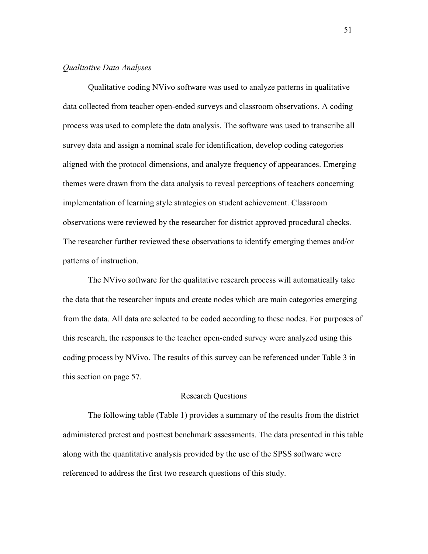#### *Qualitative Data Analyses*

Qualitative coding NVivo software was used to analyze patterns in qualitative data collected from teacher open-ended surveys and classroom observations. A coding process was used to complete the data analysis. The software was used to transcribe all survey data and assign a nominal scale for identification, develop coding categories aligned with the protocol dimensions, and analyze frequency of appearances. Emerging themes were drawn from the data analysis to reveal perceptions of teachers concerning implementation of learning style strategies on student achievement. Classroom observations were reviewed by the researcher for district approved procedural checks. The researcher further reviewed these observations to identify emerging themes and/or patterns of instruction.

The NVivo software for the qualitative research process will automatically take the data that the researcher inputs and create nodes which are main categories emerging from the data. All data are selected to be coded according to these nodes. For purposes of this research, the responses to the teacher open-ended survey were analyzed using this coding process by NVivo. The results of this survey can be referenced under Table 3 in this section on page 57.

# Research Questions

 The following table (Table 1) provides a summary of the results from the district administered pretest and posttest benchmark assessments. The data presented in this table along with the quantitative analysis provided by the use of the SPSS software were referenced to address the first two research questions of this study.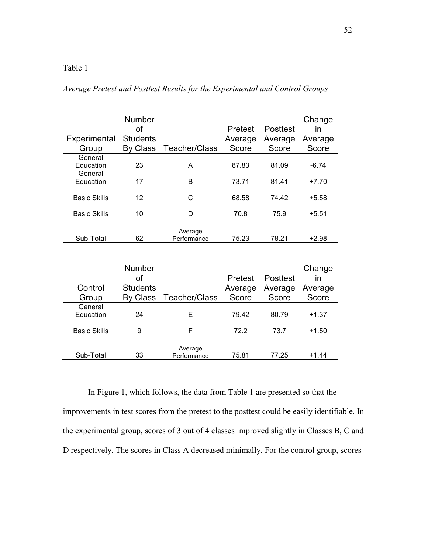| Experimental<br>Group           | Number<br>of<br><b>Students</b><br>By Class | Teacher/Class          | Pretest<br>Average<br>Score        | Posttest<br>Average<br>Score | Change<br>in<br>Average<br>Score |
|---------------------------------|---------------------------------------------|------------------------|------------------------------------|------------------------------|----------------------------------|
| General<br>Education<br>General | 23                                          | A                      | 87.83                              | 81.09                        | $-6.74$                          |
| Education                       | 17                                          | B                      | 73.71                              | 81.41                        | $+7.70$                          |
| <b>Basic Skills</b>             | 12                                          | C                      | 68.58                              | 74.42                        | $+5.58$                          |
| <b>Basic Skills</b>             | 10                                          | D                      | 70.8                               | 75.9                         | $+5.51$                          |
| Sub-Total                       | 62                                          | Average<br>Performance | 75.23                              | 78.21                        | $+2.98$                          |
| Control<br>Group                | Number<br>of<br><b>Students</b><br>By Class | Teacher/Class          | <b>Pretest</b><br>Average<br>Score | Posttest<br>Average<br>Score | Change<br>in<br>Average<br>Score |
| General<br>Education            | 24                                          | Е                      | 79.42                              | 80.79                        | $+1.37$                          |
| <b>Basic Skills</b>             | 9                                           | F                      | 72.2                               | 73.7                         | $+1.50$                          |
| Sub-Total                       | 33                                          | Average<br>Performance | 75.81                              | 77.25                        | $+1.44$                          |

*Average Pretest and Posttest Results for the Experimental and Control Groups* 

In Figure 1, which follows, the data from Table 1 are presented so that the improvements in test scores from the pretest to the posttest could be easily identifiable. In the experimental group, scores of 3 out of 4 classes improved slightly in Classes B, C and D respectively. The scores in Class A decreased minimally. For the control group, scores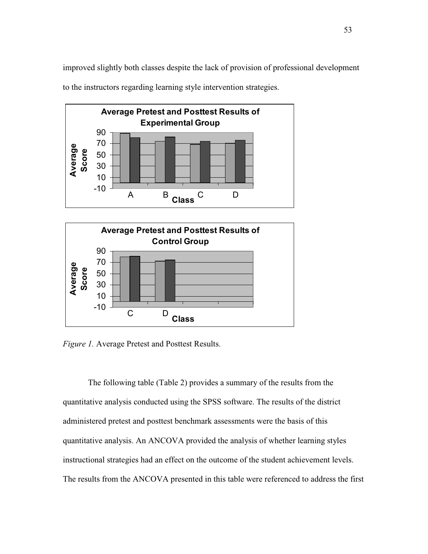improved slightly both classes despite the lack of provision of professional development to the instructors regarding learning style intervention strategies.





*Figure 1.* Average Pretest and Posttest Results.

The following table (Table 2) provides a summary of the results from the quantitative analysis conducted using the SPSS software. The results of the district administered pretest and posttest benchmark assessments were the basis of this quantitative analysis. An ANCOVA provided the analysis of whether learning styles instructional strategies had an effect on the outcome of the student achievement levels. The results from the ANCOVA presented in this table were referenced to address the first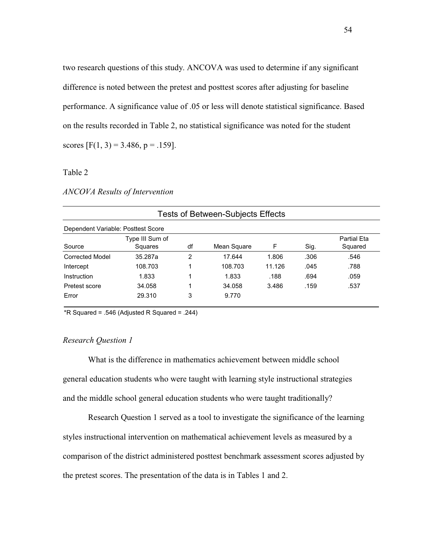two research questions of this study. ANCOVA was used to determine if any significant difference is noted between the pretest and posttest scores after adjusting for baseline performance. A significance value of .05 or less will denote statistical significance. Based on the results recorded in Table 2, no statistical significance was noted for the student scores  $[F(1, 3) = 3.486, p = .159]$ .

### Table 2

## *ANCOVA Results of Intervention*

Dependent Variable: Posttest Score

| Dependent variable: Posttest Score |                            |               |             |        |      |                               |
|------------------------------------|----------------------------|---------------|-------------|--------|------|-------------------------------|
| Source                             | Type III Sum of<br>Squares | df            | Mean Square | F      | Sig. | <b>Partial Eta</b><br>Squared |
| <b>Corrected Model</b>             | 35.287a                    | $\mathcal{P}$ | 17.644      | 1.806  | .306 | .546                          |
| Intercept                          | 108.703                    |               | 108.703     | 11.126 | .045 | .788                          |
| Instruction                        | 1.833                      |               | 1.833       | .188   | .694 | .059                          |
| Pretest score                      | 34.058                     |               | 34.058      | 3.486  | .159 | .537                          |
| Error                              | 29.310                     | 3             | 9.770       |        |      |                               |

#### Tests of Between-Subjects Effects

 $*R$  Squared = .546 (Adjusted R Squared = .244)

## *Research Question 1*

What is the difference in mathematics achievement between middle school general education students who were taught with learning style instructional strategies and the middle school general education students who were taught traditionally?

Research Question 1 served as a tool to investigate the significance of the learning styles instructional intervention on mathematical achievement levels as measured by a comparison of the district administered posttest benchmark assessment scores adjusted by the pretest scores. The presentation of the data is in Tables 1 and 2.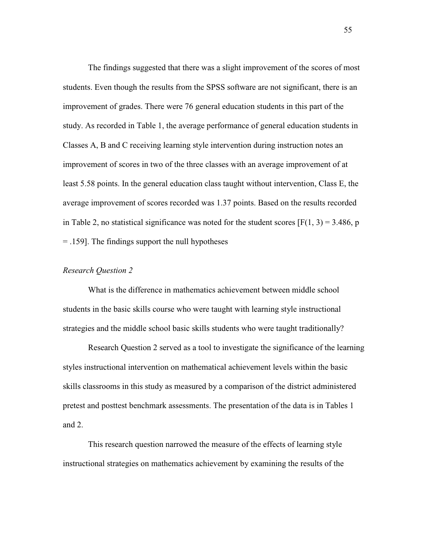The findings suggested that there was a slight improvement of the scores of most students. Even though the results from the SPSS software are not significant, there is an improvement of grades. There were 76 general education students in this part of the study. As recorded in Table 1, the average performance of general education students in Classes A, B and C receiving learning style intervention during instruction notes an improvement of scores in two of the three classes with an average improvement of at least 5.58 points. In the general education class taught without intervention, Class E, the average improvement of scores recorded was 1.37 points. Based on the results recorded in Table 2, no statistical significance was noted for the student scores  $[F(1, 3) = 3.486, p]$ = .159]. The findings support the null hypotheses

### *Research Question 2*

What is the difference in mathematics achievement between middle school students in the basic skills course who were taught with learning style instructional strategies and the middle school basic skills students who were taught traditionally?

Research Question 2 served as a tool to investigate the significance of the learning styles instructional intervention on mathematical achievement levels within the basic skills classrooms in this study as measured by a comparison of the district administered pretest and posttest benchmark assessments. The presentation of the data is in Tables 1 and 2.

This research question narrowed the measure of the effects of learning style instructional strategies on mathematics achievement by examining the results of the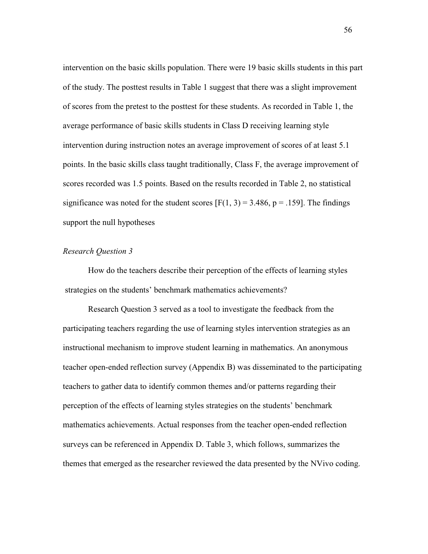intervention on the basic skills population. There were 19 basic skills students in this part of the study. The posttest results in Table 1 suggest that there was a slight improvement of scores from the pretest to the posttest for these students. As recorded in Table 1, the average performance of basic skills students in Class D receiving learning style intervention during instruction notes an average improvement of scores of at least 5.1 points. In the basic skills class taught traditionally, Class F, the average improvement of scores recorded was 1.5 points. Based on the results recorded in Table 2, no statistical significance was noted for the student scores  $[F(1, 3) = 3.486, p = .159]$ . The findings support the null hypotheses

## *Research Question 3*

How do the teachers describe their perception of the effects of learning styles strategies on the students' benchmark mathematics achievements?

Research Question 3 served as a tool to investigate the feedback from the participating teachers regarding the use of learning styles intervention strategies as an instructional mechanism to improve student learning in mathematics. An anonymous teacher open-ended reflection survey (Appendix B) was disseminated to the participating teachers to gather data to identify common themes and/or patterns regarding their perception of the effects of learning styles strategies on the students' benchmark mathematics achievements. Actual responses from the teacher open-ended reflection surveys can be referenced in Appendix D. Table 3, which follows, summarizes the themes that emerged as the researcher reviewed the data presented by the NVivo coding.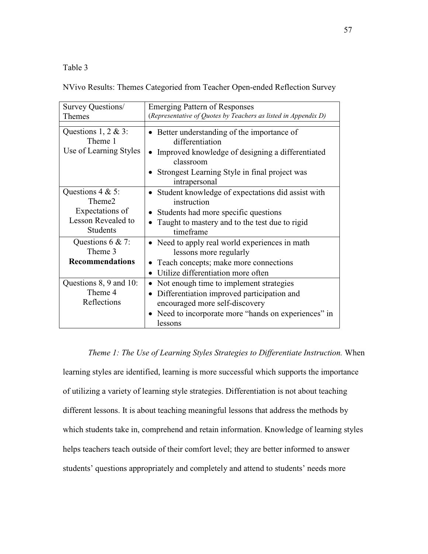# Table 3

NVivo Results: Themes Categoried from Teacher Open-ended Reflection Survey

| Survey Questions/                                                                                            | <b>Emerging Pattern of Responses</b><br>(Representative of Quotes by Teachers as listed in Appendix D)                                                                                                       |
|--------------------------------------------------------------------------------------------------------------|--------------------------------------------------------------------------------------------------------------------------------------------------------------------------------------------------------------|
| <b>Themes</b>                                                                                                |                                                                                                                                                                                                              |
| Questions 1, 2 & 3:<br>Theme 1<br>Use of Learning Styles                                                     | • Better understanding of the importance of<br>differentiation<br>• Improved knowledge of designing a differentiated<br>classroom<br>Strongest Learning Style in final project was<br>intrapersonal          |
| Questions $4 & 5$ :<br>Theme <sub>2</sub><br>Expectations of<br><b>Lesson Revealed to</b><br><b>Students</b> | • Student knowledge of expectations did assist with<br>instruction<br>Students had more specific questions<br>$\bullet$<br>Taught to mastery and to the test due to rigid<br>timeframe                       |
| Questions $6 & 7$ :<br>Theme 3<br><b>Recommendations</b>                                                     | • Need to apply real world experiences in math<br>lessons more regularly<br>• Teach concepts; make more connections<br>Utilize differentiation more often<br>$\bullet$                                       |
| Questions 8, 9 and 10:<br>Theme 4<br>Reflections                                                             | Not enough time to implement strategies<br>٠<br>Differentiation improved participation and<br>$\bullet$<br>encouraged more self-discovery<br>• Need to incorporate more "hands on experiences" in<br>lessons |

### *Theme 1: The Use of Learning Styles Strategies to Differentiate Instruction.* When

learning styles are identified, learning is more successful which supports the importance of utilizing a variety of learning style strategies. Differentiation is not about teaching different lessons. It is about teaching meaningful lessons that address the methods by which students take in, comprehend and retain information. Knowledge of learning styles helps teachers teach outside of their comfort level; they are better informed to answer students' questions appropriately and completely and attend to students' needs more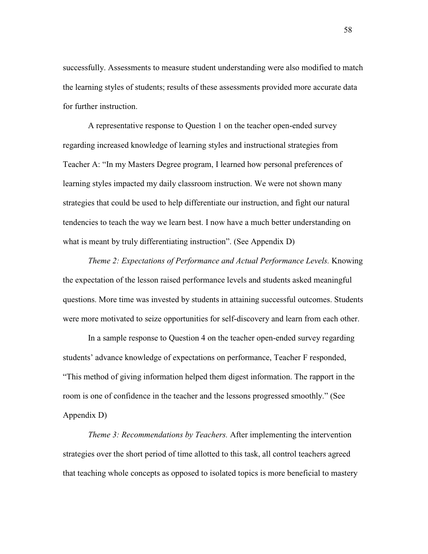successfully. Assessments to measure student understanding were also modified to match the learning styles of students; results of these assessments provided more accurate data for further instruction.

A representative response to Question 1 on the teacher open-ended survey regarding increased knowledge of learning styles and instructional strategies from Teacher A: "In my Masters Degree program, I learned how personal preferences of learning styles impacted my daily classroom instruction. We were not shown many strategies that could be used to help differentiate our instruction, and fight our natural tendencies to teach the way we learn best. I now have a much better understanding on what is meant by truly differentiating instruction". (See Appendix D)

*Theme 2: Expectations of Performance and Actual Performance Levels.* Knowing the expectation of the lesson raised performance levels and students asked meaningful questions. More time was invested by students in attaining successful outcomes. Students were more motivated to seize opportunities for self-discovery and learn from each other.

 In a sample response to Question 4 on the teacher open-ended survey regarding students' advance knowledge of expectations on performance, Teacher F responded, "This method of giving information helped them digest information. The rapport in the room is one of confidence in the teacher and the lessons progressed smoothly." (See Appendix D)

*Theme 3: Recommendations by Teachers.* After implementing the intervention strategies over the short period of time allotted to this task, all control teachers agreed that teaching whole concepts as opposed to isolated topics is more beneficial to mastery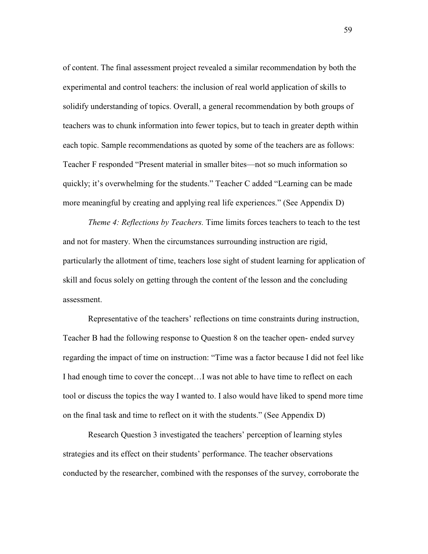of content. The final assessment project revealed a similar recommendation by both the experimental and control teachers: the inclusion of real world application of skills to solidify understanding of topics. Overall, a general recommendation by both groups of teachers was to chunk information into fewer topics, but to teach in greater depth within each topic. Sample recommendations as quoted by some of the teachers are as follows: Teacher F responded "Present material in smaller bites—not so much information so quickly; it's overwhelming for the students." Teacher C added "Learning can be made more meaningful by creating and applying real life experiences." (See Appendix D)

*Theme 4: Reflections by Teachers.* Time limits forces teachers to teach to the test and not for mastery. When the circumstances surrounding instruction are rigid, particularly the allotment of time, teachers lose sight of student learning for application of skill and focus solely on getting through the content of the lesson and the concluding assessment.

Representative of the teachers' reflections on time constraints during instruction, Teacher B had the following response to Question 8 on the teacher open- ended survey regarding the impact of time on instruction: "Time was a factor because I did not feel like I had enough time to cover the concept…I was not able to have time to reflect on each tool or discuss the topics the way I wanted to. I also would have liked to spend more time on the final task and time to reflect on it with the students." (See Appendix D)

Research Question 3 investigated the teachers' perception of learning styles strategies and its effect on their students' performance. The teacher observations conducted by the researcher, combined with the responses of the survey, corroborate the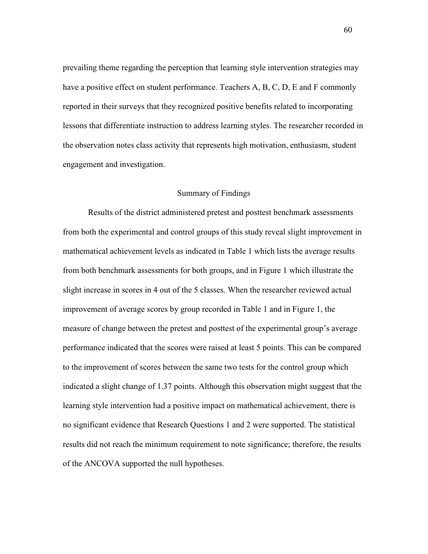prevailing theme regarding the perception that learning style intervention strategies may have a positive effect on student performance. Teachers A, B, C, D, E and F commonly reported in their surveys that they recognized positive benefits related to incorporating lessons that differentiate instruction to address learning styles. The researcher recorded in the observation notes class activity that represents high motivation, enthusiasm, student engagement and investigation.

#### Summary of Findings

Results of the district administered pretest and posttest benchmark assessments from both the experimental and control groups of this study reveal slight improvement in mathematical achievement levels as indicated in Table 1 which lists the average results from both benchmark assessments for both groups, and in Figure 1 which illustrate the slight increase in scores in 4 out of the 5 classes. When the researcher reviewed actual improvement of average scores by group recorded in Table 1 and in Figure 1, the measure of change between the pretest and posttest of the experimental group's average performance indicated that the scores were raised at least 5 points. This can be compared to the improvement of scores between the same two tests for the control group which indicated a slight change of 1.37 points. Although this observation might suggest that the learning style intervention had a positive impact on mathematical achievement, there is no significant evidence that Research Questions 1 and 2 were supported. The statistical results did not reach the minimum requirement to note significance; therefore, the results of the ANCOVA supported the null hypotheses.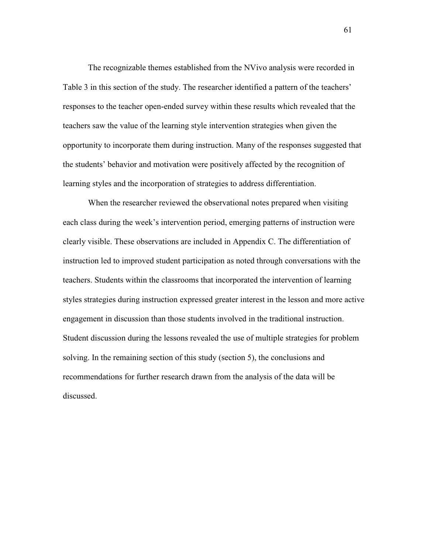The recognizable themes established from the NVivo analysis were recorded in Table 3 in this section of the study. The researcher identified a pattern of the teachers' responses to the teacher open-ended survey within these results which revealed that the teachers saw the value of the learning style intervention strategies when given the opportunity to incorporate them during instruction. Many of the responses suggested that the students' behavior and motivation were positively affected by the recognition of learning styles and the incorporation of strategies to address differentiation.

When the researcher reviewed the observational notes prepared when visiting each class during the week's intervention period, emerging patterns of instruction were clearly visible. These observations are included in Appendix C. The differentiation of instruction led to improved student participation as noted through conversations with the teachers. Students within the classrooms that incorporated the intervention of learning styles strategies during instruction expressed greater interest in the lesson and more active engagement in discussion than those students involved in the traditional instruction. Student discussion during the lessons revealed the use of multiple strategies for problem solving. In the remaining section of this study (section 5), the conclusions and recommendations for further research drawn from the analysis of the data will be discussed.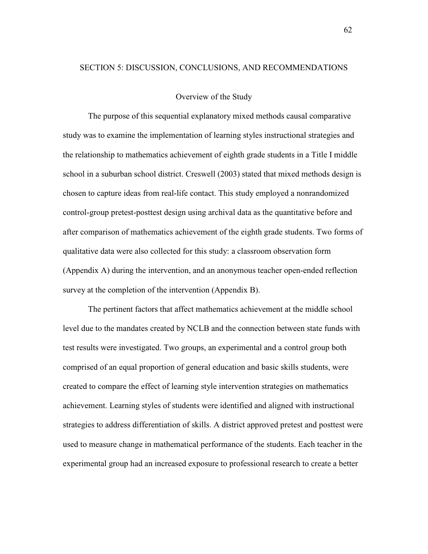#### SECTION 5: DISCUSSION, CONCLUSIONS, AND RECOMMENDATIONS

#### Overview of the Study

 The purpose of this sequential explanatory mixed methods causal comparative study was to examine the implementation of learning styles instructional strategies and the relationship to mathematics achievement of eighth grade students in a Title I middle school in a suburban school district. Creswell (2003) stated that mixed methods design is chosen to capture ideas from real-life contact. This study employed a nonrandomized control-group pretest-posttest design using archival data as the quantitative before and after comparison of mathematics achievement of the eighth grade students. Two forms of qualitative data were also collected for this study: a classroom observation form (Appendix A) during the intervention, and an anonymous teacher open-ended reflection survey at the completion of the intervention (Appendix B).

The pertinent factors that affect mathematics achievement at the middle school level due to the mandates created by NCLB and the connection between state funds with test results were investigated. Two groups, an experimental and a control group both comprised of an equal proportion of general education and basic skills students, were created to compare the effect of learning style intervention strategies on mathematics achievement. Learning styles of students were identified and aligned with instructional strategies to address differentiation of skills. A district approved pretest and posttest were used to measure change in mathematical performance of the students. Each teacher in the experimental group had an increased exposure to professional research to create a better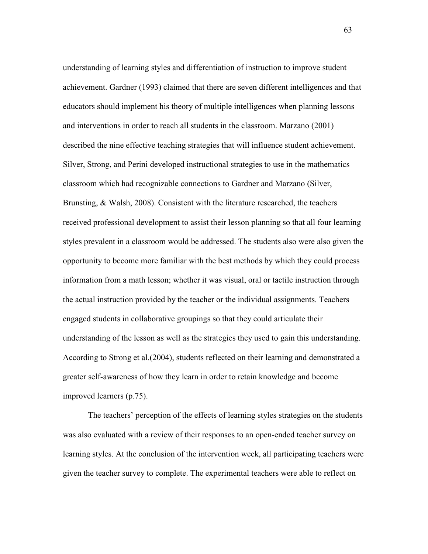understanding of learning styles and differentiation of instruction to improve student achievement. Gardner (1993) claimed that there are seven different intelligences and that educators should implement his theory of multiple intelligences when planning lessons and interventions in order to reach all students in the classroom. Marzano (2001) described the nine effective teaching strategies that will influence student achievement. Silver, Strong, and Perini developed instructional strategies to use in the mathematics classroom which had recognizable connections to Gardner and Marzano (Silver, Brunsting, & Walsh, 2008). Consistent with the literature researched, the teachers received professional development to assist their lesson planning so that all four learning styles prevalent in a classroom would be addressed. The students also were also given the opportunity to become more familiar with the best methods by which they could process information from a math lesson; whether it was visual, oral or tactile instruction through the actual instruction provided by the teacher or the individual assignments. Teachers engaged students in collaborative groupings so that they could articulate their understanding of the lesson as well as the strategies they used to gain this understanding. According to Strong et al.(2004), students reflected on their learning and demonstrated a greater self-awareness of how they learn in order to retain knowledge and become improved learners (p.75).

The teachers' perception of the effects of learning styles strategies on the students was also evaluated with a review of their responses to an open-ended teacher survey on learning styles. At the conclusion of the intervention week, all participating teachers were given the teacher survey to complete. The experimental teachers were able to reflect on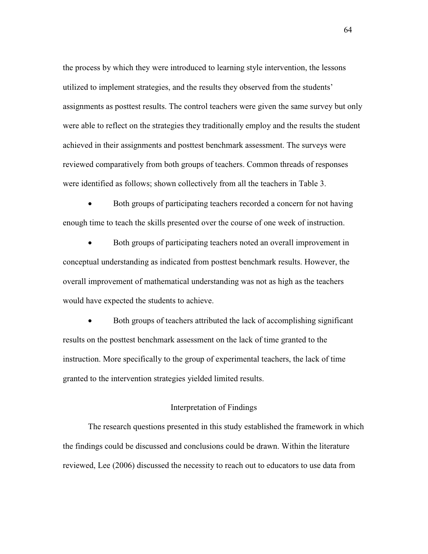the process by which they were introduced to learning style intervention, the lessons utilized to implement strategies, and the results they observed from the students' assignments as posttest results. The control teachers were given the same survey but only were able to reflect on the strategies they traditionally employ and the results the student achieved in their assignments and posttest benchmark assessment. The surveys were reviewed comparatively from both groups of teachers. Common threads of responses were identified as follows; shown collectively from all the teachers in Table 3.

• Both groups of participating teachers recorded a concern for not having enough time to teach the skills presented over the course of one week of instruction.

• Both groups of participating teachers noted an overall improvement in conceptual understanding as indicated from posttest benchmark results. However, the overall improvement of mathematical understanding was not as high as the teachers would have expected the students to achieve.

• Both groups of teachers attributed the lack of accomplishing significant results on the posttest benchmark assessment on the lack of time granted to the instruction. More specifically to the group of experimental teachers, the lack of time granted to the intervention strategies yielded limited results.

### Interpretation of Findings

The research questions presented in this study established the framework in which the findings could be discussed and conclusions could be drawn. Within the literature reviewed, Lee (2006) discussed the necessity to reach out to educators to use data from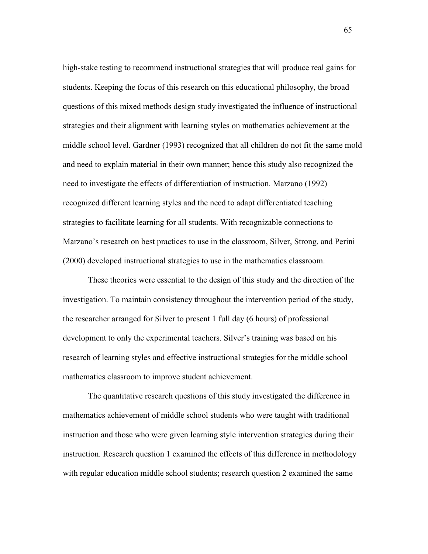high-stake testing to recommend instructional strategies that will produce real gains for students. Keeping the focus of this research on this educational philosophy, the broad questions of this mixed methods design study investigated the influence of instructional strategies and their alignment with learning styles on mathematics achievement at the middle school level. Gardner (1993) recognized that all children do not fit the same mold and need to explain material in their own manner; hence this study also recognized the need to investigate the effects of differentiation of instruction. Marzano (1992) recognized different learning styles and the need to adapt differentiated teaching strategies to facilitate learning for all students. With recognizable connections to Marzano's research on best practices to use in the classroom, Silver, Strong, and Perini (2000) developed instructional strategies to use in the mathematics classroom.

These theories were essential to the design of this study and the direction of the investigation. To maintain consistency throughout the intervention period of the study, the researcher arranged for Silver to present 1 full day (6 hours) of professional development to only the experimental teachers. Silver's training was based on his research of learning styles and effective instructional strategies for the middle school mathematics classroom to improve student achievement.

The quantitative research questions of this study investigated the difference in mathematics achievement of middle school students who were taught with traditional instruction and those who were given learning style intervention strategies during their instruction. Research question 1 examined the effects of this difference in methodology with regular education middle school students; research question 2 examined the same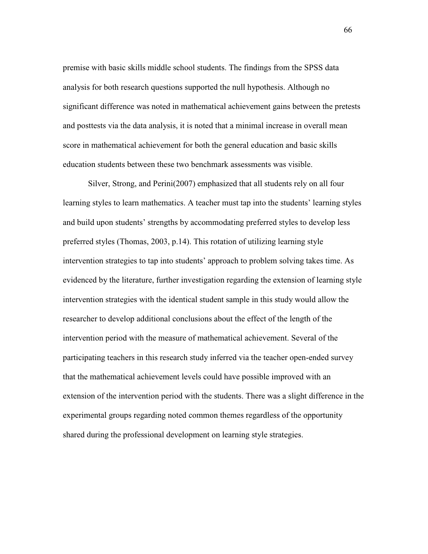premise with basic skills middle school students. The findings from the SPSS data analysis for both research questions supported the null hypothesis. Although no significant difference was noted in mathematical achievement gains between the pretests and posttests via the data analysis, it is noted that a minimal increase in overall mean score in mathematical achievement for both the general education and basic skills education students between these two benchmark assessments was visible.

Silver, Strong, and Perini(2007) emphasized that all students rely on all four learning styles to learn mathematics. A teacher must tap into the students' learning styles and build upon students' strengths by accommodating preferred styles to develop less preferred styles (Thomas, 2003, p.14). This rotation of utilizing learning style intervention strategies to tap into students' approach to problem solving takes time. As evidenced by the literature, further investigation regarding the extension of learning style intervention strategies with the identical student sample in this study would allow the researcher to develop additional conclusions about the effect of the length of the intervention period with the measure of mathematical achievement. Several of the participating teachers in this research study inferred via the teacher open-ended survey that the mathematical achievement levels could have possible improved with an extension of the intervention period with the students. There was a slight difference in the experimental groups regarding noted common themes regardless of the opportunity shared during the professional development on learning style strategies.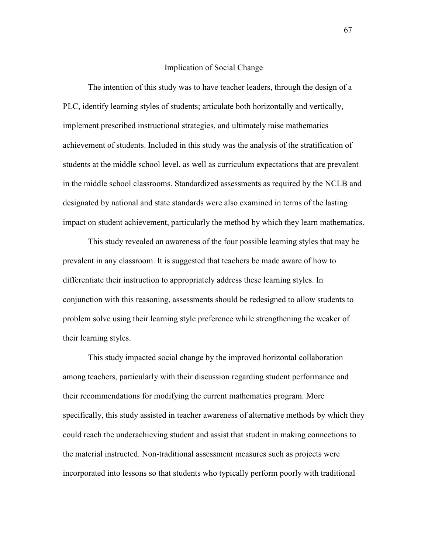#### Implication of Social Change

 The intention of this study was to have teacher leaders, through the design of a PLC, identify learning styles of students; articulate both horizontally and vertically, implement prescribed instructional strategies, and ultimately raise mathematics achievement of students. Included in this study was the analysis of the stratification of students at the middle school level, as well as curriculum expectations that are prevalent in the middle school classrooms. Standardized assessments as required by the NCLB and designated by national and state standards were also examined in terms of the lasting impact on student achievement, particularly the method by which they learn mathematics.

 This study revealed an awareness of the four possible learning styles that may be prevalent in any classroom. It is suggested that teachers be made aware of how to differentiate their instruction to appropriately address these learning styles. In conjunction with this reasoning, assessments should be redesigned to allow students to problem solve using their learning style preference while strengthening the weaker of their learning styles.

This study impacted social change by the improved horizontal collaboration among teachers, particularly with their discussion regarding student performance and their recommendations for modifying the current mathematics program. More specifically, this study assisted in teacher awareness of alternative methods by which they could reach the underachieving student and assist that student in making connections to the material instructed. Non-traditional assessment measures such as projects were incorporated into lessons so that students who typically perform poorly with traditional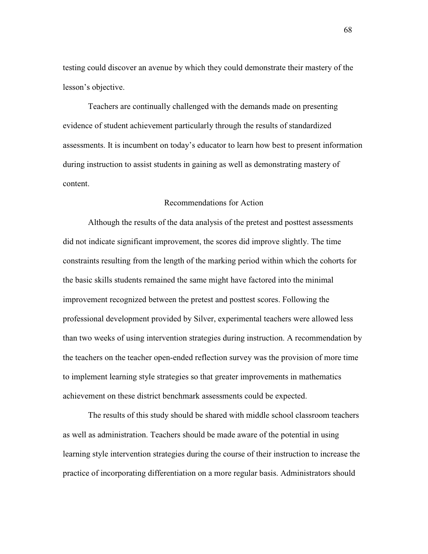testing could discover an avenue by which they could demonstrate their mastery of the lesson's objective.

Teachers are continually challenged with the demands made on presenting evidence of student achievement particularly through the results of standardized assessments. It is incumbent on today's educator to learn how best to present information during instruction to assist students in gaining as well as demonstrating mastery of content.

#### Recommendations for Action

 Although the results of the data analysis of the pretest and posttest assessments did not indicate significant improvement, the scores did improve slightly. The time constraints resulting from the length of the marking period within which the cohorts for the basic skills students remained the same might have factored into the minimal improvement recognized between the pretest and posttest scores. Following the professional development provided by Silver, experimental teachers were allowed less than two weeks of using intervention strategies during instruction. A recommendation by the teachers on the teacher open-ended reflection survey was the provision of more time to implement learning style strategies so that greater improvements in mathematics achievement on these district benchmark assessments could be expected.

The results of this study should be shared with middle school classroom teachers as well as administration. Teachers should be made aware of the potential in using learning style intervention strategies during the course of their instruction to increase the practice of incorporating differentiation on a more regular basis. Administrators should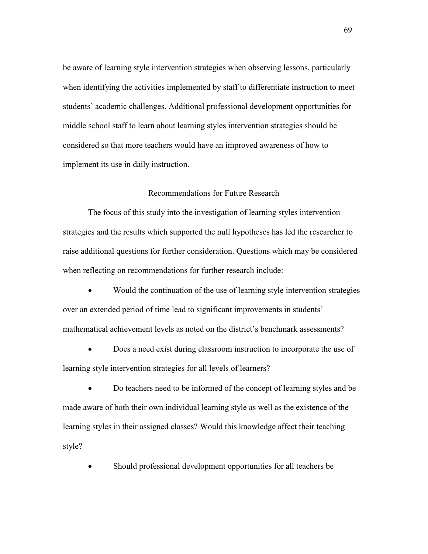be aware of learning style intervention strategies when observing lessons, particularly when identifying the activities implemented by staff to differentiate instruction to meet students' academic challenges. Additional professional development opportunities for middle school staff to learn about learning styles intervention strategies should be considered so that more teachers would have an improved awareness of how to implement its use in daily instruction.

### Recommendations for Future Research

The focus of this study into the investigation of learning styles intervention strategies and the results which supported the null hypotheses has led the researcher to raise additional questions for further consideration. Questions which may be considered when reflecting on recommendations for further research include:

• Would the continuation of the use of learning style intervention strategies over an extended period of time lead to significant improvements in students' mathematical achievement levels as noted on the district's benchmark assessments?

• Does a need exist during classroom instruction to incorporate the use of learning style intervention strategies for all levels of learners?

• Do teachers need to be informed of the concept of learning styles and be made aware of both their own individual learning style as well as the existence of the learning styles in their assigned classes? Would this knowledge affect their teaching style?

• Should professional development opportunities for all teachers be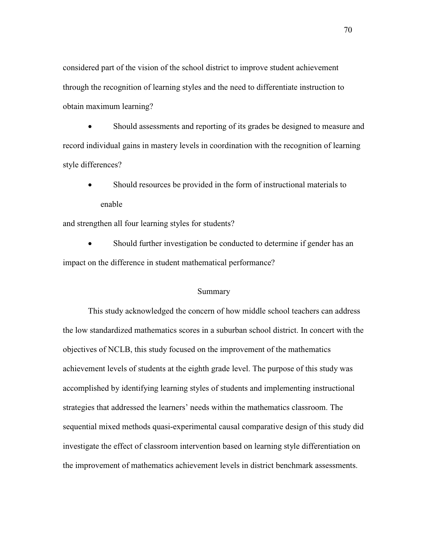considered part of the vision of the school district to improve student achievement through the recognition of learning styles and the need to differentiate instruction to obtain maximum learning?

• Should assessments and reporting of its grades be designed to measure and record individual gains in mastery levels in coordination with the recognition of learning style differences?

• Should resources be provided in the form of instructional materials to enable

and strengthen all four learning styles for students?

• Should further investigation be conducted to determine if gender has an impact on the difference in student mathematical performance?

#### Summary

This study acknowledged the concern of how middle school teachers can address the low standardized mathematics scores in a suburban school district. In concert with the objectives of NCLB, this study focused on the improvement of the mathematics achievement levels of students at the eighth grade level. The purpose of this study was accomplished by identifying learning styles of students and implementing instructional strategies that addressed the learners' needs within the mathematics classroom. The sequential mixed methods quasi-experimental causal comparative design of this study did investigate the effect of classroom intervention based on learning style differentiation on the improvement of mathematics achievement levels in district benchmark assessments.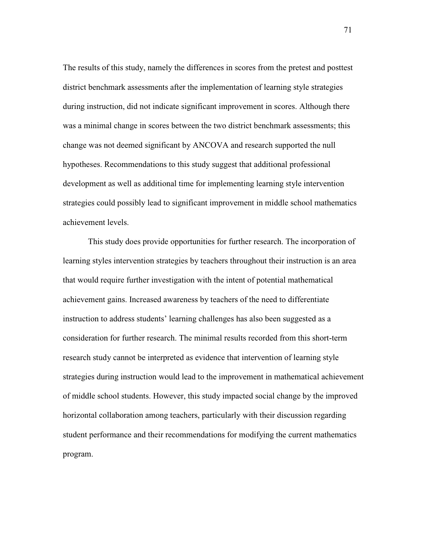The results of this study, namely the differences in scores from the pretest and posttest district benchmark assessments after the implementation of learning style strategies during instruction, did not indicate significant improvement in scores. Although there was a minimal change in scores between the two district benchmark assessments; this change was not deemed significant by ANCOVA and research supported the null hypotheses. Recommendations to this study suggest that additional professional development as well as additional time for implementing learning style intervention strategies could possibly lead to significant improvement in middle school mathematics achievement levels.

 This study does provide opportunities for further research. The incorporation of learning styles intervention strategies by teachers throughout their instruction is an area that would require further investigation with the intent of potential mathematical achievement gains. Increased awareness by teachers of the need to differentiate instruction to address students' learning challenges has also been suggested as a consideration for further research. The minimal results recorded from this short-term research study cannot be interpreted as evidence that intervention of learning style strategies during instruction would lead to the improvement in mathematical achievement of middle school students. However, this study impacted social change by the improved horizontal collaboration among teachers, particularly with their discussion regarding student performance and their recommendations for modifying the current mathematics program.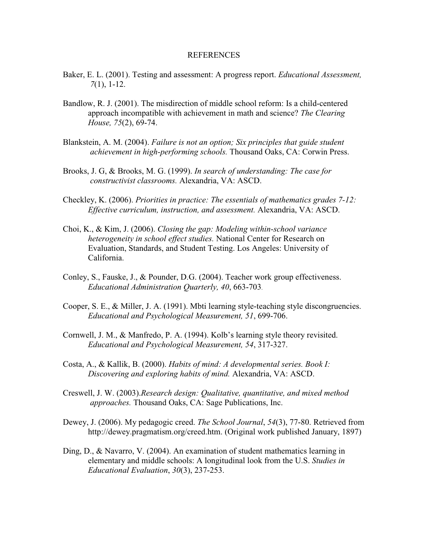#### REFERENCES

- Baker, E. L. (2001). Testing and assessment: A progress report. *Educational Assessment, 7*(1), 1-12.
- Bandlow, R. J. (2001). The misdirection of middle school reform: Is a child-centered approach incompatible with achievement in math and science? *The Clearing House, 75*(2), 69-74.
- Blankstein, A. M. (2004). *Failure is not an option; Six principles that guide student achievement in high-performing schools.* Thousand Oaks, CA: Corwin Press.
- Brooks, J. G, & Brooks, M. G. (1999). *In search of understanding: The case for constructivist classrooms.* Alexandria, VA: ASCD.
- Checkley, K. (2006). *Priorities in practice: The essentials of mathematics grades 7-12: Effective curriculum, instruction, and assessment.* Alexandria, VA: ASCD.
- Choi, K., & Kim, J. (2006). *Closing the gap: Modeling within-school variance heterogeneity in school effect studies.* National Center for Research on Evaluation, Standards, and Student Testing. Los Angeles: University of California.
- Conley, S., Fauske, J., & Pounder, D.G. (2004). Teacher work group effectiveness. *Educational Administration Quarterly, 40*, 663-703.
- Cooper, S. E., & Miller, J. A. (1991). Mbti learning style-teaching style discongruencies. *Educational and Psychological Measurement, 51*, 699-706.
- Cornwell, J. M., & Manfredo, P. A. (1994). Kolb's learning style theory revisited. *Educational and Psychological Measurement, 54*, 317-327.
- Costa, A., & Kallik, B. (2000). *Habits of mind: A developmental series. Book I: Discovering and exploring habits of mind.* Alexandria, VA: ASCD.
- Creswell, J. W. (2003).*Research design: Qualitative, quantitative, and mixed method approaches.* Thousand Oaks, CA: Sage Publications, Inc.
- Dewey, J. (2006). My pedagogic creed. *The School Journal*, *54*(3), 77-80. Retrieved from http://dewey.pragmatism.org/creed.htm. (Original work published January, 1897)
- Ding, D., & Navarro, V. (2004). An examination of student mathematics learning in elementary and middle schools: A longitudinal look from the U.S. *Studies in Educational Evaluation*, *30*(3), 237-253.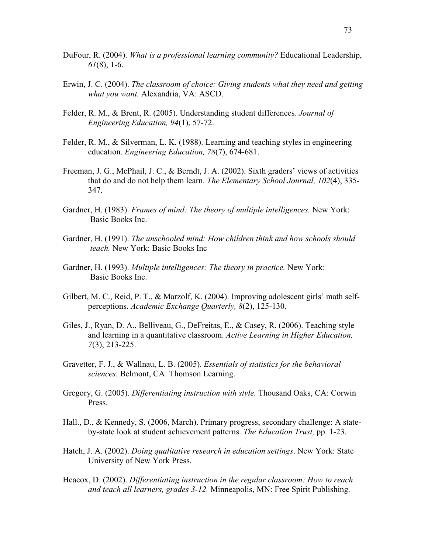- DuFour, R. (2004). *What is a professional learning community?* Educational Leadership, *61*(8), 1-6.
- Erwin, J. C. (2004). *The classroom of choice: Giving students what they need and getting what you want.* Alexandria, VA: ASCD.
- Felder, R. M., & Brent, R. (2005). Understanding student differences. *Journal of Engineering Education, 94*(1), 57-72.
- Felder, R. M., & Silverman, L. K. (1988). Learning and teaching styles in engineering education. *Engineering Education, 78*(7), 674-681.
- Freeman, J. G., McPhail, J. C., & Berndt, J. A. (2002). Sixth graders' views of activities that do and do not help them learn. *The Elementary School Journal, 102*(4), 335- 347.
- Gardner, H. (1983). *Frames of mind: The theory of multiple intelligences.* New York: Basic Books Inc.
- Gardner, H. (1991). *The unschooled mind: How children think and how schools should teach.* New York: Basic Books Inc
- Gardner, H. (1993). *Multiple intelligences: The theory in practice.* New York: Basic Books Inc.
- Gilbert, M. C., Reid, P. T., & Marzolf, K. (2004). Improving adolescent girls' math selfperceptions. *Academic Exchange Quarterly, 8*(2), 125-130.
- Giles, J., Ryan, D. A., Belliveau, G., DeFreitas, E., & Casey, R. (2006). Teaching style and learning in a quantitative classroom. *Active Learning in Higher Education, 7*(3), 213-225.
- Gravetter, F. J., & Wallnau, L. B. (2005). *Essentials of statistics for the behavioral sciences.* Belmont, CA: Thomson Learning.
- Gregory, G. (2005). *Differentiating instruction with style.* Thousand Oaks, CA: Corwin Press.
- Hall., D., & Kennedy, S. (2006, March). Primary progress, secondary challenge: A stateby-state look at student achievement patterns. *The Education Trust,* pp. 1-23.
- Hatch, J. A. (2002). *Doing qualitative research in education settings*. New York: State University of New York Press.
- Heacox, D. (2002). *Differentiating instruction in the regular classroom: How to reach and teach all learners, grades 3-12.* Minneapolis, MN: Free Spirit Publishing.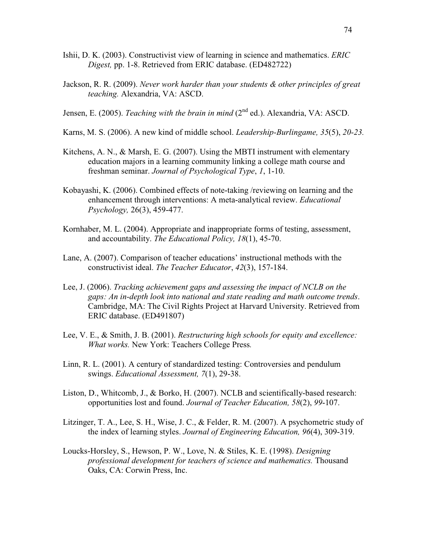- Ishii, D. K. (2003). Constructivist view of learning in science and mathematics. *ERIC Digest,* pp. 1-8. Retrieved from ERIC database. (ED482722)
- Jackson, R. R. (2009). *Never work harder than your students & other principles of great teaching.* Alexandria, VA: ASCD.
- Jensen, E. (2005). *Teaching with the brain in mind* (2<sup>nd</sup> ed.). Alexandria, VA: ASCD.
- Karns, M. S. (2006). A new kind of middle school. *Leadership-Burlingame, 35*(5), *20-23.*
- Kitchens, A. N., & Marsh, E. G. (2007). Using the MBTI instrument with elementary education majors in a learning community linking a college math course and freshman seminar. *Journal of Psychological Type*, *1*, 1-10.
- Kobayashi, K. (2006). Combined effects of note-taking /reviewing on learning and the enhancement through interventions: A meta-analytical review. *Educational Psychology,* 26(3), 459-477.
- Kornhaber, M. L. (2004). Appropriate and inappropriate forms of testing, assessment, and accountability. *The Educational Policy, 18*(1), 45-70.
- Lane, A. (2007). Comparison of teacher educations' instructional methods with the constructivist ideal. *The Teacher Educator*, *42*(3), 157-184.
- Lee, J. (2006). *Tracking achievement gaps and assessing the impact of NCLB on the gaps: An in-depth look into national and state reading and math outcome trends*. Cambridge, MA: The Civil Rights Project at Harvard University. Retrieved from ERIC database. (ED491807)
- Lee, V. E., & Smith, J. B. (2001). *Restructuring high schools for equity and excellence: What works.* New York: Teachers College Press*.*
- Linn, R. L. (2001). A century of standardized testing: Controversies and pendulum swings. *Educational Assessment, 7*(1), 29-38.
- Liston, D., Whitcomb, J., & Borko, H. (2007). NCLB and scientifically-based research: opportunities lost and found. *Journal of Teacher Education, 58*(2), *99*-107.
- Litzinger, T. A., Lee, S. H., Wise, J. C., & Felder, R. M. (2007). A psychometric study of the index of learning styles. *Journal of Engineering Education, 96*(4), 309-319.
- Loucks-Horsley, S., Hewson, P. W., Love, N. & Stiles, K. E. (1998). *Designing professional development for teachers of science and mathematics.* Thousand Oaks, CA: Corwin Press, Inc.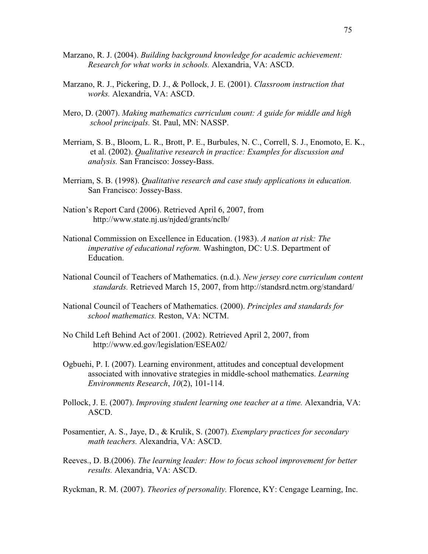- Marzano, R. J. (2004). *Building background knowledge for academic achievement: Research for what works in schools.* Alexandria, VA: ASCD.
- Marzano, R. J., Pickering, D. J., & Pollock, J. E. (2001). *Classroom instruction that works.* Alexandria, VA: ASCD.
- Mero, D. (2007). *Making mathematics curriculum count: A guide for middle and high school principals.* St. Paul, MN: NASSP.
- Merriam, S. B., Bloom, L. R., Brott, P. E., Burbules, N. C., Correll, S. J., Enomoto, E. K., et al. (2002). *Qualitative research in practice: Examples for discussion and analysis.* San Francisco: Jossey-Bass.
- Merriam, S. B. (1998). *Qualitative research and case study applications in education.*  San Francisco: Jossey-Bass.
- Nation's Report Card (2006). Retrieved April 6, 2007, from http://www.state.nj.us/njded/grants/nclb/
- National Commission on Excellence in Education. (1983). *A nation at risk: The imperative of educational reform.* Washington, DC: U.S. Department of Education.
- National Council of Teachers of Mathematics. (n.d.). *New jersey core curriculum content standards.* Retrieved March 15, 2007, from http://standsrd.nctm.org/standard/
- National Council of Teachers of Mathematics. (2000). *Principles and standards for school mathematics.* Reston, VA: NCTM.
- No Child Left Behind Act of 2001. (2002). Retrieved April 2, 2007, from http://www.ed.gov/legislation/ESEA02/
- Ogbuehi, P. I. (2007). Learning environment, attitudes and conceptual development associated with innovative strategies in middle-school mathematics. *Learning Environments Research*, *10*(2), 101-114.
- Pollock, J. E. (2007). *Improving student learning one teacher at a time*. Alexandria, VA: ASCD.
- Posamentier, A. S., Jaye, D., & Krulik, S. (2007). *Exemplary practices for secondary math teachers.* Alexandria, VA: ASCD.
- Reeves., D. B.(2006). *The learning leader: How to focus school improvement for better results.* Alexandria, VA: ASCD.

Ryckman, R. M. (2007). *Theories of personality.* Florence, KY: Cengage Learning, Inc.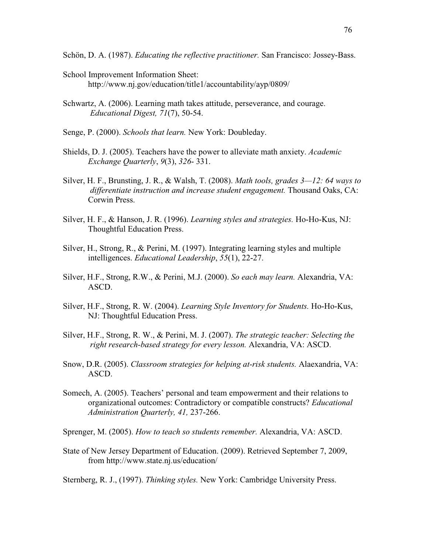Schön, D. A. (1987). *Educating the reflective practitioner.* San Francisco: Jossey-Bass.

- School Improvement Information Sheet: http://www.nj.gov/education/title1/accountability/ayp/0809/
- Schwartz, A. (2006). Learning math takes attitude, perseverance, and courage. *Educational Digest, 71*(7), 50-54.
- Senge, P. (2000). *Schools that learn.* New York: Doubleday.
- Shields, D. J. (2005). Teachers have the power to alleviate math anxiety. *Academic Exchange Quarterly*, *9*(3), *326*- 331.
- Silver, H. F., Brunsting, J. R., & Walsh, T. (2008). *Math tools, grades 3—12: 64 ways to differentiate instruction and increase student engagement.* Thousand Oaks, CA: Corwin Press.
- Silver, H. F., & Hanson, J. R. (1996). *Learning styles and strategies.* Ho-Ho-Kus, NJ: Thoughtful Education Press.
- Silver, H., Strong, R., & Perini, M. (1997). Integrating learning styles and multiple intelligences. *Educational Leadership*, *55*(1), 22-27.
- Silver, H.F., Strong, R.W., & Perini, M.J. (2000). *So each may learn.* Alexandria, VA: ASCD.
- Silver, H.F., Strong, R. W. (2004). *Learning Style Inventory for Students.* Ho-Ho-Kus, NJ: Thoughtful Education Press.
- Silver, H.F., Strong, R. W., & Perini, M. J. (2007). *The strategic teacher: Selecting the right research-based strategy for every lesson.* Alexandria, VA: ASCD.
- Snow, D.R. (2005). *Classroom strategies for helping at-risk students.* Alaexandria, VA: ASCD.
- Somech, A. (2005). Teachers' personal and team empowerment and their relations to organizational outcomes: Contradictory or compatible constructs? *Educational Administration Quarterly, 41,* 237-266.

Sprenger, M. (2005). *How to teach so students remember.* Alexandria, VA: ASCD.

State of New Jersey Department of Education. (2009). Retrieved September 7, 2009, from http://www.state.nj.us/education/

Sternberg, R. J., (1997). *Thinking styles.* New York: Cambridge University Press.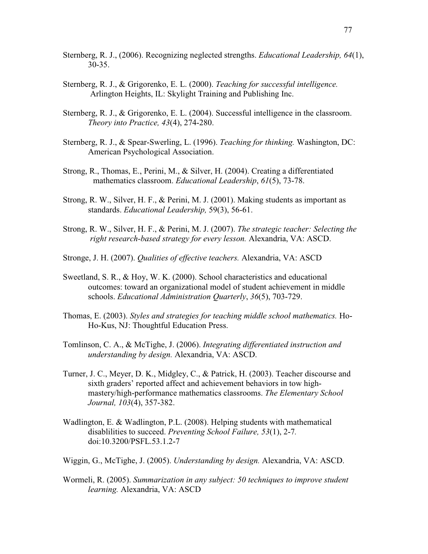- Sternberg, R. J., (2006). Recognizing neglected strengths. *Educational Leadership, 64*(1), 30-35.
- Sternberg, R. J., & Grigorenko, E. L. (2000). *Teaching for successful intelligence.*  Arlington Heights, IL: Skylight Training and Publishing Inc.
- Sternberg, R. J., & Grigorenko, E. L. (2004). Successful intelligence in the classroom. *Theory into Practice, 43*(4), 274-280.
- Sternberg, R. J., & Spear-Swerling, L. (1996). *Teaching for thinking.* Washington, DC: American Psychological Association.
- Strong, R., Thomas, E., Perini, M., & Silver, H. (2004). Creating a differentiated mathematics classroom. *Educational Leadership*, *61*(5), 73-78.
- Strong, R. W., Silver, H. F., & Perini, M. J. (2001). Making students as important as standards. *Educational Leadership,* 59(3), 56-61.
- Strong, R. W., Silver, H. F., & Perini, M. J. (2007). *The strategic teacher: Selecting the right research-based strategy for every lesson.* Alexandria, VA: ASCD.
- Stronge, J. H. (2007). *Qualities of effective teachers.* Alexandria, VA: ASCD
- Sweetland, S. R., & Hoy, W. K. (2000). School characteristics and educational outcomes: toward an organizational model of student achievement in middle schools. *Educational Administration Quarterly*, *36*(5), 703-729.
- Thomas, E. (2003). *Styles and strategies for teaching middle school mathematics.* Ho- Ho-Kus, NJ: Thoughtful Education Press.
- Tomlinson, C. A., & McTighe, J. (2006). *Integrating differentiated instruction and understanding by design.* Alexandria, VA: ASCD.
- Turner, J. C., Meyer, D. K., Midgley, C., & Patrick, H. (2003). Teacher discourse and sixth graders' reported affect and achievement behaviors in tow highmastery/high-performance mathematics classrooms. *The Elementary School Journal, 103*(4), 357-382.
- Wadlington, E. & Wadlington, P.L. (2008). Helping students with mathematical disablilities to succeed. *Preventing School Failure, 53*(1), 2-7*.*  doi:10.3200/PSFL.53.1.2-7
- Wiggin, G., McTighe, J. (2005). *Understanding by design.* Alexandria, VA: ASCD.
- Wormeli, R. (2005). *Summarization in any subject: 50 techniques to improve student learning.* Alexandria, VA: ASCD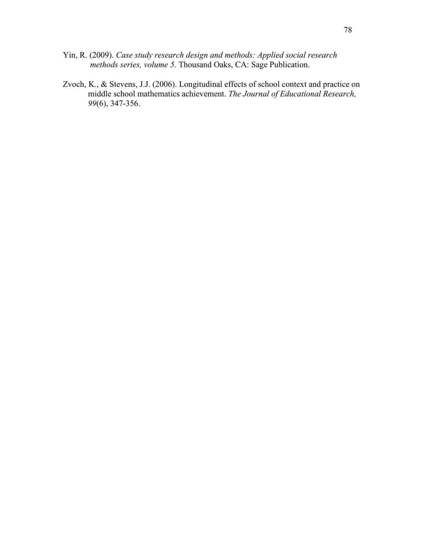- Yin, R. (2009). *Case study research design and methods: Applied social research methods series, volume 5.* Thousand Oaks, CA: Sage Publication.
- Zvoch, K., & Stevens, J.J. (2006). Longitudinal effects of school context and practice on middle school mathematics achievement. *The Journal of Educational Research, 99*(6), 347-356.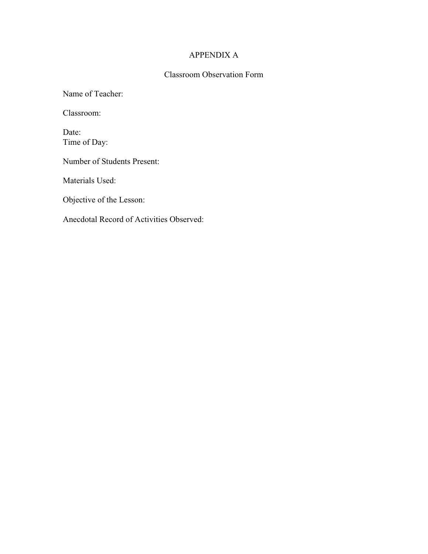## APPENDIX A

# Classroom Observation Form

Name of Teacher:

Classroom:

Date: Time of Day:

Number of Students Present:

Materials Used:

Objective of the Lesson: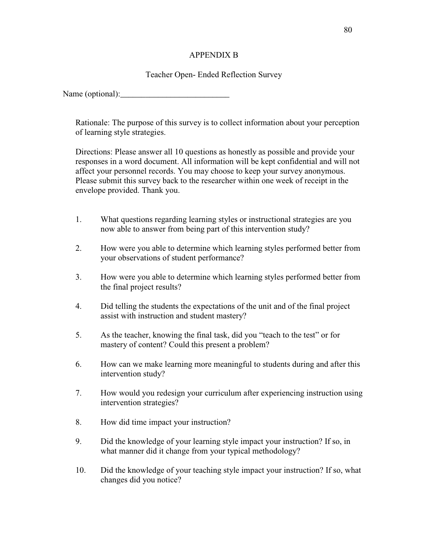## APPENDIX B

## Teacher Open- Ended Reflection Survey

Name (optional):\_\_\_\_\_\_\_\_\_\_\_\_\_\_\_\_\_\_\_\_\_\_\_\_\_\_

Rationale: The purpose of this survey is to collect information about your perception of learning style strategies.

Directions: Please answer all 10 questions as honestly as possible and provide your responses in a word document. All information will be kept confidential and will not affect your personnel records. You may choose to keep your survey anonymous. Please submit this survey back to the researcher within one week of receipt in the envelope provided. Thank you.

- 1. What questions regarding learning styles or instructional strategies are you now able to answer from being part of this intervention study?
- 2. How were you able to determine which learning styles performed better from your observations of student performance?
- 3. How were you able to determine which learning styles performed better from the final project results?
- 4. Did telling the students the expectations of the unit and of the final project assist with instruction and student mastery?
- 5. As the teacher, knowing the final task, did you "teach to the test" or for mastery of content? Could this present a problem?
- 6. How can we make learning more meaningful to students during and after this intervention study?
- 7. How would you redesign your curriculum after experiencing instruction using intervention strategies?
- 8. How did time impact your instruction?
- 9. Did the knowledge of your learning style impact your instruction? If so, in what manner did it change from your typical methodology?
- 10. Did the knowledge of your teaching style impact your instruction? If so, what changes did you notice?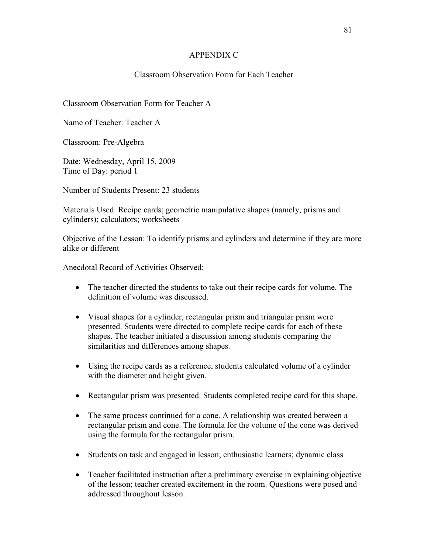## APPENDIX C

## Classroom Observation Form for Each Teacher

## Classroom Observation Form for Teacher A

Name of Teacher: Teacher A

Classroom: Pre-Algebra

Date: Wednesday, April 15, 2009 Time of Day: period 1

Number of Students Present: 23 students

Materials Used: Recipe cards; geometric manipulative shapes (namely, prisms and cylinders); calculators; worksheets

Objective of the Lesson: To identify prisms and cylinders and determine if they are more alike or different

- The teacher directed the students to take out their recipe cards for volume. The definition of volume was discussed.
- Visual shapes for a cylinder, rectangular prism and triangular prism were presented. Students were directed to complete recipe cards for each of these shapes. The teacher initiated a discussion among students comparing the similarities and differences among shapes.
- Using the recipe cards as a reference, students calculated volume of a cylinder with the diameter and height given.
- Rectangular prism was presented. Students completed recipe card for this shape.
- The same process continued for a cone. A relationship was created between a rectangular prism and cone. The formula for the volume of the cone was derived using the formula for the rectangular prism.
- Students on task and engaged in lesson; enthusiastic learners; dynamic class
- Teacher facilitated instruction after a preliminary exercise in explaining objective of the lesson; teacher created excitement in the room. Questions were posed and addressed throughout lesson.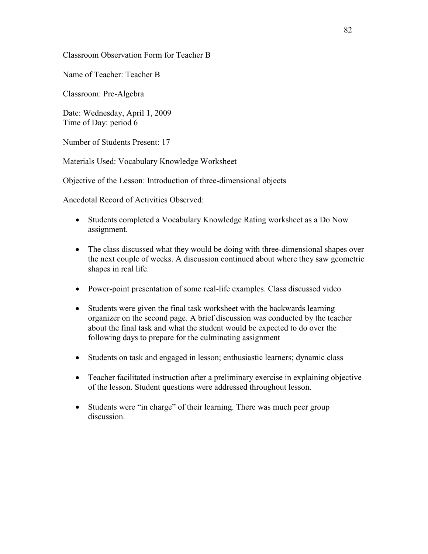Classroom Observation Form for Teacher B

Name of Teacher: Teacher B

Classroom: Pre-Algebra

Date: Wednesday, April 1, 2009 Time of Day: period 6

Number of Students Present: 17

Materials Used: Vocabulary Knowledge Worksheet

Objective of the Lesson: Introduction of three-dimensional objects

- Students completed a Vocabulary Knowledge Rating worksheet as a Do Now assignment.
- The class discussed what they would be doing with three-dimensional shapes over the next couple of weeks. A discussion continued about where they saw geometric shapes in real life.
- Power-point presentation of some real-life examples. Class discussed video
- Students were given the final task worksheet with the backwards learning organizer on the second page. A brief discussion was conducted by the teacher about the final task and what the student would be expected to do over the following days to prepare for the culminating assignment
- Students on task and engaged in lesson; enthusiastic learners; dynamic class
- Teacher facilitated instruction after a preliminary exercise in explaining objective of the lesson. Student questions were addressed throughout lesson.
- Students were "in charge" of their learning. There was much peer group discussion.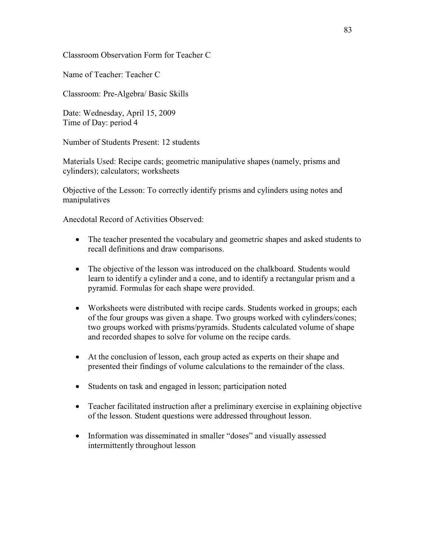Classroom Observation Form for Teacher C

Name of Teacher: Teacher C

Classroom: Pre-Algebra/ Basic Skills

Date: Wednesday, April 15, 2009 Time of Day: period 4

Number of Students Present: 12 students

Materials Used: Recipe cards; geometric manipulative shapes (namely, prisms and cylinders); calculators; worksheets

Objective of the Lesson: To correctly identify prisms and cylinders using notes and manipulatives

- The teacher presented the vocabulary and geometric shapes and asked students to recall definitions and draw comparisons.
- The objective of the lesson was introduced on the chalkboard. Students would learn to identify a cylinder and a cone, and to identify a rectangular prism and a pyramid. Formulas for each shape were provided.
- Worksheets were distributed with recipe cards. Students worked in groups; each of the four groups was given a shape. Two groups worked with cylinders/cones; two groups worked with prisms/pyramids. Students calculated volume of shape and recorded shapes to solve for volume on the recipe cards.
- At the conclusion of lesson, each group acted as experts on their shape and presented their findings of volume calculations to the remainder of the class.
- Students on task and engaged in lesson; participation noted
- Teacher facilitated instruction after a preliminary exercise in explaining objective of the lesson. Student questions were addressed throughout lesson.
- Information was disseminated in smaller "doses" and visually assessed intermittently throughout lesson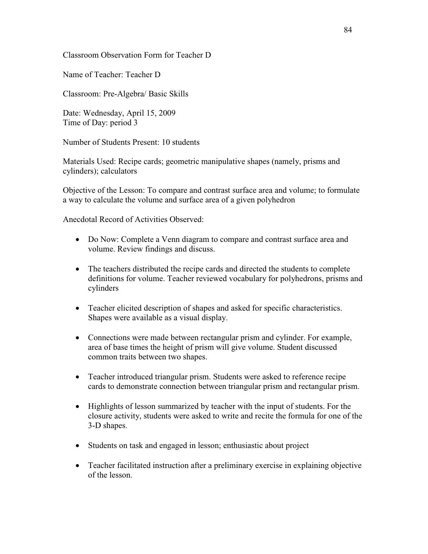### Classroom Observation Form for Teacher D

Name of Teacher: Teacher D

Classroom: Pre-Algebra/ Basic Skills

Date: Wednesday, April 15, 2009 Time of Day: period 3

Number of Students Present: 10 students

Materials Used: Recipe cards; geometric manipulative shapes (namely, prisms and cylinders); calculators

Objective of the Lesson: To compare and contrast surface area and volume; to formulate a way to calculate the volume and surface area of a given polyhedron

- Do Now: Complete a Venn diagram to compare and contrast surface area and volume. Review findings and discuss.
- The teachers distributed the recipe cards and directed the students to complete definitions for volume. Teacher reviewed vocabulary for polyhedrons, prisms and cylinders
- Teacher elicited description of shapes and asked for specific characteristics. Shapes were available as a visual display.
- Connections were made between rectangular prism and cylinder. For example, area of base times the height of prism will give volume. Student discussed common traits between two shapes.
- Teacher introduced triangular prism. Students were asked to reference recipe cards to demonstrate connection between triangular prism and rectangular prism.
- Highlights of lesson summarized by teacher with the input of students. For the closure activity, students were asked to write and recite the formula for one of the 3-D shapes.
- Students on task and engaged in lesson; enthusiastic about project
- Teacher facilitated instruction after a preliminary exercise in explaining objective of the lesson.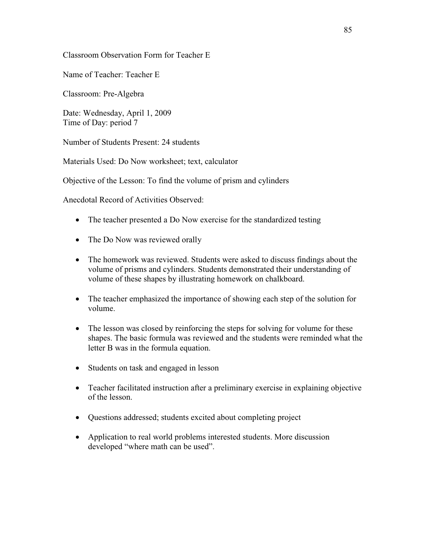Classroom Observation Form for Teacher E

Name of Teacher: Teacher E

Classroom: Pre-Algebra

Date: Wednesday, April 1, 2009 Time of Day: period 7

Number of Students Present: 24 students

Materials Used: Do Now worksheet; text, calculator

Objective of the Lesson: To find the volume of prism and cylinders

- The teacher presented a Do Now exercise for the standardized testing
- The Do Now was reviewed orally
- The homework was reviewed. Students were asked to discuss findings about the volume of prisms and cylinders. Students demonstrated their understanding of volume of these shapes by illustrating homework on chalkboard.
- The teacher emphasized the importance of showing each step of the solution for volume.
- The lesson was closed by reinforcing the steps for solving for volume for these shapes. The basic formula was reviewed and the students were reminded what the letter B was in the formula equation.
- Students on task and engaged in lesson
- Teacher facilitated instruction after a preliminary exercise in explaining objective of the lesson.
- Questions addressed; students excited about completing project
- Application to real world problems interested students. More discussion developed "where math can be used".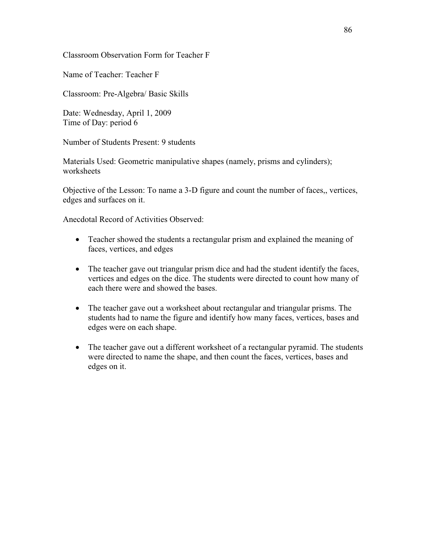Classroom Observation Form for Teacher F

Name of Teacher: Teacher F

Classroom: Pre-Algebra/ Basic Skills

Date: Wednesday, April 1, 2009 Time of Day: period 6

Number of Students Present: 9 students

Materials Used: Geometric manipulative shapes (namely, prisms and cylinders); worksheets

Objective of the Lesson: To name a 3-D figure and count the number of faces,, vertices, edges and surfaces on it.

- Teacher showed the students a rectangular prism and explained the meaning of faces, vertices, and edges
- The teacher gave out triangular prism dice and had the student identify the faces, vertices and edges on the dice. The students were directed to count how many of each there were and showed the bases.
- The teacher gave out a worksheet about rectangular and triangular prisms. The students had to name the figure and identify how many faces, vertices, bases and edges were on each shape.
- The teacher gave out a different worksheet of a rectangular pyramid. The students were directed to name the shape, and then count the faces, vertices, bases and edges on it.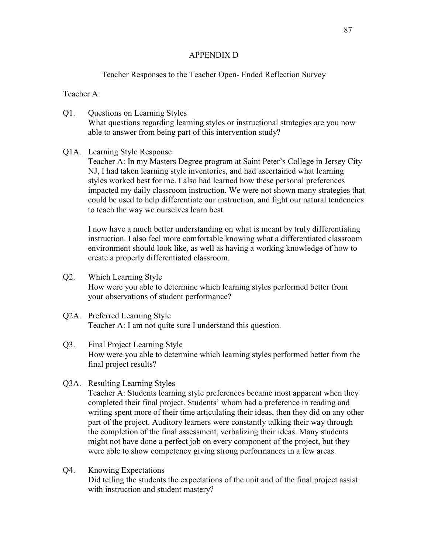### APPENDIX D

## Teacher Responses to the Teacher Open- Ended Reflection Survey

Teacher A:

- Q1. Questions on Learning Styles What questions regarding learning styles or instructional strategies are you now able to answer from being part of this intervention study?
- Q1A. Learning Style Response

Teacher A: In my Masters Degree program at Saint Peter's College in Jersey City NJ, I had taken learning style inventories, and had ascertained what learning styles worked best for me. I also had learned how these personal preferences impacted my daily classroom instruction. We were not shown many strategies that could be used to help differentiate our instruction, and fight our natural tendencies to teach the way we ourselves learn best.

I now have a much better understanding on what is meant by truly differentiating instruction. I also feel more comfortable knowing what a differentiated classroom environment should look like, as well as having a working knowledge of how to create a properly differentiated classroom.

- Q2. Which Learning Style How were you able to determine which learning styles performed better from your observations of student performance?
- Q2A. Preferred Learning Style Teacher A: I am not quite sure I understand this question.
- Q3. Final Project Learning Style How were you able to determine which learning styles performed better from the final project results?
- Q3A. Resulting Learning Styles

Teacher A: Students learning style preferences became most apparent when they completed their final project. Students' whom had a preference in reading and writing spent more of their time articulating their ideas, then they did on any other part of the project. Auditory learners were constantly talking their way through the completion of the final assessment, verbalizing their ideas. Many students might not have done a perfect job on every component of the project, but they were able to show competency giving strong performances in a few areas.

Q4. Knowing Expectations

Did telling the students the expectations of the unit and of the final project assist with instruction and student mastery?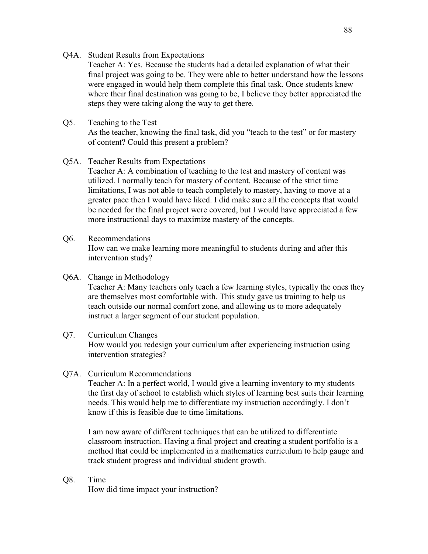Q4A. Student Results from Expectations

Teacher A: Yes. Because the students had a detailed explanation of what their final project was going to be. They were able to better understand how the lessons were engaged in would help them complete this final task. Once students knew where their final destination was going to be, I believe they better appreciated the steps they were taking along the way to get there.

## Q5. Teaching to the Test

As the teacher, knowing the final task, did you "teach to the test" or for mastery of content? Could this present a problem?

### Q5A. Teacher Results from Expectations

Teacher A: A combination of teaching to the test and mastery of content was utilized. I normally teach for mastery of content. Because of the strict time limitations, I was not able to teach completely to mastery, having to move at a greater pace then I would have liked. I did make sure all the concepts that would be needed for the final project were covered, but I would have appreciated a few more instructional days to maximize mastery of the concepts.

### Q6. Recommendations

How can we make learning more meaningful to students during and after this intervention study?

### Q6A. Change in Methodology

Teacher A: Many teachers only teach a few learning styles, typically the ones they are themselves most comfortable with. This study gave us training to help us teach outside our normal comfort zone, and allowing us to more adequately instruct a larger segment of our student population.

#### Q7. Curriculum Changes

How would you redesign your curriculum after experiencing instruction using intervention strategies?

#### Q7A. Curriculum Recommendations

Teacher A: In a perfect world, I would give a learning inventory to my students the first day of school to establish which styles of learning best suits their learning needs. This would help me to differentiate my instruction accordingly. I don't know if this is feasible due to time limitations.

I am now aware of different techniques that can be utilized to differentiate classroom instruction. Having a final project and creating a student portfolio is a method that could be implemented in a mathematics curriculum to help gauge and track student progress and individual student growth.

#### Q8. Time

How did time impact your instruction?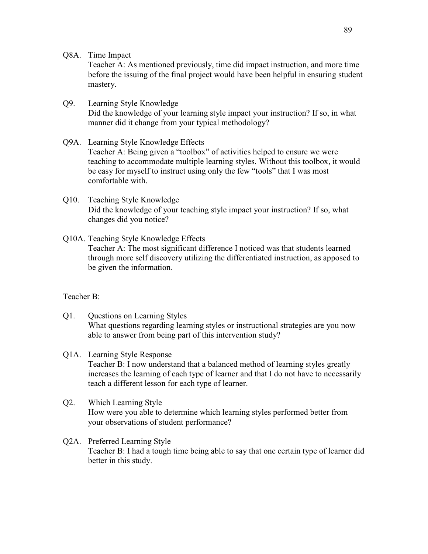Q8A. Time Impact

Teacher A: As mentioned previously, time did impact instruction, and more time before the issuing of the final project would have been helpful in ensuring student mastery.

- Q9. Learning Style Knowledge Did the knowledge of your learning style impact your instruction? If so, in what manner did it change from your typical methodology?
- Q9A. Learning Style Knowledge Effects Teacher A: Being given a "toolbox" of activities helped to ensure we were teaching to accommodate multiple learning styles. Without this toolbox, it would be easy for myself to instruct using only the few "tools" that I was most comfortable with.
- Q10. Teaching Style Knowledge Did the knowledge of your teaching style impact your instruction? If so, what changes did you notice?
- Q10A. Teaching Style Knowledge Effects Teacher A: The most significant difference I noticed was that students learned through more self discovery utilizing the differentiated instruction, as apposed to be given the information.

# Teacher B:

- Q1. Questions on Learning Styles What questions regarding learning styles or instructional strategies are you now able to answer from being part of this intervention study?
- Q1A. Learning Style Response Teacher B: I now understand that a balanced method of learning styles greatly increases the learning of each type of learner and that I do not have to necessarily teach a different lesson for each type of learner.
- Q2. Which Learning Style How were you able to determine which learning styles performed better from your observations of student performance?
- Q2A. Preferred Learning Style Teacher B: I had a tough time being able to say that one certain type of learner did better in this study.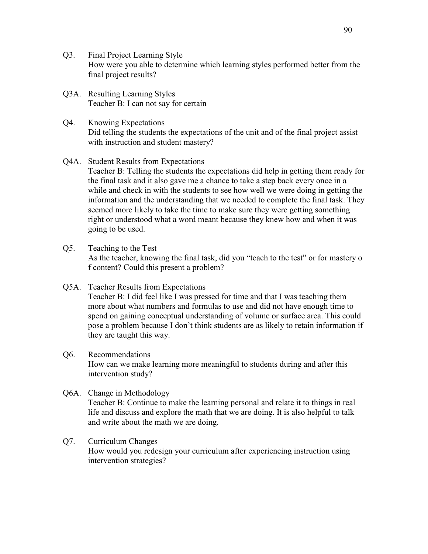- Q3. Final Project Learning Style How were you able to determine which learning styles performed better from the final project results?
- Q3A. Resulting Learning Styles Teacher B: I can not say for certain
- Q4. Knowing Expectations Did telling the students the expectations of the unit and of the final project assist with instruction and student mastery?

## Q4A. Student Results from Expectations

Teacher B: Telling the students the expectations did help in getting them ready for the final task and it also gave me a chance to take a step back every once in a while and check in with the students to see how well we were doing in getting the information and the understanding that we needed to complete the final task. They seemed more likely to take the time to make sure they were getting something right or understood what a word meant because they knew how and when it was going to be used.

- Q5. Teaching to the Test As the teacher, knowing the final task, did you "teach to the test" or for mastery o f content? Could this present a problem?
- Q5A. Teacher Results from Expectations Teacher B: I did feel like I was pressed for time and that I was teaching them more about what numbers and formulas to use and did not have enough time to spend on gaining conceptual understanding of volume or surface area. This could pose a problem because I don't think students are as likely to retain information if they are taught this way.

## Q6. Recommendations

How can we make learning more meaningful to students during and after this intervention study?

Q6A. Change in Methodology

Teacher B: Continue to make the learning personal and relate it to things in real life and discuss and explore the math that we are doing. It is also helpful to talk and write about the math we are doing.

## Q7. Curriculum Changes

How would you redesign your curriculum after experiencing instruction using intervention strategies?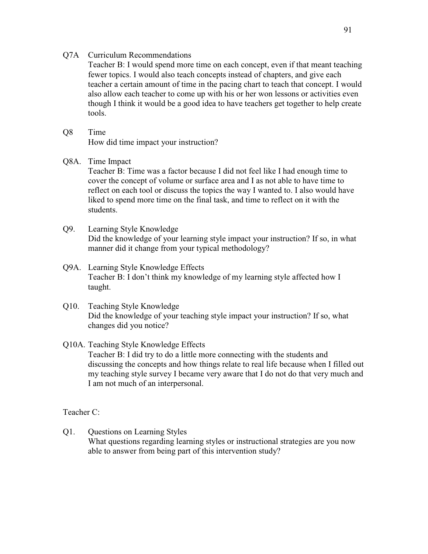#### Q7A Curriculum Recommendations

Teacher B: I would spend more time on each concept, even if that meant teaching fewer topics. I would also teach concepts instead of chapters, and give each teacher a certain amount of time in the pacing chart to teach that concept. I would also allow each teacher to come up with his or her won lessons or activities even though I think it would be a good idea to have teachers get together to help create tools.

### Q8 Time

How did time impact your instruction?

#### Q8A. Time Impact

Teacher B: Time was a factor because I did not feel like I had enough time to cover the concept of volume or surface area and I as not able to have time to reflect on each tool or discuss the topics the way I wanted to. I also would have liked to spend more time on the final task, and time to reflect on it with the students.

- Q9. Learning Style Knowledge Did the knowledge of your learning style impact your instruction? If so, in what manner did it change from your typical methodology?
- Q9A. Learning Style Knowledge Effects Teacher B: I don't think my knowledge of my learning style affected how I taught.
- Q10. Teaching Style Knowledge Did the knowledge of your teaching style impact your instruction? If so, what changes did you notice?

## Q10A. Teaching Style Knowledge Effects

Teacher B: I did try to do a little more connecting with the students and discussing the concepts and how things relate to real life because when I filled out my teaching style survey I became very aware that I do not do that very much and I am not much of an interpersonal.

#### Teacher C:

Q1. Questions on Learning Styles What questions regarding learning styles or instructional strategies are you now able to answer from being part of this intervention study?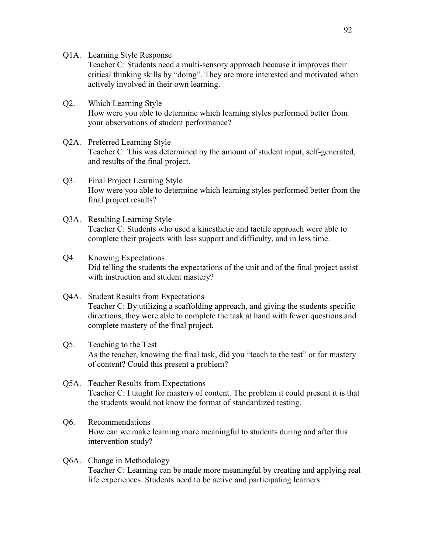Q1A. Learning Style Response

Teacher C: Students need a multi-sensory approach because it improves their critical thinking skills by "doing". They are more interested and motivated when actively involved in their own learning.

- Q2. Which Learning Style How were you able to determine which learning styles performed better from your observations of student performance?
- Q2A. Preferred Learning Style Teacher C: This was determined by the amount of student input, self-generated, and results of the final project.
- Q3. Final Project Learning Style How were you able to determine which learning styles performed better from the final project results?
- Q3A. Resulting Learning Style Teacher C: Students who used a kinesthetic and tactile approach were able to complete their projects with less support and difficulty, and in less time.
- Q4. Knowing Expectations Did telling the students the expectations of the unit and of the final project assist with instruction and student mastery?
- Q4A. Student Results from Expectations Teacher C: By utilizing a scaffolding approach, and giving the students specific directions, they were able to complete the task at hand with fewer questions and complete mastery of the final project.
- Q5. Teaching to the Test As the teacher, knowing the final task, did you "teach to the test" or for mastery of content? Could this present a problem?
- Q5A. Teacher Results from Expectations Teacher C: I taught for mastery of content. The problem it could present it is that the students would not know the format of standardized testing.
- Q6. Recommendations How can we make learning more meaningful to students during and after this intervention study?
- Q6A. Change in Methodology Teacher C: Learning can be made more meaningful by creating and applying real life experiences. Students need to be active and participating learners.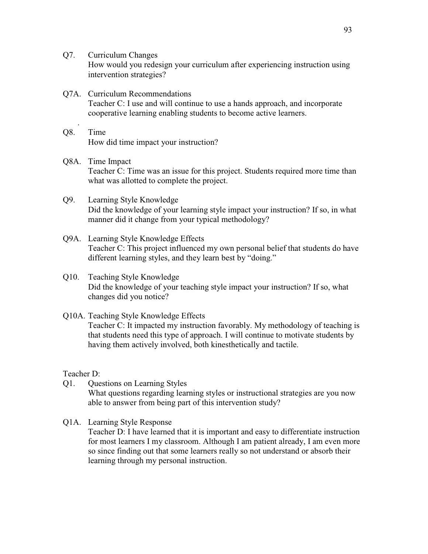- Q7. Curriculum Changes How would you redesign your curriculum after experiencing instruction using intervention strategies?
- Q7A. Curriculum Recommendations Teacher C: I use and will continue to use a hands approach, and incorporate cooperative learning enabling students to become active learners.
- . Q8. Time How did time impact your instruction?
- Q8A. Time Impact Teacher C: Time was an issue for this project. Students required more time than what was allotted to complete the project.
- Q9. Learning Style Knowledge Did the knowledge of your learning style impact your instruction? If so, in what manner did it change from your typical methodology?
- Q9A. Learning Style Knowledge Effects Teacher C: This project influenced my own personal belief that students do have different learning styles, and they learn best by "doing."
- Q10. Teaching Style Knowledge Did the knowledge of your teaching style impact your instruction? If so, what changes did you notice?
- Q10A. Teaching Style Knowledge Effects Teacher C: It impacted my instruction favorably. My methodology of teaching is that students need this type of approach. I will continue to motivate students by having them actively involved, both kinesthetically and tactile.

Teacher D:

Q1. Questions on Learning Styles

What questions regarding learning styles or instructional strategies are you now able to answer from being part of this intervention study?

Q1A. Learning Style Response Teacher D: I have learned that it is important and easy to differentiate instruction for most learners I my classroom. Although I am patient already, I am even more so since finding out that some learners really so not understand or absorb their learning through my personal instruction.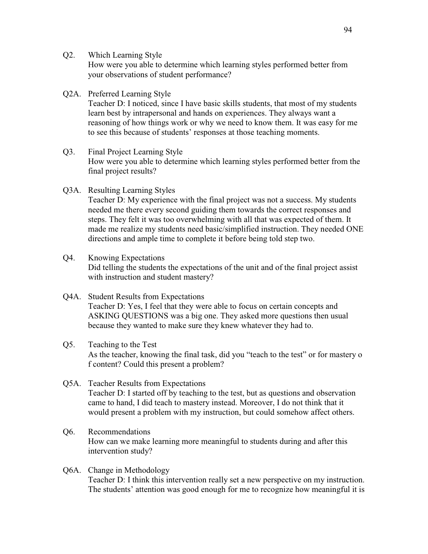Q2. Which Learning Style

How were you able to determine which learning styles performed better from your observations of student performance?

Q2A. Preferred Learning Style

Teacher D: I noticed, since I have basic skills students, that most of my students learn best by intrapersonal and hands on experiences. They always want a reasoning of how things work or why we need to know them. It was easy for me to see this because of students' responses at those teaching moments.

- Q3. Final Project Learning Style How were you able to determine which learning styles performed better from the final project results?
- Q3A. Resulting Learning Styles

Teacher D: My experience with the final project was not a success. My students needed me there every second guiding them towards the correct responses and steps. They felt it was too overwhelming with all that was expected of them. It made me realize my students need basic/simplified instruction. They needed ONE directions and ample time to complete it before being told step two.

- Q4. Knowing Expectations Did telling the students the expectations of the unit and of the final project assist with instruction and student mastery?
- Q4A. Student Results from Expectations Teacher D: Yes, I feel that they were able to focus on certain concepts and ASKING QUESTIONS was a big one. They asked more questions then usual because they wanted to make sure they knew whatever they had to.

## Q5. Teaching to the Test As the teacher, knowing the final task, did you "teach to the test" or for mastery o f content? Could this present a problem?

- Q5A. Teacher Results from Expectations Teacher D: I started off by teaching to the test, but as questions and observation came to hand, I did teach to mastery instead. Moreover, I do not think that it would present a problem with my instruction, but could somehow affect others.
- Q6. Recommendations How can we make learning more meaningful to students during and after this intervention study?
- Q6A. Change in Methodology Teacher D: I think this intervention really set a new perspective on my instruction. The students' attention was good enough for me to recognize how meaningful it is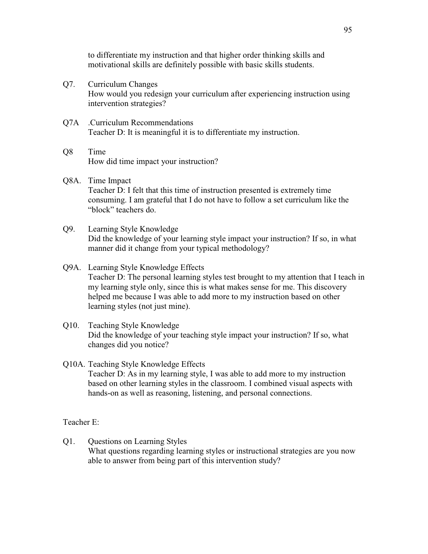to differentiate my instruction and that higher order thinking skills and motivational skills are definitely possible with basic skills students.

- Q7. Curriculum Changes How would you redesign your curriculum after experiencing instruction using intervention strategies?
- Q7A .Curriculum Recommendations Teacher D: It is meaningful it is to differentiate my instruction.
- Q8 Time How did time impact your instruction?
- Q8A. Time Impact Teacher D: I felt that this time of instruction presented is extremely time consuming. I am grateful that I do not have to follow a set curriculum like the "block" teachers do.
- Q9. Learning Style Knowledge Did the knowledge of your learning style impact your instruction? If so, in what manner did it change from your typical methodology?

## Q9A. Learning Style Knowledge Effects

Teacher D: The personal learning styles test brought to my attention that I teach in my learning style only, since this is what makes sense for me. This discovery helped me because I was able to add more to my instruction based on other learning styles (not just mine).

- Q10. Teaching Style Knowledge Did the knowledge of your teaching style impact your instruction? If so, what changes did you notice?
- Q10A. Teaching Style Knowledge Effects

Teacher D: As in my learning style, I was able to add more to my instruction based on other learning styles in the classroom. I combined visual aspects with hands-on as well as reasoning, listening, and personal connections.

## Teacher E:

Q1. Questions on Learning Styles What questions regarding learning styles or instructional strategies are you now able to answer from being part of this intervention study?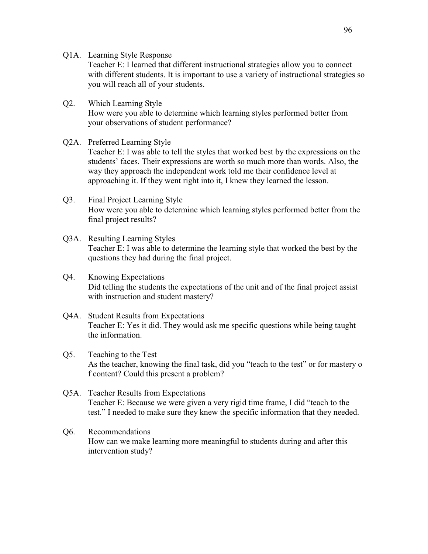Q1A. Learning Style Response

Teacher E: I learned that different instructional strategies allow you to connect with different students. It is important to use a variety of instructional strategies so you will reach all of your students.

## Q2. Which Learning Style How were you able to determine which learning styles performed better from your observations of student performance?

#### Q2A. Preferred Learning Style

Teacher E: I was able to tell the styles that worked best by the expressions on the students' faces. Their expressions are worth so much more than words. Also, the way they approach the independent work told me their confidence level at approaching it. If they went right into it, I knew they learned the lesson.

## Q3. Final Project Learning Style How were you able to determine which learning styles performed better from the final project results?

- Q3A. Resulting Learning Styles Teacher E: I was able to determine the learning style that worked the best by the questions they had during the final project.
- Q4. Knowing Expectations Did telling the students the expectations of the unit and of the final project assist with instruction and student mastery?
- Q4A. Student Results from Expectations Teacher E: Yes it did. They would ask me specific questions while being taught the information.
- Q5. Teaching to the Test As the teacher, knowing the final task, did you "teach to the test" or for mastery o f content? Could this present a problem?
- Q5A. Teacher Results from Expectations Teacher E: Because we were given a very rigid time frame, I did "teach to the test." I needed to make sure they knew the specific information that they needed.

## Q6. Recommendations How can we make learning more meaningful to students during and after this intervention study?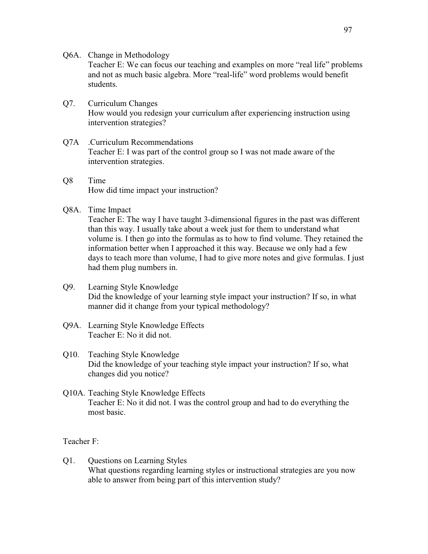Q6A. Change in Methodology

Teacher E: We can focus our teaching and examples on more "real life" problems and not as much basic algebra. More "real-life" word problems would benefit students.

- Q7. Curriculum Changes How would you redesign your curriculum after experiencing instruction using intervention strategies?
- Q7A .Curriculum Recommendations Teacher E: I was part of the control group so I was not made aware of the intervention strategies.
- Q8 Time How did time impact your instruction?
- Q8A. Time Impact

Teacher E: The way I have taught 3-dimensional figures in the past was different than this way. I usually take about a week just for them to understand what volume is. I then go into the formulas as to how to find volume. They retained the information better when I approached it this way. Because we only had a few days to teach more than volume, I had to give more notes and give formulas. I just had them plug numbers in.

- Q9. Learning Style Knowledge Did the knowledge of your learning style impact your instruction? If so, in what manner did it change from your typical methodology?
- Q9A. Learning Style Knowledge Effects Teacher E: No it did not.
- Q10. Teaching Style Knowledge Did the knowledge of your teaching style impact your instruction? If so, what changes did you notice?
- Q10A. Teaching Style Knowledge Effects Teacher E: No it did not. I was the control group and had to do everything the most basic.

Teacher F:

Q1. Questions on Learning Styles What questions regarding learning styles or instructional strategies are you now able to answer from being part of this intervention study?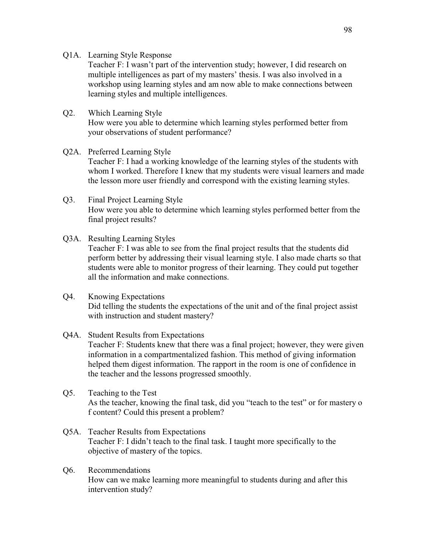Q1A. Learning Style Response

Teacher F: I wasn't part of the intervention study; however, I did research on multiple intelligences as part of my masters' thesis. I was also involved in a workshop using learning styles and am now able to make connections between learning styles and multiple intelligences.

Q2. Which Learning Style How were you able to determine which learning styles performed better from your observations of student performance?

## Q2A. Preferred Learning Style

Teacher F: I had a working knowledge of the learning styles of the students with whom I worked. Therefore I knew that my students were visual learners and made the lesson more user friendly and correspond with the existing learning styles.

- Q3. Final Project Learning Style How were you able to determine which learning styles performed better from the final project results?
- Q3A. Resulting Learning Styles Teacher F: I was able to see from the final project results that the students did perform better by addressing their visual learning style. I also made charts so that students were able to monitor progress of their learning. They could put together all the information and make connections.
- Q4. Knowing Expectations Did telling the students the expectations of the unit and of the final project assist with instruction and student mastery?

#### Q4A. Student Results from Expectations

Teacher F: Students knew that there was a final project; however, they were given information in a compartmentalized fashion. This method of giving information helped them digest information. The rapport in the room is one of confidence in the teacher and the lessons progressed smoothly.

- Q5. Teaching to the Test As the teacher, knowing the final task, did you "teach to the test" or for mastery o f content? Could this present a problem?
- Q5A. Teacher Results from Expectations Teacher F: I didn't teach to the final task. I taught more specifically to the objective of mastery of the topics.
- Q6. Recommendations How can we make learning more meaningful to students during and after this intervention study?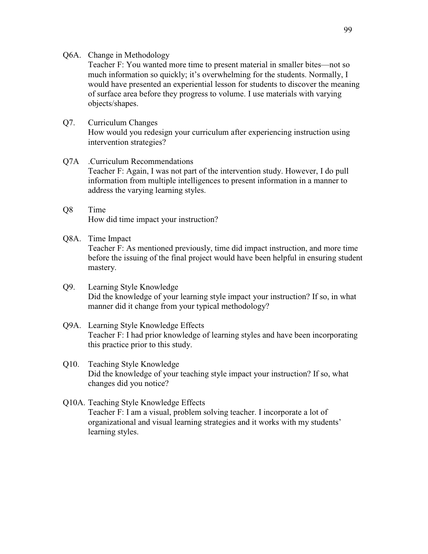#### Q6A. Change in Methodology

Teacher F: You wanted more time to present material in smaller bites—not so much information so quickly; it's overwhelming for the students. Normally, I would have presented an experiential lesson for students to discover the meaning of surface area before they progress to volume. I use materials with varying objects/shapes.

## Q7. Curriculum Changes How would you redesign your curriculum after experiencing instruction using intervention strategies?

## Q7A .Curriculum Recommendations Teacher F: Again, I was not part of the intervention study. However, I do pull information from multiple intelligences to present information in a manner to address the varying learning styles.

- Q8 Time How did time impact your instruction?
- Q8A. Time Impact

Teacher F: As mentioned previously, time did impact instruction, and more time before the issuing of the final project would have been helpful in ensuring student mastery.

- Q9. Learning Style Knowledge Did the knowledge of your learning style impact your instruction? If so, in what manner did it change from your typical methodology?
- Q9A. Learning Style Knowledge Effects Teacher F: I had prior knowledge of learning styles and have been incorporating this practice prior to this study.
- Q10. Teaching Style Knowledge Did the knowledge of your teaching style impact your instruction? If so, what changes did you notice?
- Q10A. Teaching Style Knowledge Effects Teacher F: I am a visual, problem solving teacher. I incorporate a lot of organizational and visual learning strategies and it works with my students' learning styles.